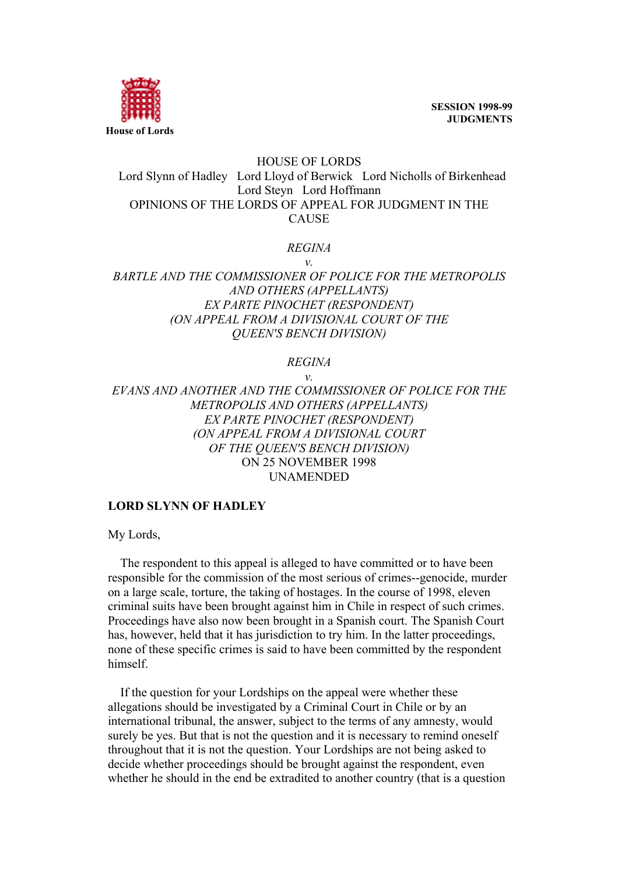

# HOUSE OF LORDS Lord Slynn of Hadley Lord Lloyd of Berwick Lord Nicholls of Birkenhead Lord Steyn Lord Hoffmann OPINIONS OF THE LORDS OF APPEAL FOR JUDGMENT IN THE CAUSE

### *REGINA*

*v. BARTLE AND THE COMMISSIONER OF POLICE FOR THE METROPOLIS AND OTHERS (APPELLANTS) EX PARTE PINOCHET (RESPONDENT) (ON APPEAL FROM A DIVISIONAL COURT OF THE QUEEN'S BENCH DIVISION)*

> *REGINA v.*

*EVANS AND ANOTHER AND THE COMMISSIONER OF POLICE FOR THE METROPOLIS AND OTHERS (APPELLANTS) EX PARTE PINOCHET (RESPONDENT) (ON APPEAL FROM A DIVISIONAL COURT OF THE QUEEN'S BENCH DIVISION)* ON 25 NOVEMBER 1998 UNAMENDED

# **LORD SLYNN OF HADLEY**

My Lords,

 The respondent to this appeal is alleged to have committed or to have been responsible for the commission of the most serious of crimes--genocide, murder on a large scale, torture, the taking of hostages. In the course of 1998, eleven criminal suits have been brought against him in Chile in respect of such crimes. Proceedings have also now been brought in a Spanish court. The Spanish Court has, however, held that it has jurisdiction to try him. In the latter proceedings, none of these specific crimes is said to have been committed by the respondent himself.

 If the question for your Lordships on the appeal were whether these allegations should be investigated by a Criminal Court in Chile or by an international tribunal, the answer, subject to the terms of any amnesty, would surely be yes. But that is not the question and it is necessary to remind oneself throughout that it is not the question. Your Lordships are not being asked to decide whether proceedings should be brought against the respondent, even whether he should in the end be extradited to another country (that is a question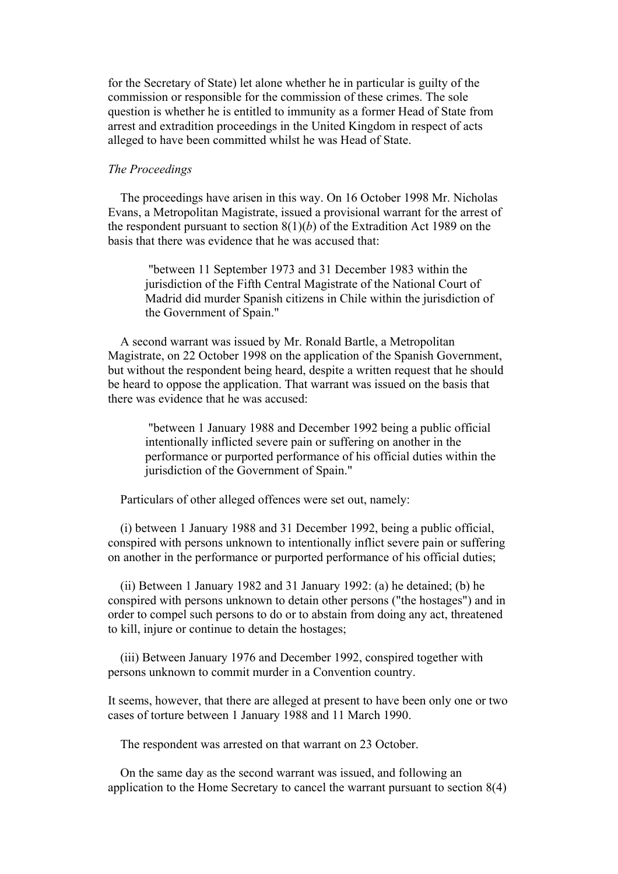for the Secretary of State) let alone whether he in particular is guilty of the commission or responsible for the commission of these crimes. The sole question is whether he is entitled to immunity as a former Head of State from arrest and extradition proceedings in the United Kingdom in respect of acts alleged to have been committed whilst he was Head of State.

### *The Proceedings*

 The proceedings have arisen in this way. On 16 October 1998 Mr. Nicholas Evans, a Metropolitan Magistrate, issued a provisional warrant for the arrest of the respondent pursuant to section 8(1)(*b*) of the Extradition Act 1989 on the basis that there was evidence that he was accused that:

 "between 11 September 1973 and 31 December 1983 within the jurisdiction of the Fifth Central Magistrate of the National Court of Madrid did murder Spanish citizens in Chile within the jurisdiction of the Government of Spain."

 A second warrant was issued by Mr. Ronald Bartle, a Metropolitan Magistrate, on 22 October 1998 on the application of the Spanish Government, but without the respondent being heard, despite a written request that he should be heard to oppose the application. That warrant was issued on the basis that there was evidence that he was accused:

 "between 1 January 1988 and December 1992 being a public official intentionally inflicted severe pain or suffering on another in the performance or purported performance of his official duties within the jurisdiction of the Government of Spain."

Particulars of other alleged offences were set out, namely:

 (i) between 1 January 1988 and 31 December 1992, being a public official, conspired with persons unknown to intentionally inflict severe pain or suffering on another in the performance or purported performance of his official duties;

 (ii) Between 1 January 1982 and 31 January 1992: (a) he detained; (b) he conspired with persons unknown to detain other persons ("the hostages") and in order to compel such persons to do or to abstain from doing any act, threatened to kill, injure or continue to detain the hostages;

 (iii) Between January 1976 and December 1992, conspired together with persons unknown to commit murder in a Convention country.

It seems, however, that there are alleged at present to have been only one or two cases of torture between 1 January 1988 and 11 March 1990.

The respondent was arrested on that warrant on 23 October.

 On the same day as the second warrant was issued, and following an application to the Home Secretary to cancel the warrant pursuant to section 8(4)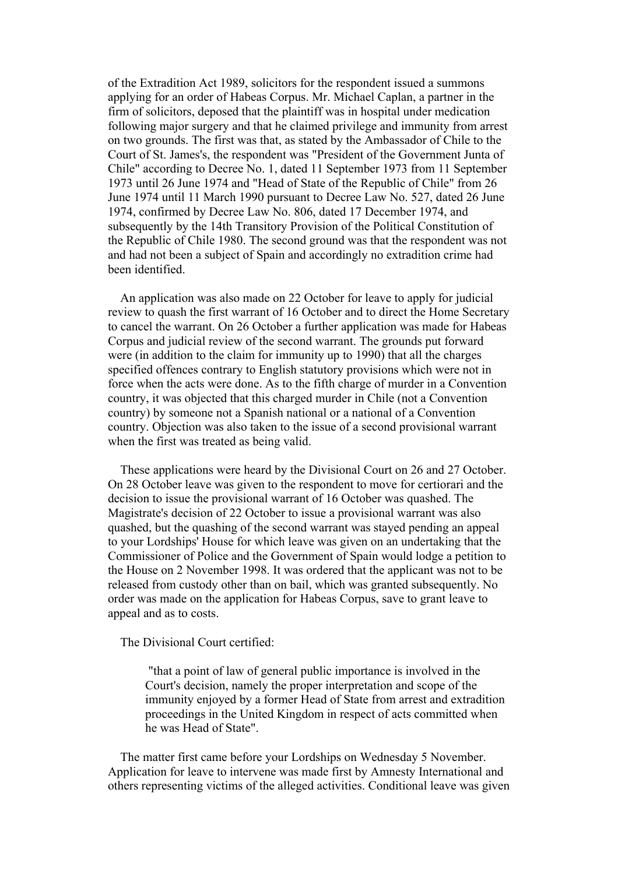of the Extradition Act 1989, solicitors for the respondent issued a summons applying for an order of Habeas Corpus. Mr. Michael Caplan, a partner in the firm of solicitors, deposed that the plaintiff was in hospital under medication following major surgery and that he claimed privilege and immunity from arrest on two grounds. The first was that, as stated by the Ambassador of Chile to the Court of St. James's, the respondent was "President of the Government Junta of Chile" according to Decree No. 1, dated 11 September 1973 from 11 September 1973 until 26 June 1974 and "Head of State of the Republic of Chile" from 26 June 1974 until 11 March 1990 pursuant to Decree Law No. 527, dated 26 June 1974, confirmed by Decree Law No. 806, dated 17 December 1974, and subsequently by the 14th Transitory Provision of the Political Constitution of the Republic of Chile 1980. The second ground was that the respondent was not and had not been a subject of Spain and accordingly no extradition crime had been identified.

 An application was also made on 22 October for leave to apply for judicial review to quash the first warrant of 16 October and to direct the Home Secretary to cancel the warrant. On 26 October a further application was made for Habeas Corpus and judicial review of the second warrant. The grounds put forward were (in addition to the claim for immunity up to 1990) that all the charges specified offences contrary to English statutory provisions which were not in force when the acts were done. As to the fifth charge of murder in a Convention country, it was objected that this charged murder in Chile (not a Convention country) by someone not a Spanish national or a national of a Convention country. Objection was also taken to the issue of a second provisional warrant when the first was treated as being valid.

 These applications were heard by the Divisional Court on 26 and 27 October. On 28 October leave was given to the respondent to move for certiorari and the decision to issue the provisional warrant of 16 October was quashed. The Magistrate's decision of 22 October to issue a provisional warrant was also quashed, but the quashing of the second warrant was stayed pending an appeal to your Lordships' House for which leave was given on an undertaking that the Commissioner of Police and the Government of Spain would lodge a petition to the House on 2 November 1998. It was ordered that the applicant was not to be released from custody other than on bail, which was granted subsequently. No order was made on the application for Habeas Corpus, save to grant leave to appeal and as to costs.

The Divisional Court certified:

 "that a point of law of general public importance is involved in the Court's decision, namely the proper interpretation and scope of the immunity enjoyed by a former Head of State from arrest and extradition proceedings in the United Kingdom in respect of acts committed when he was Head of State".

 The matter first came before your Lordships on Wednesday 5 November. Application for leave to intervene was made first by Amnesty International and others representing victims of the alleged activities. Conditional leave was given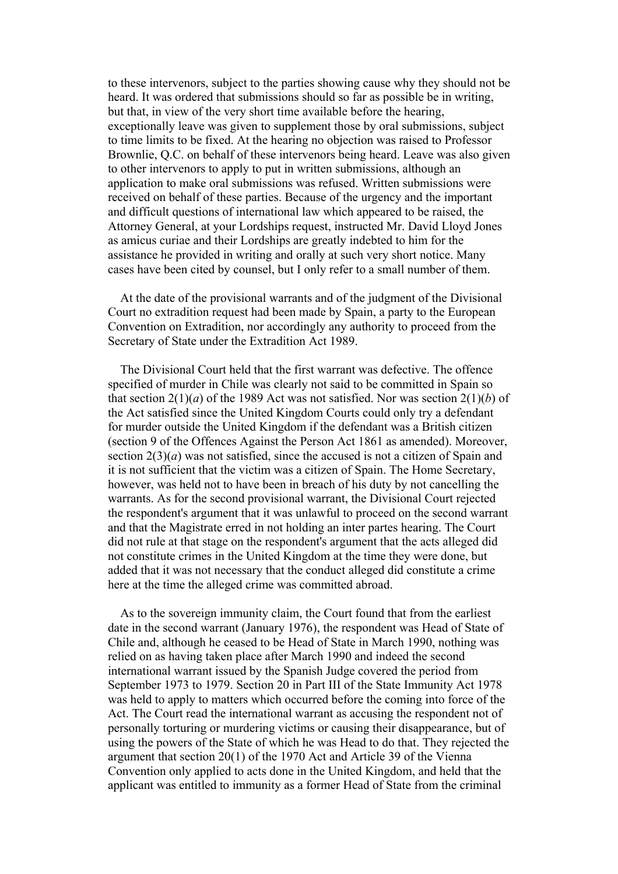to these intervenors, subject to the parties showing cause why they should not be heard. It was ordered that submissions should so far as possible be in writing, but that, in view of the very short time available before the hearing, exceptionally leave was given to supplement those by oral submissions, subject to time limits to be fixed. At the hearing no objection was raised to Professor Brownlie, Q.C. on behalf of these intervenors being heard. Leave was also given to other intervenors to apply to put in written submissions, although an application to make oral submissions was refused. Written submissions were received on behalf of these parties. Because of the urgency and the important and difficult questions of international law which appeared to be raised, the Attorney General, at your Lordships request, instructed Mr. David Lloyd Jones as amicus curiae and their Lordships are greatly indebted to him for the assistance he provided in writing and orally at such very short notice. Many cases have been cited by counsel, but I only refer to a small number of them.

 At the date of the provisional warrants and of the judgment of the Divisional Court no extradition request had been made by Spain, a party to the European Convention on Extradition, nor accordingly any authority to proceed from the Secretary of State under the Extradition Act 1989.

 The Divisional Court held that the first warrant was defective. The offence specified of murder in Chile was clearly not said to be committed in Spain so that section  $2(1)(a)$  of the 1989 Act was not satisfied. Nor was section  $2(1)(b)$  of the Act satisfied since the United Kingdom Courts could only try a defendant for murder outside the United Kingdom if the defendant was a British citizen (section 9 of the Offences Against the Person Act 1861 as amended). Moreover, section  $2(3)(a)$  was not satisfied, since the accused is not a citizen of Spain and it is not sufficient that the victim was a citizen of Spain. The Home Secretary, however, was held not to have been in breach of his duty by not cancelling the warrants. As for the second provisional warrant, the Divisional Court rejected the respondent's argument that it was unlawful to proceed on the second warrant and that the Magistrate erred in not holding an inter partes hearing. The Court did not rule at that stage on the respondent's argument that the acts alleged did not constitute crimes in the United Kingdom at the time they were done, but added that it was not necessary that the conduct alleged did constitute a crime here at the time the alleged crime was committed abroad.

 As to the sovereign immunity claim, the Court found that from the earliest date in the second warrant (January 1976), the respondent was Head of State of Chile and, although he ceased to be Head of State in March 1990, nothing was relied on as having taken place after March 1990 and indeed the second international warrant issued by the Spanish Judge covered the period from September 1973 to 1979. Section 20 in Part III of the State Immunity Act 1978 was held to apply to matters which occurred before the coming into force of the Act. The Court read the international warrant as accusing the respondent not of personally torturing or murdering victims or causing their disappearance, but of using the powers of the State of which he was Head to do that. They rejected the argument that section 20(1) of the 1970 Act and Article 39 of the Vienna Convention only applied to acts done in the United Kingdom, and held that the applicant was entitled to immunity as a former Head of State from the criminal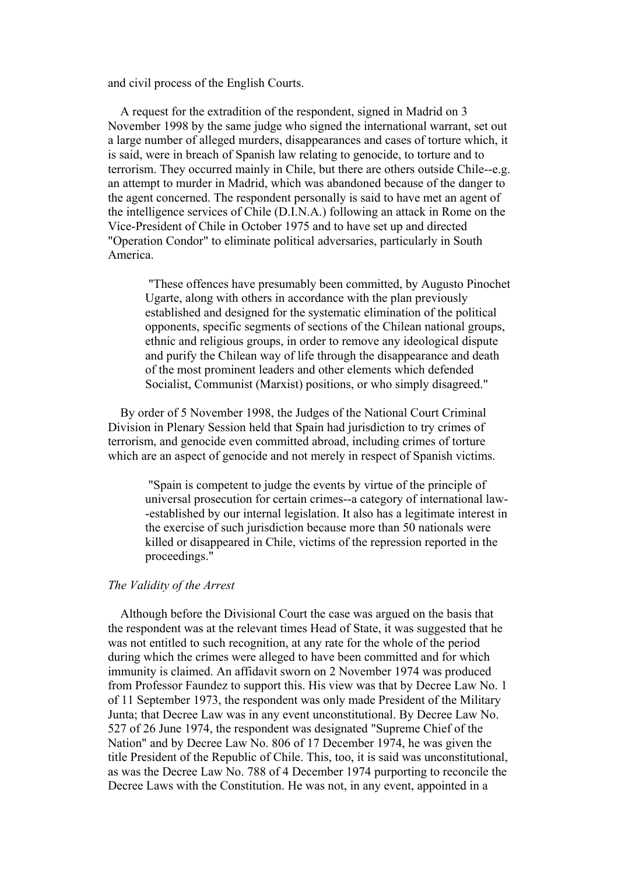and civil process of the English Courts.

 A request for the extradition of the respondent, signed in Madrid on 3 November 1998 by the same judge who signed the international warrant, set out a large number of alleged murders, disappearances and cases of torture which, it is said, were in breach of Spanish law relating to genocide, to torture and to terrorism. They occurred mainly in Chile, but there are others outside Chile--e.g. an attempt to murder in Madrid, which was abandoned because of the danger to the agent concerned. The respondent personally is said to have met an agent of the intelligence services of Chile (D.I.N.A.) following an attack in Rome on the Vice-President of Chile in October 1975 and to have set up and directed "Operation Condor" to eliminate political adversaries, particularly in South America.

 "These offences have presumably been committed, by Augusto Pinochet Ugarte, along with others in accordance with the plan previously established and designed for the systematic elimination of the political opponents, specific segments of sections of the Chilean national groups, ethnic and religious groups, in order to remove any ideological dispute and purify the Chilean way of life through the disappearance and death of the most prominent leaders and other elements which defended Socialist, Communist (Marxist) positions, or who simply disagreed."

 By order of 5 November 1998, the Judges of the National Court Criminal Division in Plenary Session held that Spain had jurisdiction to try crimes of terrorism, and genocide even committed abroad, including crimes of torture which are an aspect of genocide and not merely in respect of Spanish victims.

 "Spain is competent to judge the events by virtue of the principle of universal prosecution for certain crimes--a category of international law- -established by our internal legislation. It also has a legitimate interest in the exercise of such jurisdiction because more than 50 nationals were killed or disappeared in Chile, victims of the repression reported in the proceedings."

### *The Validity of the Arrest*

 Although before the Divisional Court the case was argued on the basis that the respondent was at the relevant times Head of State, it was suggested that he was not entitled to such recognition, at any rate for the whole of the period during which the crimes were alleged to have been committed and for which immunity is claimed. An affidavit sworn on 2 November 1974 was produced from Professor Faundez to support this. His view was that by Decree Law No. 1 of 11 September 1973, the respondent was only made President of the Military Junta; that Decree Law was in any event unconstitutional. By Decree Law No. 527 of 26 June 1974, the respondent was designated "Supreme Chief of the Nation" and by Decree Law No. 806 of 17 December 1974, he was given the title President of the Republic of Chile. This, too, it is said was unconstitutional, as was the Decree Law No. 788 of 4 December 1974 purporting to reconcile the Decree Laws with the Constitution. He was not, in any event, appointed in a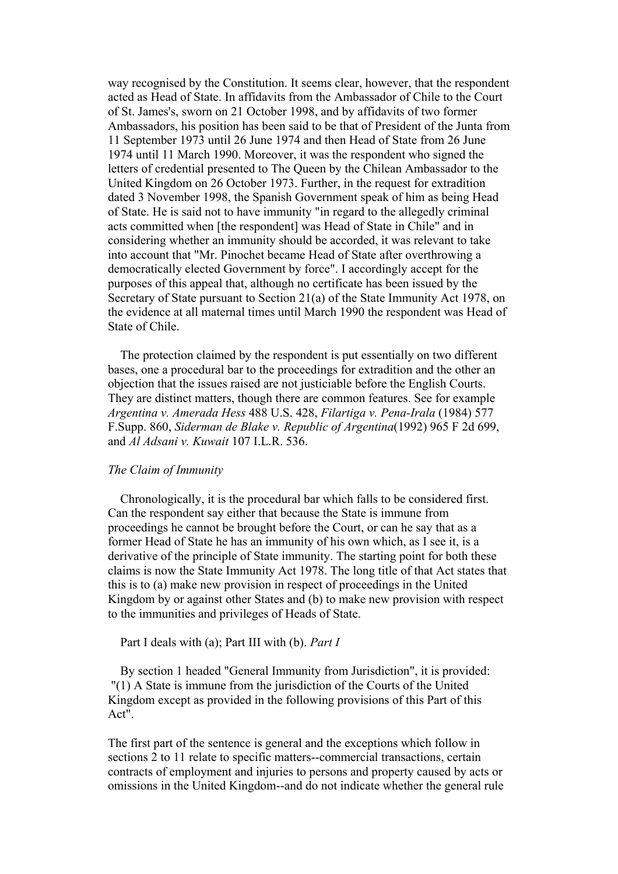way recognised by the Constitution. It seems clear, however, that the respondent acted as Head of State. In affidavits from the Ambassador of Chile to the Court of St. James's, sworn on 21 October 1998, and by affidavits of two former Ambassadors, his position has been said to be that of President of the Junta from 11 September 1973 until 26 June 1974 and then Head of State from 26 June 1974 until 11 March 1990. Moreover, it was the respondent who signed the letters of credential presented to The Queen by the Chilean Ambassador to the United Kingdom on 26 October 1973. Further, in the request for extradition dated 3 November 1998, the Spanish Government speak of him as being Head of State. He is said not to have immunity "in regard to the allegedly criminal acts committed when [the respondent] was Head of State in Chile" and in considering whether an immunity should be accorded, it was relevant to take into account that "Mr. Pinochet became Head of State after overthrowing a democratically elected Government by force". I accordingly accept for the purposes of this appeal that, although no certificate has been issued by the Secretary of State pursuant to Section 21(a) of the State Immunity Act 1978, on the evidence at all maternal times until March 1990 the respondent was Head of State of Chile.

 The protection claimed by the respondent is put essentially on two different bases, one a procedural bar to the proceedings for extradition and the other an objection that the issues raised are not justiciable before the English Courts. They are distinct matters, though there are common features. See for example *Argentina v. Amerada Hess* 488 U.S. 428, *Filartiga v. Pena-Irala* (1984) 577 F.Supp. 860, *Siderman de Blake v. Republic of Argentina*(1992) 965 F 2d 699, and *Al Adsani v. Kuwait* 107 I.L.R. 536.

### *The Claim of Immunity*

 Chronologically, it is the procedural bar which falls to be considered first. Can the respondent say either that because the State is immune from proceedings he cannot be brought before the Court, or can he say that as a former Head of State he has an immunity of his own which, as I see it, is a derivative of the principle of State immunity. The starting point for both these claims is now the State Immunity Act 1978. The long title of that Act states that this is to (a) make new provision in respect of proceedings in the United Kingdom by or against other States and (b) to make new provision with respect to the immunities and privileges of Heads of State.

Part I deals with (a); Part III with (b). *Part I*

 By section 1 headed "General Immunity from Jurisdiction", it is provided: "(1) A State is immune from the jurisdiction of the Courts of the United Kingdom except as provided in the following provisions of this Part of this Act".

The first part of the sentence is general and the exceptions which follow in sections 2 to 11 relate to specific matters--commercial transactions, certain contracts of employment and injuries to persons and property caused by acts or omissions in the United Kingdom--and do not indicate whether the general rule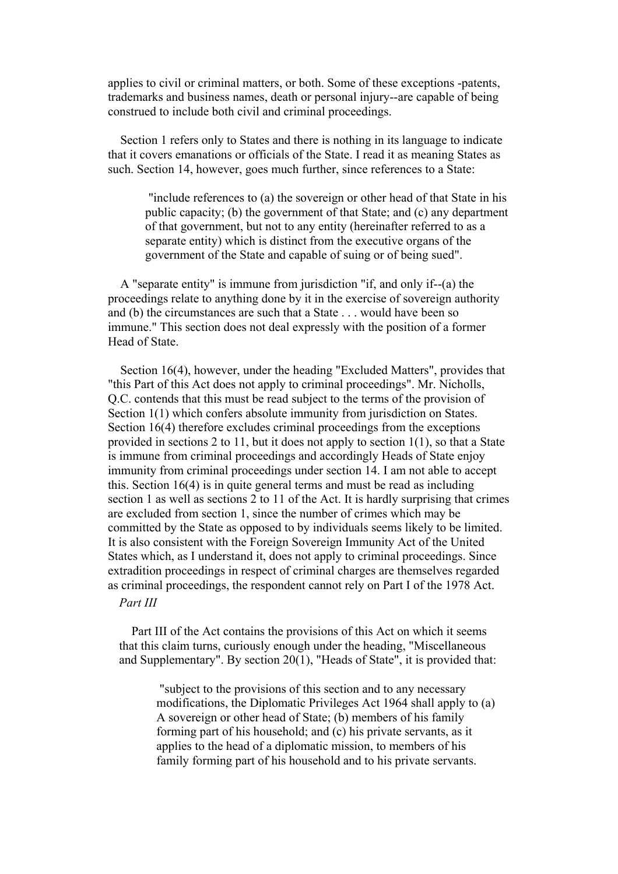applies to civil or criminal matters, or both. Some of these exceptions -patents, trademarks and business names, death or personal injury--are capable of being construed to include both civil and criminal proceedings.

 Section 1 refers only to States and there is nothing in its language to indicate that it covers emanations or officials of the State. I read it as meaning States as such. Section 14, however, goes much further, since references to a State:

 "include references to (a) the sovereign or other head of that State in his public capacity; (b) the government of that State; and (c) any department of that government, but not to any entity (hereinafter referred to as a separate entity) which is distinct from the executive organs of the government of the State and capable of suing or of being sued".

 A "separate entity" is immune from jurisdiction "if, and only if--(a) the proceedings relate to anything done by it in the exercise of sovereign authority and (b) the circumstances are such that a State . . . would have been so immune." This section does not deal expressly with the position of a former Head of State.

 Section 16(4), however, under the heading "Excluded Matters", provides that "this Part of this Act does not apply to criminal proceedings". Mr. Nicholls, Q.C. contends that this must be read subject to the terms of the provision of Section 1(1) which confers absolute immunity from jurisdiction on States. Section 16(4) therefore excludes criminal proceedings from the exceptions provided in sections 2 to 11, but it does not apply to section 1(1), so that a State is immune from criminal proceedings and accordingly Heads of State enjoy immunity from criminal proceedings under section 14. I am not able to accept this. Section 16(4) is in quite general terms and must be read as including section 1 as well as sections 2 to 11 of the Act. It is hardly surprising that crimes are excluded from section 1, since the number of crimes which may be committed by the State as opposed to by individuals seems likely to be limited. It is also consistent with the Foreign Sovereign Immunity Act of the United States which, as I understand it, does not apply to criminal proceedings. Since extradition proceedings in respect of criminal charges are themselves regarded as criminal proceedings, the respondent cannot rely on Part I of the 1978 Act.

### *Part III*

 Part III of the Act contains the provisions of this Act on which it seems that this claim turns, curiously enough under the heading, "Miscellaneous and Supplementary". By section 20(1), "Heads of State", it is provided that:

 "subject to the provisions of this section and to any necessary modifications, the Diplomatic Privileges Act 1964 shall apply to (a) A sovereign or other head of State; (b) members of his family forming part of his household; and (c) his private servants, as it applies to the head of a diplomatic mission, to members of his family forming part of his household and to his private servants.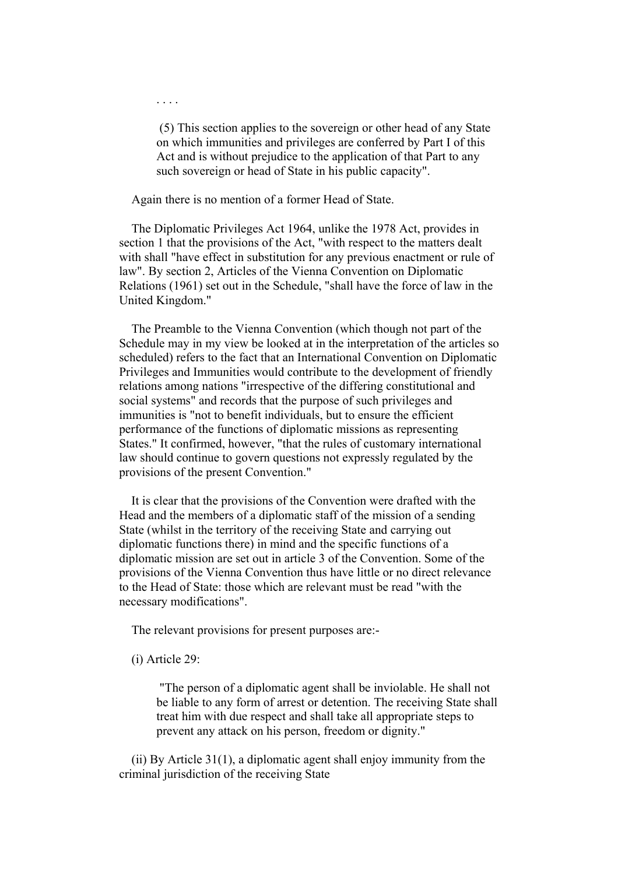(5) This section applies to the sovereign or other head of any State on which immunities and privileges are conferred by Part I of this Act and is without prejudice to the application of that Part to any such sovereign or head of State in his public capacity".

Again there is no mention of a former Head of State.

. . . .

 The Diplomatic Privileges Act 1964, unlike the 1978 Act, provides in section 1 that the provisions of the Act, "with respect to the matters dealt with shall "have effect in substitution for any previous enactment or rule of law". By section 2, Articles of the Vienna Convention on Diplomatic Relations (1961) set out in the Schedule, "shall have the force of law in the United Kingdom."

 The Preamble to the Vienna Convention (which though not part of the Schedule may in my view be looked at in the interpretation of the articles so scheduled) refers to the fact that an International Convention on Diplomatic Privileges and Immunities would contribute to the development of friendly relations among nations "irrespective of the differing constitutional and social systems" and records that the purpose of such privileges and immunities is "not to benefit individuals, but to ensure the efficient performance of the functions of diplomatic missions as representing States." It confirmed, however, "that the rules of customary international law should continue to govern questions not expressly regulated by the provisions of the present Convention."

 It is clear that the provisions of the Convention were drafted with the Head and the members of a diplomatic staff of the mission of a sending State (whilst in the territory of the receiving State and carrying out diplomatic functions there) in mind and the specific functions of a diplomatic mission are set out in article 3 of the Convention. Some of the provisions of the Vienna Convention thus have little or no direct relevance to the Head of State: those which are relevant must be read "with the necessary modifications".

The relevant provisions for present purposes are:-

#### (i) Article 29:

 "The person of a diplomatic agent shall be inviolable. He shall not be liable to any form of arrest or detention. The receiving State shall treat him with due respect and shall take all appropriate steps to prevent any attack on his person, freedom or dignity."

 (ii) By Article 31(1), a diplomatic agent shall enjoy immunity from the criminal jurisdiction of the receiving State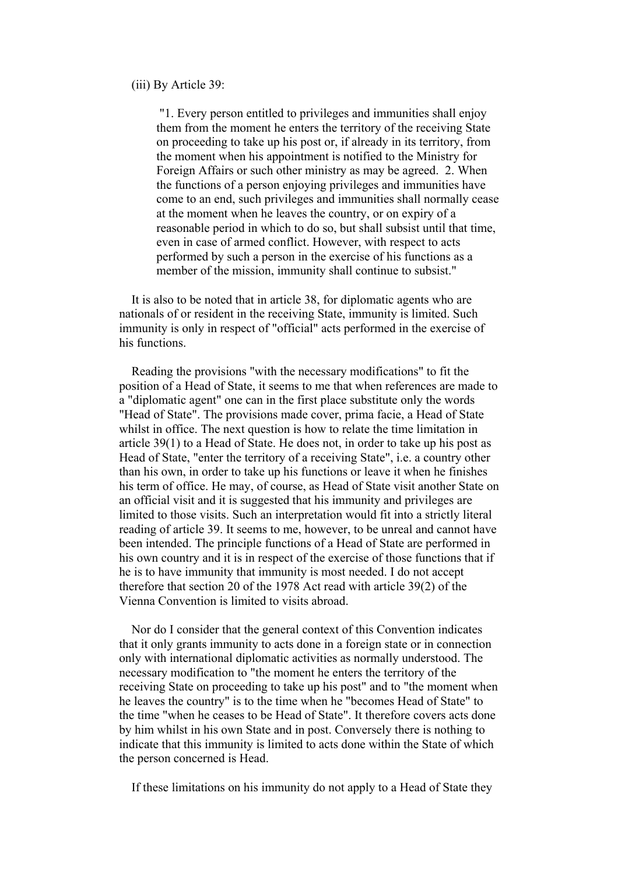### (iii) By Article 39:

 "1. Every person entitled to privileges and immunities shall enjoy them from the moment he enters the territory of the receiving State on proceeding to take up his post or, if already in its territory, from the moment when his appointment is notified to the Ministry for Foreign Affairs or such other ministry as may be agreed. 2. When the functions of a person enjoying privileges and immunities have come to an end, such privileges and immunities shall normally cease at the moment when he leaves the country, or on expiry of a reasonable period in which to do so, but shall subsist until that time, even in case of armed conflict. However, with respect to acts performed by such a person in the exercise of his functions as a member of the mission, immunity shall continue to subsist."

 It is also to be noted that in article 38, for diplomatic agents who are nationals of or resident in the receiving State, immunity is limited. Such immunity is only in respect of "official" acts performed in the exercise of his functions.

 Reading the provisions "with the necessary modifications" to fit the position of a Head of State, it seems to me that when references are made to a "diplomatic agent" one can in the first place substitute only the words "Head of State". The provisions made cover, prima facie, a Head of State whilst in office. The next question is how to relate the time limitation in article 39(1) to a Head of State. He does not, in order to take up his post as Head of State, "enter the territory of a receiving State", i.e. a country other than his own, in order to take up his functions or leave it when he finishes his term of office. He may, of course, as Head of State visit another State on an official visit and it is suggested that his immunity and privileges are limited to those visits. Such an interpretation would fit into a strictly literal reading of article 39. It seems to me, however, to be unreal and cannot have been intended. The principle functions of a Head of State are performed in his own country and it is in respect of the exercise of those functions that if he is to have immunity that immunity is most needed. I do not accept therefore that section 20 of the 1978 Act read with article 39(2) of the Vienna Convention is limited to visits abroad.

 Nor do I consider that the general context of this Convention indicates that it only grants immunity to acts done in a foreign state or in connection only with international diplomatic activities as normally understood. The necessary modification to "the moment he enters the territory of the receiving State on proceeding to take up his post" and to "the moment when he leaves the country" is to the time when he "becomes Head of State" to the time "when he ceases to be Head of State". It therefore covers acts done by him whilst in his own State and in post. Conversely there is nothing to indicate that this immunity is limited to acts done within the State of which the person concerned is Head.

If these limitations on his immunity do not apply to a Head of State they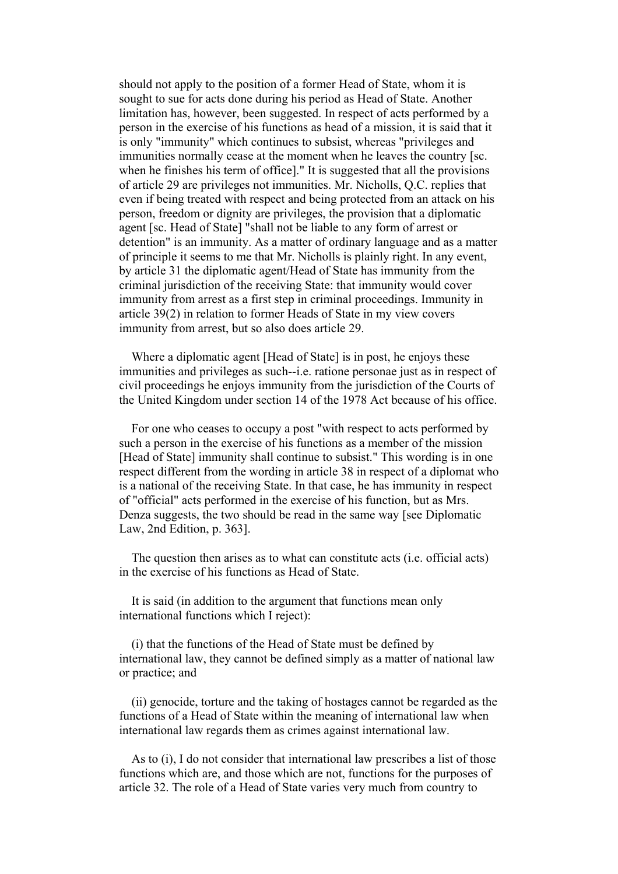should not apply to the position of a former Head of State, whom it is sought to sue for acts done during his period as Head of State. Another limitation has, however, been suggested. In respect of acts performed by a person in the exercise of his functions as head of a mission, it is said that it is only "immunity" which continues to subsist, whereas "privileges and immunities normally cease at the moment when he leaves the country [sc. when he finishes his term of office]." It is suggested that all the provisions of article 29 are privileges not immunities. Mr. Nicholls, Q.C. replies that even if being treated with respect and being protected from an attack on his person, freedom or dignity are privileges, the provision that a diplomatic agent [sc. Head of State] "shall not be liable to any form of arrest or detention" is an immunity. As a matter of ordinary language and as a matter of principle it seems to me that Mr. Nicholls is plainly right. In any event, by article 31 the diplomatic agent/Head of State has immunity from the criminal jurisdiction of the receiving State: that immunity would cover immunity from arrest as a first step in criminal proceedings. Immunity in article 39(2) in relation to former Heads of State in my view covers immunity from arrest, but so also does article 29.

 Where a diplomatic agent [Head of State] is in post, he enjoys these immunities and privileges as such--i.e. ratione personae just as in respect of civil proceedings he enjoys immunity from the jurisdiction of the Courts of the United Kingdom under section 14 of the 1978 Act because of his office.

 For one who ceases to occupy a post "with respect to acts performed by such a person in the exercise of his functions as a member of the mission [Head of State] immunity shall continue to subsist." This wording is in one respect different from the wording in article 38 in respect of a diplomat who is a national of the receiving State. In that case, he has immunity in respect of "official" acts performed in the exercise of his function, but as Mrs. Denza suggests, the two should be read in the same way [see Diplomatic Law, 2nd Edition, p. 363].

 The question then arises as to what can constitute acts (i.e. official acts) in the exercise of his functions as Head of State.

 It is said (in addition to the argument that functions mean only international functions which I reject):

 (i) that the functions of the Head of State must be defined by international law, they cannot be defined simply as a matter of national law or practice; and

 (ii) genocide, torture and the taking of hostages cannot be regarded as the functions of a Head of State within the meaning of international law when international law regards them as crimes against international law.

 As to (i), I do not consider that international law prescribes a list of those functions which are, and those which are not, functions for the purposes of article 32. The role of a Head of State varies very much from country to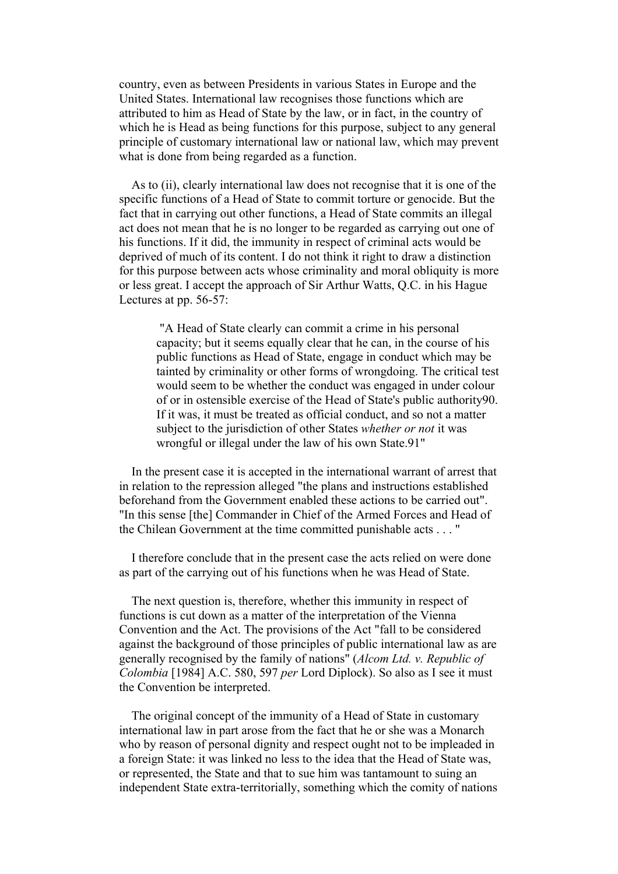country, even as between Presidents in various States in Europe and the United States. International law recognises those functions which are attributed to him as Head of State by the law, or in fact, in the country of which he is Head as being functions for this purpose, subject to any general principle of customary international law or national law, which may prevent what is done from being regarded as a function.

 As to (ii), clearly international law does not recognise that it is one of the specific functions of a Head of State to commit torture or genocide. But the fact that in carrying out other functions, a Head of State commits an illegal act does not mean that he is no longer to be regarded as carrying out one of his functions. If it did, the immunity in respect of criminal acts would be deprived of much of its content. I do not think it right to draw a distinction for this purpose between acts whose criminality and moral obliquity is more or less great. I accept the approach of Sir Arthur Watts, Q.C. in his Hague Lectures at pp. 56-57:

 "A Head of State clearly can commit a crime in his personal capacity; but it seems equally clear that he can, in the course of his public functions as Head of State, engage in conduct which may be tainted by criminality or other forms of wrongdoing. The critical test would seem to be whether the conduct was engaged in under colour of or in ostensible exercise of the Head of State's public authority90. If it was, it must be treated as official conduct, and so not a matter subject to the jurisdiction of other States *whether or not* it was wrongful or illegal under the law of his own State.91"

 In the present case it is accepted in the international warrant of arrest that in relation to the repression alleged "the plans and instructions established beforehand from the Government enabled these actions to be carried out". "In this sense [the] Commander in Chief of the Armed Forces and Head of the Chilean Government at the time committed punishable acts . . . "

 I therefore conclude that in the present case the acts relied on were done as part of the carrying out of his functions when he was Head of State.

 The next question is, therefore, whether this immunity in respect of functions is cut down as a matter of the interpretation of the Vienna Convention and the Act. The provisions of the Act "fall to be considered against the background of those principles of public international law as are generally recognised by the family of nations" (*Alcom Ltd. v. Republic of Colombia* [1984] A.C. 580, 597 *per* Lord Diplock). So also as I see it must the Convention be interpreted.

 The original concept of the immunity of a Head of State in customary international law in part arose from the fact that he or she was a Monarch who by reason of personal dignity and respect ought not to be impleaded in a foreign State: it was linked no less to the idea that the Head of State was, or represented, the State and that to sue him was tantamount to suing an independent State extra-territorially, something which the comity of nations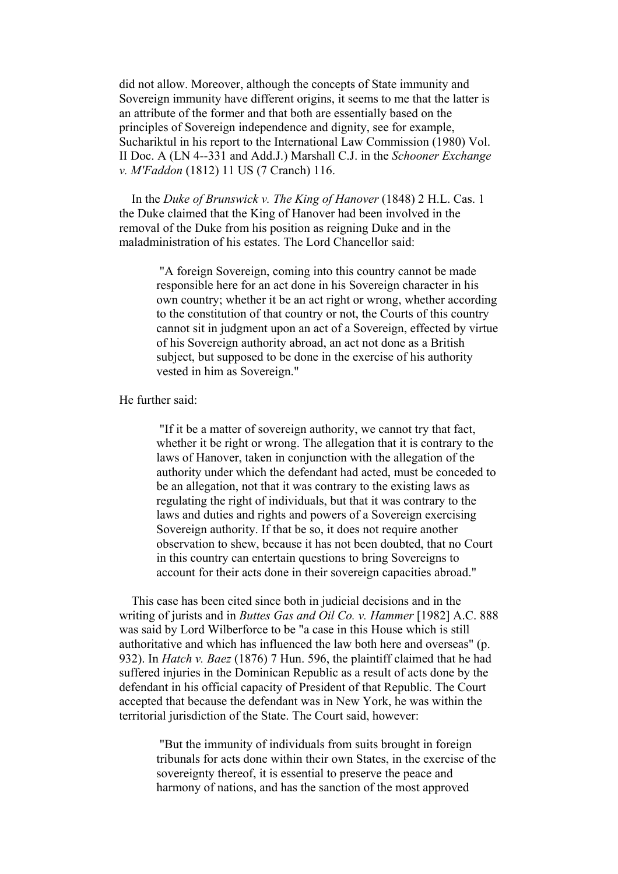did not allow. Moreover, although the concepts of State immunity and Sovereign immunity have different origins, it seems to me that the latter is an attribute of the former and that both are essentially based on the principles of Sovereign independence and dignity, see for example, Suchariktul in his report to the International Law Commission (1980) Vol. II Doc. A (LN 4--331 and Add.J.) Marshall C.J. in the *Schooner Exchange v. M'Faddon* (1812) 11 US (7 Cranch) 116.

 In the *Duke of Brunswick v. The King of Hanover* (1848) 2 H.L. Cas. 1 the Duke claimed that the King of Hanover had been involved in the removal of the Duke from his position as reigning Duke and in the maladministration of his estates. The Lord Chancellor said:

> "A foreign Sovereign, coming into this country cannot be made responsible here for an act done in his Sovereign character in his own country; whether it be an act right or wrong, whether according to the constitution of that country or not, the Courts of this country cannot sit in judgment upon an act of a Sovereign, effected by virtue of his Sovereign authority abroad, an act not done as a British subject, but supposed to be done in the exercise of his authority vested in him as Sovereign."

He further said:

 "If it be a matter of sovereign authority, we cannot try that fact, whether it be right or wrong. The allegation that it is contrary to the laws of Hanover, taken in conjunction with the allegation of the authority under which the defendant had acted, must be conceded to be an allegation, not that it was contrary to the existing laws as regulating the right of individuals, but that it was contrary to the laws and duties and rights and powers of a Sovereign exercising Sovereign authority. If that be so, it does not require another observation to shew, because it has not been doubted, that no Court in this country can entertain questions to bring Sovereigns to account for their acts done in their sovereign capacities abroad."

 This case has been cited since both in judicial decisions and in the writing of jurists and in *Buttes Gas and Oil Co. v. Hammer* [1982] A.C. 888 was said by Lord Wilberforce to be "a case in this House which is still authoritative and which has influenced the law both here and overseas" (p. 932). In *Hatch v. Baez* (1876) 7 Hun. 596, the plaintiff claimed that he had suffered injuries in the Dominican Republic as a result of acts done by the defendant in his official capacity of President of that Republic. The Court accepted that because the defendant was in New York, he was within the territorial jurisdiction of the State. The Court said, however:

 "But the immunity of individuals from suits brought in foreign tribunals for acts done within their own States, in the exercise of the sovereignty thereof, it is essential to preserve the peace and harmony of nations, and has the sanction of the most approved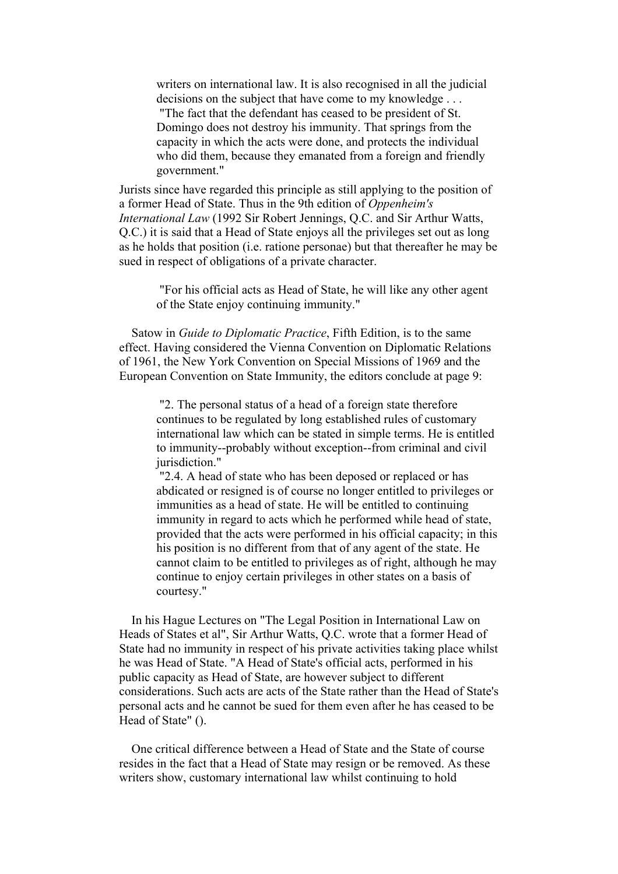writers on international law. It is also recognised in all the judicial decisions on the subject that have come to my knowledge . . . "The fact that the defendant has ceased to be president of St. Domingo does not destroy his immunity. That springs from the capacity in which the acts were done, and protects the individual who did them, because they emanated from a foreign and friendly government."

Jurists since have regarded this principle as still applying to the position of a former Head of State. Thus in the 9th edition of *Oppenheim's International Law* (1992 Sir Robert Jennings, Q.C. and Sir Arthur Watts, Q.C.) it is said that a Head of State enjoys all the privileges set out as long as he holds that position (i.e. ratione personae) but that thereafter he may be sued in respect of obligations of a private character.

 "For his official acts as Head of State, he will like any other agent of the State enjoy continuing immunity."

 Satow in *Guide to Diplomatic Practice*, Fifth Edition, is to the same effect. Having considered the Vienna Convention on Diplomatic Relations of 1961, the New York Convention on Special Missions of 1969 and the European Convention on State Immunity, the editors conclude at page 9:

 "2. The personal status of a head of a foreign state therefore continues to be regulated by long established rules of customary international law which can be stated in simple terms. He is entitled to immunity--probably without exception--from criminal and civil jurisdiction."

 "2.4. A head of state who has been deposed or replaced or has abdicated or resigned is of course no longer entitled to privileges or immunities as a head of state. He will be entitled to continuing immunity in regard to acts which he performed while head of state, provided that the acts were performed in his official capacity; in this his position is no different from that of any agent of the state. He cannot claim to be entitled to privileges as of right, although he may continue to enjoy certain privileges in other states on a basis of courtesy."

 In his Hague Lectures on "The Legal Position in International Law on Heads of States et al", Sir Arthur Watts, Q.C. wrote that a former Head of State had no immunity in respect of his private activities taking place whilst he was Head of State. "A Head of State's official acts, performed in his public capacity as Head of State, are however subject to different considerations. Such acts are acts of the State rather than the Head of State's personal acts and he cannot be sued for them even after he has ceased to be Head of State" ().

 One critical difference between a Head of State and the State of course resides in the fact that a Head of State may resign or be removed. As these writers show, customary international law whilst continuing to hold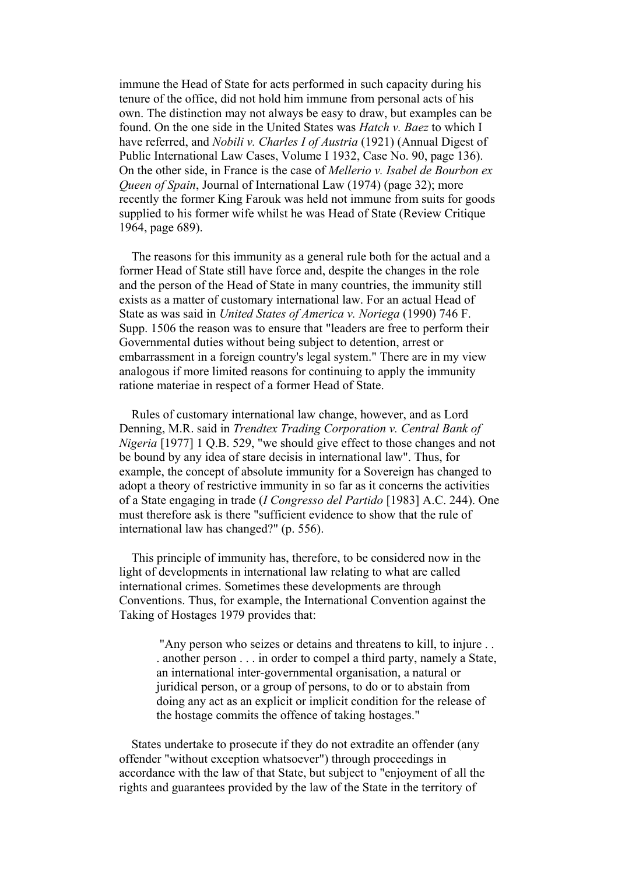immune the Head of State for acts performed in such capacity during his tenure of the office, did not hold him immune from personal acts of his own. The distinction may not always be easy to draw, but examples can be found. On the one side in the United States was *Hatch v. Baez* to which I have referred, and *Nobili v. Charles I of Austria* (1921) (Annual Digest of Public International Law Cases, Volume I 1932, Case No. 90, page 136). On the other side, in France is the case of *Mellerio v. Isabel de Bourbon ex Queen of Spain*, Journal of International Law (1974) (page 32); more recently the former King Farouk was held not immune from suits for goods supplied to his former wife whilst he was Head of State (Review Critique 1964, page 689).

 The reasons for this immunity as a general rule both for the actual and a former Head of State still have force and, despite the changes in the role and the person of the Head of State in many countries, the immunity still exists as a matter of customary international law. For an actual Head of State as was said in *United States of America v. Noriega* (1990) 746 F. Supp. 1506 the reason was to ensure that "leaders are free to perform their Governmental duties without being subject to detention, arrest or embarrassment in a foreign country's legal system." There are in my view analogous if more limited reasons for continuing to apply the immunity ratione materiae in respect of a former Head of State.

 Rules of customary international law change, however, and as Lord Denning, M.R. said in *Trendtex Trading Corporation v. Central Bank of Nigeria* [1977] 1 Q.B. 529, "we should give effect to those changes and not be bound by any idea of stare decisis in international law". Thus, for example, the concept of absolute immunity for a Sovereign has changed to adopt a theory of restrictive immunity in so far as it concerns the activities of a State engaging in trade (*I Congresso del Partido* [1983] A.C. 244). One must therefore ask is there "sufficient evidence to show that the rule of international law has changed?" (p. 556).

 This principle of immunity has, therefore, to be considered now in the light of developments in international law relating to what are called international crimes. Sometimes these developments are through Conventions. Thus, for example, the International Convention against the Taking of Hostages 1979 provides that:

 "Any person who seizes or detains and threatens to kill, to injure . . . another person . . . in order to compel a third party, namely a State, an international inter-governmental organisation, a natural or juridical person, or a group of persons, to do or to abstain from doing any act as an explicit or implicit condition for the release of the hostage commits the offence of taking hostages."

 States undertake to prosecute if they do not extradite an offender (any offender "without exception whatsoever") through proceedings in accordance with the law of that State, but subject to "enjoyment of all the rights and guarantees provided by the law of the State in the territory of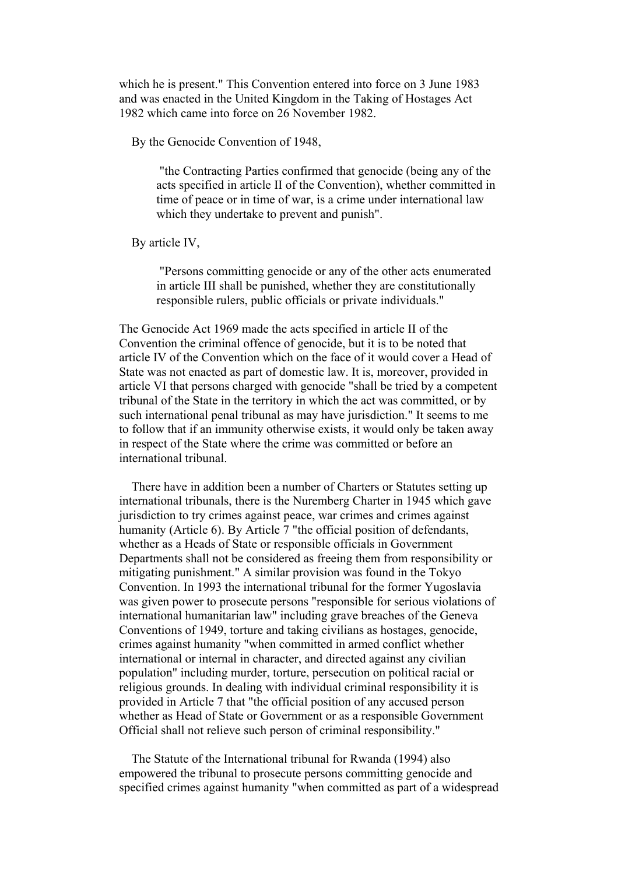which he is present." This Convention entered into force on 3 June 1983 and was enacted in the United Kingdom in the Taking of Hostages Act 1982 which came into force on 26 November 1982.

By the Genocide Convention of 1948,

 "the Contracting Parties confirmed that genocide (being any of the acts specified in article II of the Convention), whether committed in time of peace or in time of war, is a crime under international law which they undertake to prevent and punish".

By article IV,

 "Persons committing genocide or any of the other acts enumerated in article III shall be punished, whether they are constitutionally responsible rulers, public officials or private individuals."

The Genocide Act 1969 made the acts specified in article II of the Convention the criminal offence of genocide, but it is to be noted that article IV of the Convention which on the face of it would cover a Head of State was not enacted as part of domestic law. It is, moreover, provided in article VI that persons charged with genocide "shall be tried by a competent tribunal of the State in the territory in which the act was committed, or by such international penal tribunal as may have jurisdiction." It seems to me to follow that if an immunity otherwise exists, it would only be taken away in respect of the State where the crime was committed or before an international tribunal.

 There have in addition been a number of Charters or Statutes setting up international tribunals, there is the Nuremberg Charter in 1945 which gave jurisdiction to try crimes against peace, war crimes and crimes against humanity (Article 6). By Article 7 "the official position of defendants, whether as a Heads of State or responsible officials in Government Departments shall not be considered as freeing them from responsibility or mitigating punishment." A similar provision was found in the Tokyo Convention. In 1993 the international tribunal for the former Yugoslavia was given power to prosecute persons "responsible for serious violations of international humanitarian law" including grave breaches of the Geneva Conventions of 1949, torture and taking civilians as hostages, genocide, crimes against humanity "when committed in armed conflict whether international or internal in character, and directed against any civilian population" including murder, torture, persecution on political racial or religious grounds. In dealing with individual criminal responsibility it is provided in Article 7 that "the official position of any accused person whether as Head of State or Government or as a responsible Government Official shall not relieve such person of criminal responsibility."

 The Statute of the International tribunal for Rwanda (1994) also empowered the tribunal to prosecute persons committing genocide and specified crimes against humanity "when committed as part of a widespread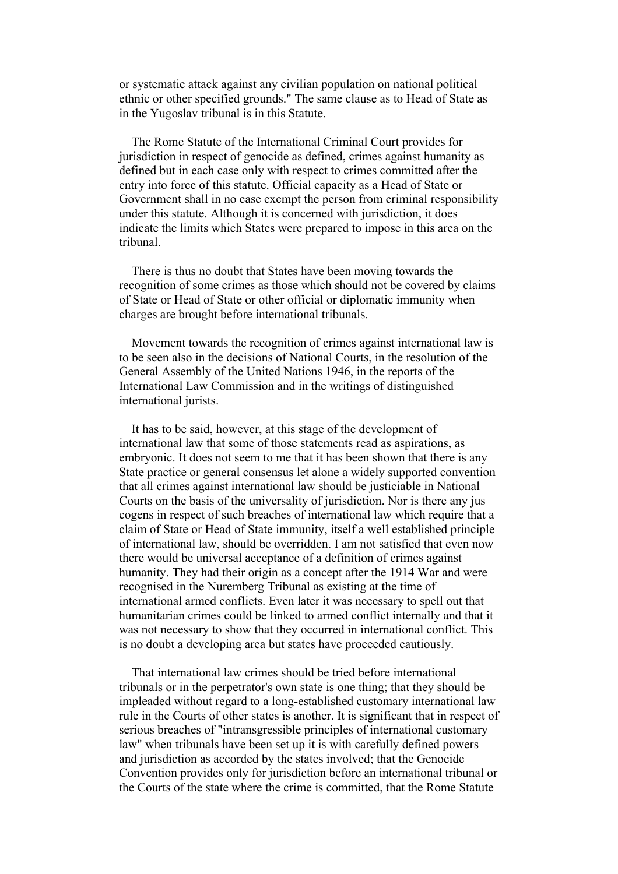or systematic attack against any civilian population on national political ethnic or other specified grounds." The same clause as to Head of State as in the Yugoslav tribunal is in this Statute.

 The Rome Statute of the International Criminal Court provides for jurisdiction in respect of genocide as defined, crimes against humanity as defined but in each case only with respect to crimes committed after the entry into force of this statute. Official capacity as a Head of State or Government shall in no case exempt the person from criminal responsibility under this statute. Although it is concerned with jurisdiction, it does indicate the limits which States were prepared to impose in this area on the tribunal.

 There is thus no doubt that States have been moving towards the recognition of some crimes as those which should not be covered by claims of State or Head of State or other official or diplomatic immunity when charges are brought before international tribunals.

 Movement towards the recognition of crimes against international law is to be seen also in the decisions of National Courts, in the resolution of the General Assembly of the United Nations 1946, in the reports of the International Law Commission and in the writings of distinguished international jurists.

 It has to be said, however, at this stage of the development of international law that some of those statements read as aspirations, as embryonic. It does not seem to me that it has been shown that there is any State practice or general consensus let alone a widely supported convention that all crimes against international law should be justiciable in National Courts on the basis of the universality of jurisdiction. Nor is there any jus cogens in respect of such breaches of international law which require that a claim of State or Head of State immunity, itself a well established principle of international law, should be overridden. I am not satisfied that even now there would be universal acceptance of a definition of crimes against humanity. They had their origin as a concept after the 1914 War and were recognised in the Nuremberg Tribunal as existing at the time of international armed conflicts. Even later it was necessary to spell out that humanitarian crimes could be linked to armed conflict internally and that it was not necessary to show that they occurred in international conflict. This is no doubt a developing area but states have proceeded cautiously.

 That international law crimes should be tried before international tribunals or in the perpetrator's own state is one thing; that they should be impleaded without regard to a long-established customary international law rule in the Courts of other states is another. It is significant that in respect of serious breaches of "intransgressible principles of international customary law" when tribunals have been set up it is with carefully defined powers and jurisdiction as accorded by the states involved; that the Genocide Convention provides only for jurisdiction before an international tribunal or the Courts of the state where the crime is committed, that the Rome Statute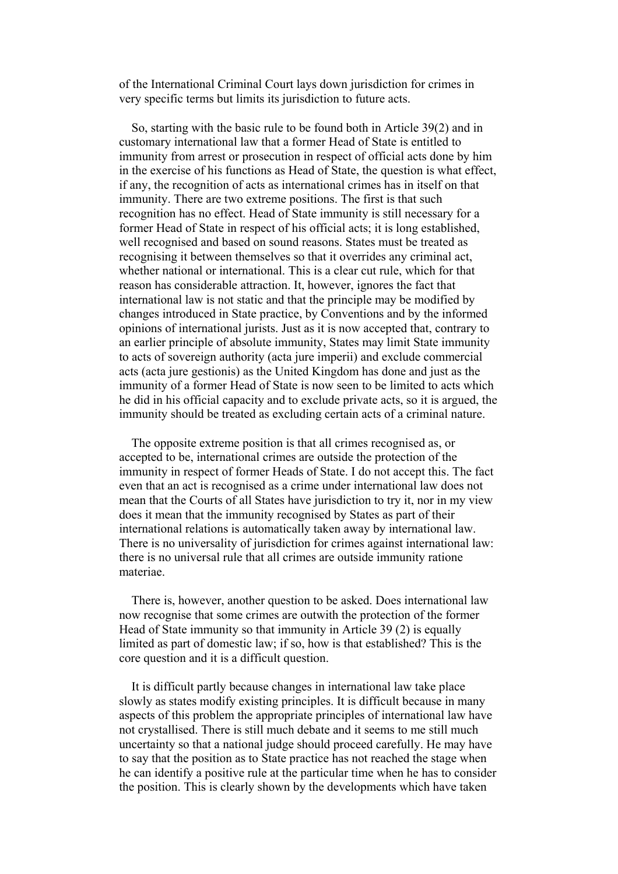of the International Criminal Court lays down jurisdiction for crimes in very specific terms but limits its jurisdiction to future acts.

 So, starting with the basic rule to be found both in Article 39(2) and in customary international law that a former Head of State is entitled to immunity from arrest or prosecution in respect of official acts done by him in the exercise of his functions as Head of State, the question is what effect, if any, the recognition of acts as international crimes has in itself on that immunity. There are two extreme positions. The first is that such recognition has no effect. Head of State immunity is still necessary for a former Head of State in respect of his official acts; it is long established, well recognised and based on sound reasons. States must be treated as recognising it between themselves so that it overrides any criminal act, whether national or international. This is a clear cut rule, which for that reason has considerable attraction. It, however, ignores the fact that international law is not static and that the principle may be modified by changes introduced in State practice, by Conventions and by the informed opinions of international jurists. Just as it is now accepted that, contrary to an earlier principle of absolute immunity, States may limit State immunity to acts of sovereign authority (acta jure imperii) and exclude commercial acts (acta jure gestionis) as the United Kingdom has done and just as the immunity of a former Head of State is now seen to be limited to acts which he did in his official capacity and to exclude private acts, so it is argued, the immunity should be treated as excluding certain acts of a criminal nature.

 The opposite extreme position is that all crimes recognised as, or accepted to be, international crimes are outside the protection of the immunity in respect of former Heads of State. I do not accept this. The fact even that an act is recognised as a crime under international law does not mean that the Courts of all States have jurisdiction to try it, nor in my view does it mean that the immunity recognised by States as part of their international relations is automatically taken away by international law. There is no universality of jurisdiction for crimes against international law: there is no universal rule that all crimes are outside immunity ratione materiae.

 There is, however, another question to be asked. Does international law now recognise that some crimes are outwith the protection of the former Head of State immunity so that immunity in Article 39 (2) is equally limited as part of domestic law; if so, how is that established? This is the core question and it is a difficult question.

 It is difficult partly because changes in international law take place slowly as states modify existing principles. It is difficult because in many aspects of this problem the appropriate principles of international law have not crystallised. There is still much debate and it seems to me still much uncertainty so that a national judge should proceed carefully. He may have to say that the position as to State practice has not reached the stage when he can identify a positive rule at the particular time when he has to consider the position. This is clearly shown by the developments which have taken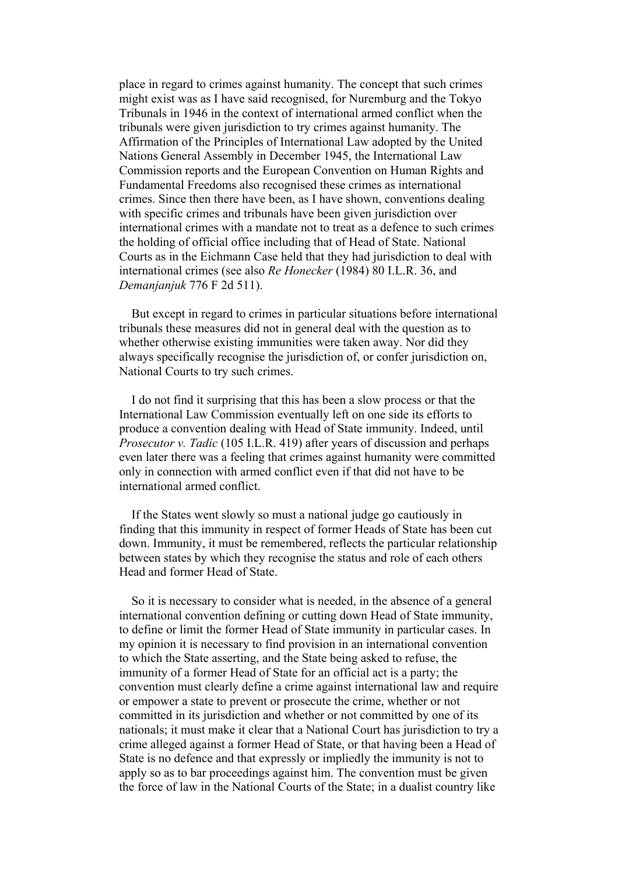place in regard to crimes against humanity. The concept that such crimes might exist was as I have said recognised, for Nuremburg and the Tokyo Tribunals in 1946 in the context of international armed conflict when the tribunals were given jurisdiction to try crimes against humanity. The Affirmation of the Principles of International Law adopted by the United Nations General Assembly in December 1945, the International Law Commission reports and the European Convention on Human Rights and Fundamental Freedoms also recognised these crimes as international crimes. Since then there have been, as I have shown, conventions dealing with specific crimes and tribunals have been given jurisdiction over international crimes with a mandate not to treat as a defence to such crimes the holding of official office including that of Head of State. National Courts as in the Eichmann Case held that they had jurisdiction to deal with international crimes (see also *Re Honecker* (1984) 80 I.L.R. 36, and *Demanjanjuk* 776 F 2d 511).

 But except in regard to crimes in particular situations before international tribunals these measures did not in general deal with the question as to whether otherwise existing immunities were taken away. Nor did they always specifically recognise the jurisdiction of, or confer jurisdiction on, National Courts to try such crimes.

 I do not find it surprising that this has been a slow process or that the International Law Commission eventually left on one side its efforts to produce a convention dealing with Head of State immunity. Indeed, until *Prosecutor v. Tadic* (105 I.L.R. 419) after years of discussion and perhaps even later there was a feeling that crimes against humanity were committed only in connection with armed conflict even if that did not have to be international armed conflict.

 If the States went slowly so must a national judge go cautiously in finding that this immunity in respect of former Heads of State has been cut down. Immunity, it must be remembered, reflects the particular relationship between states by which they recognise the status and role of each others Head and former Head of State.

 So it is necessary to consider what is needed, in the absence of a general international convention defining or cutting down Head of State immunity, to define or limit the former Head of State immunity in particular cases. In my opinion it is necessary to find provision in an international convention to which the State asserting, and the State being asked to refuse, the immunity of a former Head of State for an official act is a party; the convention must clearly define a crime against international law and require or empower a state to prevent or prosecute the crime, whether or not committed in its jurisdiction and whether or not committed by one of its nationals; it must make it clear that a National Court has jurisdiction to try a crime alleged against a former Head of State, or that having been a Head of State is no defence and that expressly or impliedly the immunity is not to apply so as to bar proceedings against him. The convention must be given the force of law in the National Courts of the State; in a dualist country like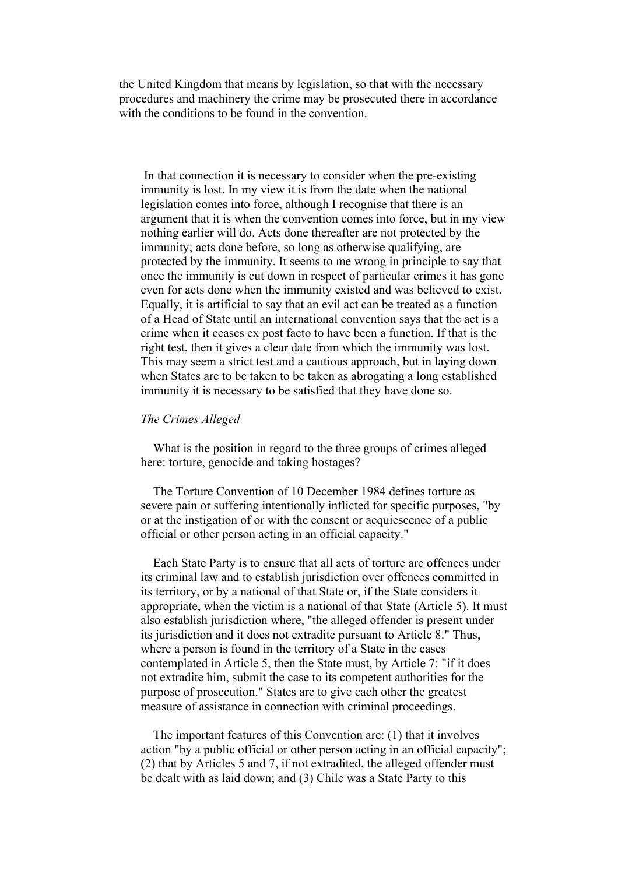the United Kingdom that means by legislation, so that with the necessary procedures and machinery the crime may be prosecuted there in accordance with the conditions to be found in the convention.

 In that connection it is necessary to consider when the pre-existing immunity is lost. In my view it is from the date when the national legislation comes into force, although I recognise that there is an argument that it is when the convention comes into force, but in my view nothing earlier will do. Acts done thereafter are not protected by the immunity; acts done before, so long as otherwise qualifying, are protected by the immunity. It seems to me wrong in principle to say that once the immunity is cut down in respect of particular crimes it has gone even for acts done when the immunity existed and was believed to exist. Equally, it is artificial to say that an evil act can be treated as a function of a Head of State until an international convention says that the act is a crime when it ceases ex post facto to have been a function. If that is the right test, then it gives a clear date from which the immunity was lost. This may seem a strict test and a cautious approach, but in laying down when States are to be taken to be taken as abrogating a long established immunity it is necessary to be satisfied that they have done so.

### *The Crimes Alleged*

 What is the position in regard to the three groups of crimes alleged here: torture, genocide and taking hostages?

 The Torture Convention of 10 December 1984 defines torture as severe pain or suffering intentionally inflicted for specific purposes, "by or at the instigation of or with the consent or acquiescence of a public official or other person acting in an official capacity."

 Each State Party is to ensure that all acts of torture are offences under its criminal law and to establish jurisdiction over offences committed in its territory, or by a national of that State or, if the State considers it appropriate, when the victim is a national of that State (Article 5). It must also establish jurisdiction where, "the alleged offender is present under its jurisdiction and it does not extradite pursuant to Article 8." Thus, where a person is found in the territory of a State in the cases contemplated in Article 5, then the State must, by Article 7: "if it does not extradite him, submit the case to its competent authorities for the purpose of prosecution." States are to give each other the greatest measure of assistance in connection with criminal proceedings.

 The important features of this Convention are: (1) that it involves action "by a public official or other person acting in an official capacity"; (2) that by Articles 5 and 7, if not extradited, the alleged offender must be dealt with as laid down; and (3) Chile was a State Party to this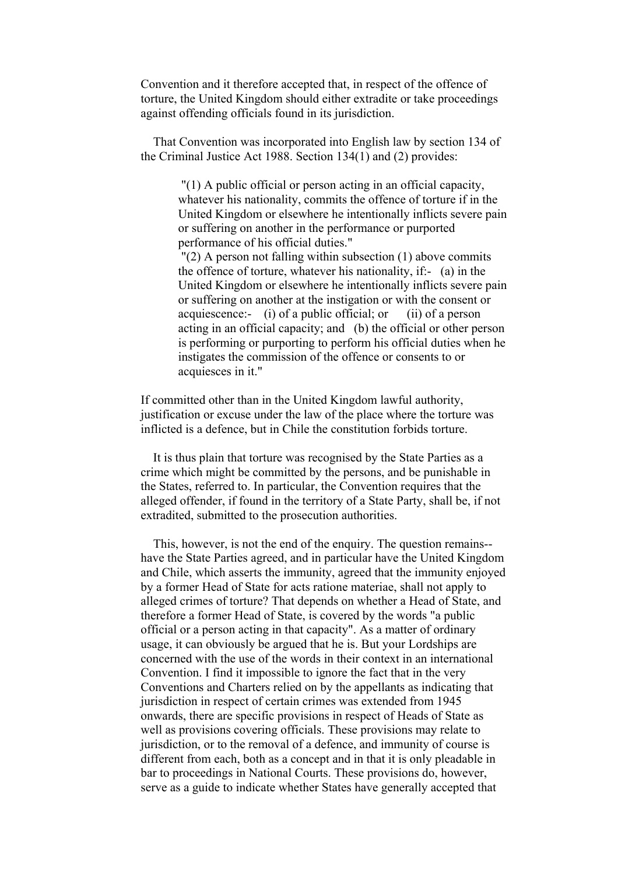Convention and it therefore accepted that, in respect of the offence of torture, the United Kingdom should either extradite or take proceedings against offending officials found in its jurisdiction.

 That Convention was incorporated into English law by section 134 of the Criminal Justice Act 1988. Section 134(1) and (2) provides:

> "(1) A public official or person acting in an official capacity, whatever his nationality, commits the offence of torture if in the United Kingdom or elsewhere he intentionally inflicts severe pain or suffering on another in the performance or purported performance of his official duties."

> "(2) A person not falling within subsection (1) above commits the offence of torture, whatever his nationality, if:- (a) in the United Kingdom or elsewhere he intentionally inflicts severe pain or suffering on another at the instigation or with the consent or acquiescence:- (i) of a public official; or (ii) of a person acting in an official capacity; and (b) the official or other person is performing or purporting to perform his official duties when he instigates the commission of the offence or consents to or acquiesces in it."

If committed other than in the United Kingdom lawful authority, justification or excuse under the law of the place where the torture was inflicted is a defence, but in Chile the constitution forbids torture.

 It is thus plain that torture was recognised by the State Parties as a crime which might be committed by the persons, and be punishable in the States, referred to. In particular, the Convention requires that the alleged offender, if found in the territory of a State Party, shall be, if not extradited, submitted to the prosecution authorities.

 This, however, is not the end of the enquiry. The question remains- have the State Parties agreed, and in particular have the United Kingdom and Chile, which asserts the immunity, agreed that the immunity enjoyed by a former Head of State for acts ratione materiae, shall not apply to alleged crimes of torture? That depends on whether a Head of State, and therefore a former Head of State, is covered by the words "a public official or a person acting in that capacity". As a matter of ordinary usage, it can obviously be argued that he is. But your Lordships are concerned with the use of the words in their context in an international Convention. I find it impossible to ignore the fact that in the very Conventions and Charters relied on by the appellants as indicating that jurisdiction in respect of certain crimes was extended from 1945 onwards, there are specific provisions in respect of Heads of State as well as provisions covering officials. These provisions may relate to jurisdiction, or to the removal of a defence, and immunity of course is different from each, both as a concept and in that it is only pleadable in bar to proceedings in National Courts. These provisions do, however, serve as a guide to indicate whether States have generally accepted that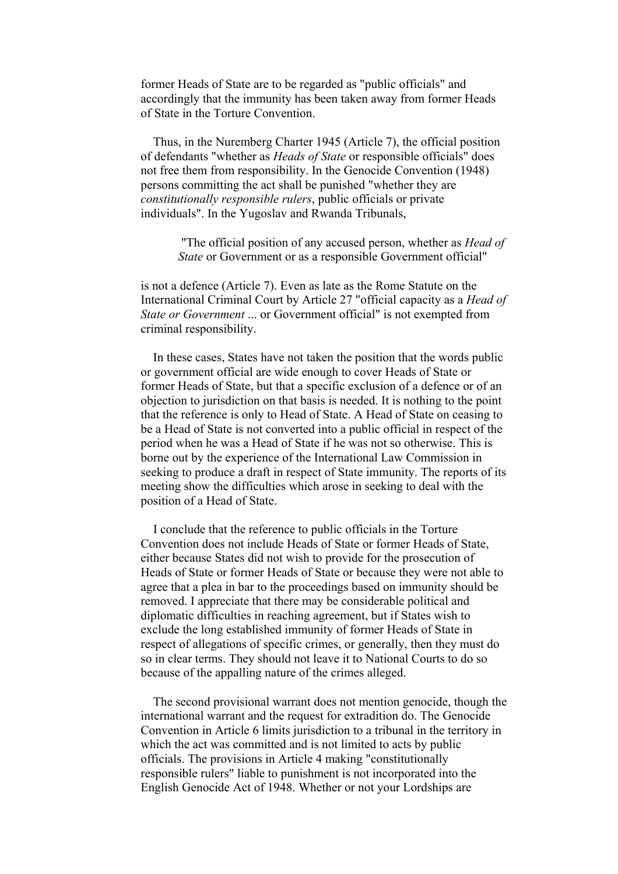former Heads of State are to be regarded as "public officials" and accordingly that the immunity has been taken away from former Heads of State in the Torture Convention.

 Thus, in the Nuremberg Charter 1945 (Article 7), the official position of defendants "whether as *Heads of State* or responsible officials" does not free them from responsibility. In the Genocide Convention (1948) persons committing the act shall be punished "whether they are *constitutionally responsible rulers*, public officials or private individuals". In the Yugoslav and Rwanda Tribunals,

> "The official position of any accused person, whether as *Head of State* or Government or as a responsible Government official"

is not a defence (Article 7). Even as late as the Rome Statute on the International Criminal Court by Article 27 "official capacity as a *Head of State or Government* ... or Government official" is not exempted from criminal responsibility.

 In these cases, States have not taken the position that the words public or government official are wide enough to cover Heads of State or former Heads of State, but that a specific exclusion of a defence or of an objection to jurisdiction on that basis is needed. It is nothing to the point that the reference is only to Head of State. A Head of State on ceasing to be a Head of State is not converted into a public official in respect of the period when he was a Head of State if he was not so otherwise. This is borne out by the experience of the International Law Commission in seeking to produce a draft in respect of State immunity. The reports of its meeting show the difficulties which arose in seeking to deal with the position of a Head of State.

 I conclude that the reference to public officials in the Torture Convention does not include Heads of State or former Heads of State, either because States did not wish to provide for the prosecution of Heads of State or former Heads of State or because they were not able to agree that a plea in bar to the proceedings based on immunity should be removed. I appreciate that there may be considerable political and diplomatic difficulties in reaching agreement, but if States wish to exclude the long established immunity of former Heads of State in respect of allegations of specific crimes, or generally, then they must do so in clear terms. They should not leave it to National Courts to do so because of the appalling nature of the crimes alleged.

 The second provisional warrant does not mention genocide, though the international warrant and the request for extradition do. The Genocide Convention in Article 6 limits jurisdiction to a tribunal in the territory in which the act was committed and is not limited to acts by public officials. The provisions in Article 4 making "constitutionally responsible rulers" liable to punishment is not incorporated into the English Genocide Act of 1948. Whether or not your Lordships are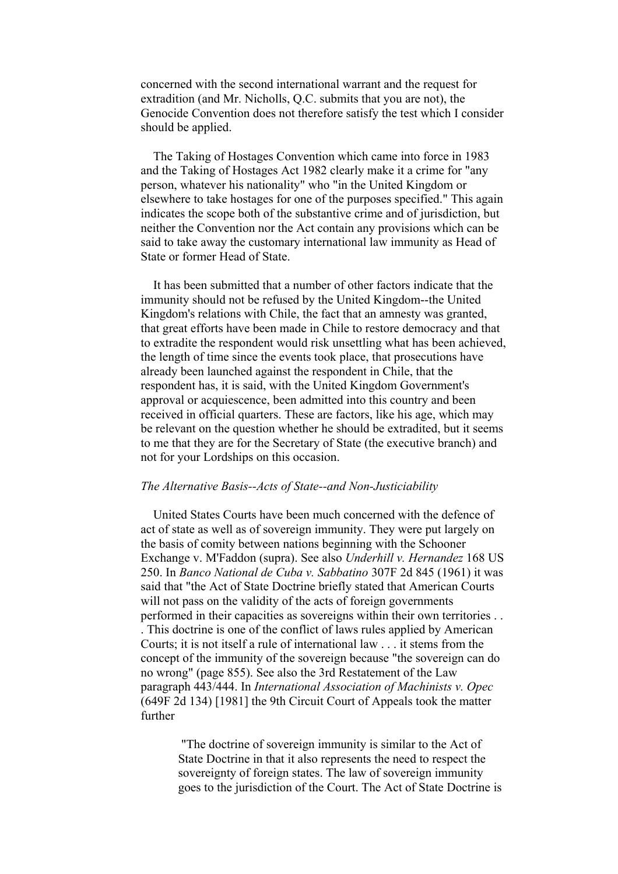concerned with the second international warrant and the request for extradition (and Mr. Nicholls, Q.C. submits that you are not), the Genocide Convention does not therefore satisfy the test which I consider should be applied.

 The Taking of Hostages Convention which came into force in 1983 and the Taking of Hostages Act 1982 clearly make it a crime for "any person, whatever his nationality" who "in the United Kingdom or elsewhere to take hostages for one of the purposes specified." This again indicates the scope both of the substantive crime and of jurisdiction, but neither the Convention nor the Act contain any provisions which can be said to take away the customary international law immunity as Head of State or former Head of State.

 It has been submitted that a number of other factors indicate that the immunity should not be refused by the United Kingdom--the United Kingdom's relations with Chile, the fact that an amnesty was granted, that great efforts have been made in Chile to restore democracy and that to extradite the respondent would risk unsettling what has been achieved, the length of time since the events took place, that prosecutions have already been launched against the respondent in Chile, that the respondent has, it is said, with the United Kingdom Government's approval or acquiescence, been admitted into this country and been received in official quarters. These are factors, like his age, which may be relevant on the question whether he should be extradited, but it seems to me that they are for the Secretary of State (the executive branch) and not for your Lordships on this occasion.

### *The Alternative Basis--Acts of State--and Non-Justiciability*

 United States Courts have been much concerned with the defence of act of state as well as of sovereign immunity. They were put largely on the basis of comity between nations beginning with the Schooner Exchange v. M'Faddon (supra). See also *Underhill v. Hernandez* 168 US 250. In *Banco National de Cuba v. Sabbatino* 307F 2d 845 (1961) it was said that "the Act of State Doctrine briefly stated that American Courts will not pass on the validity of the acts of foreign governments performed in their capacities as sovereigns within their own territories . . . This doctrine is one of the conflict of laws rules applied by American Courts; it is not itself a rule of international law . . . it stems from the concept of the immunity of the sovereign because "the sovereign can do no wrong" (page 855). See also the 3rd Restatement of the Law paragraph 443/444. In *International Association of Machinists v. Opec* (649F 2d 134) [1981] the 9th Circuit Court of Appeals took the matter further

 "The doctrine of sovereign immunity is similar to the Act of State Doctrine in that it also represents the need to respect the sovereignty of foreign states. The law of sovereign immunity goes to the jurisdiction of the Court. The Act of State Doctrine is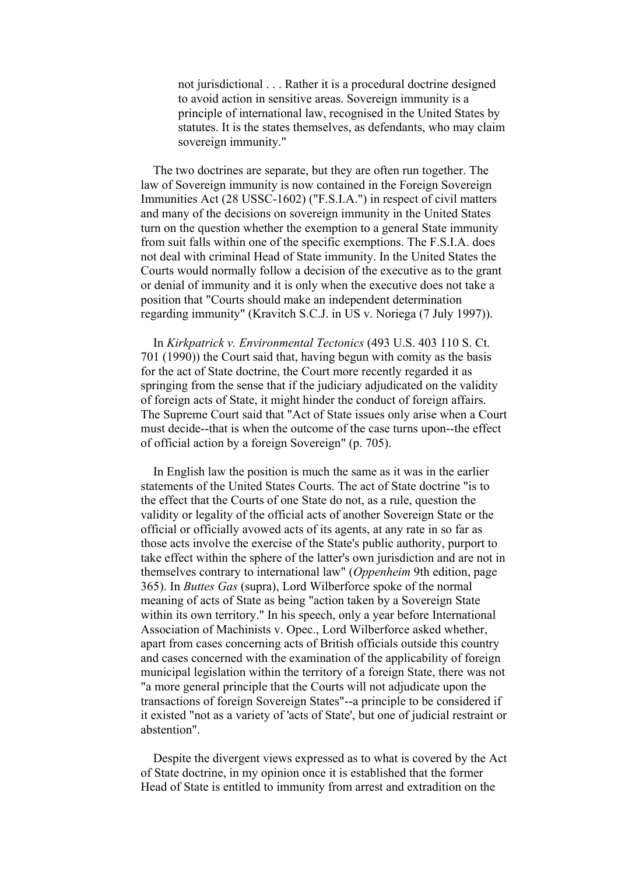not jurisdictional . . . Rather it is a procedural doctrine designed to avoid action in sensitive areas. Sovereign immunity is a principle of international law, recognised in the United States by statutes. It is the states themselves, as defendants, who may claim sovereign immunity."

 The two doctrines are separate, but they are often run together. The law of Sovereign immunity is now contained in the Foreign Sovereign Immunities Act (28 USSC-1602) ("F.S.I.A.") in respect of civil matters and many of the decisions on sovereign immunity in the United States turn on the question whether the exemption to a general State immunity from suit falls within one of the specific exemptions. The F.S.I.A. does not deal with criminal Head of State immunity. In the United States the Courts would normally follow a decision of the executive as to the grant or denial of immunity and it is only when the executive does not take a position that "Courts should make an independent determination regarding immunity" (Kravitch S.C.J. in US v. Noriega (7 July 1997)).

 In *Kirkpatrick v. Environmental Tectonics* (493 U.S. 403 110 S. Ct. 701 (1990)) the Court said that, having begun with comity as the basis for the act of State doctrine, the Court more recently regarded it as springing from the sense that if the judiciary adjudicated on the validity of foreign acts of State, it might hinder the conduct of foreign affairs. The Supreme Court said that "Act of State issues only arise when a Court must decide--that is when the outcome of the case turns upon--the effect of official action by a foreign Sovereign" (p. 705).

 In English law the position is much the same as it was in the earlier statements of the United States Courts. The act of State doctrine "is to the effect that the Courts of one State do not, as a rule, question the validity or legality of the official acts of another Sovereign State or the official or officially avowed acts of its agents, at any rate in so far as those acts involve the exercise of the State's public authority, purport to take effect within the sphere of the latter's own jurisdiction and are not in themselves contrary to international law" (*Oppenheim* 9th edition, page 365). In *Buttes Gas* (supra), Lord Wilberforce spoke of the normal meaning of acts of State as being "action taken by a Sovereign State within its own territory." In his speech, only a year before International Association of Machinists v. Opec., Lord Wilberforce asked whether, apart from cases concerning acts of British officials outside this country and cases concerned with the examination of the applicability of foreign municipal legislation within the territory of a foreign State, there was not "a more general principle that the Courts will not adjudicate upon the transactions of foreign Sovereign States"--a principle to be considered if it existed "not as a variety of 'acts of State', but one of judicial restraint or abstention".

 Despite the divergent views expressed as to what is covered by the Act of State doctrine, in my opinion once it is established that the former Head of State is entitled to immunity from arrest and extradition on the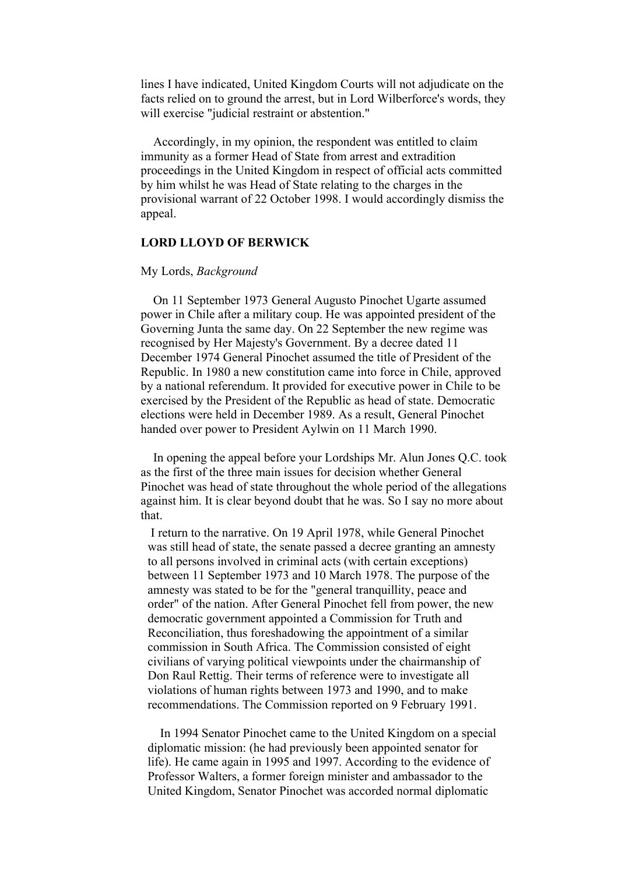lines I have indicated, United Kingdom Courts will not adjudicate on the facts relied on to ground the arrest, but in Lord Wilberforce's words, they will exercise "judicial restraint or abstention."

 Accordingly, in my opinion, the respondent was entitled to claim immunity as a former Head of State from arrest and extradition proceedings in the United Kingdom in respect of official acts committed by him whilst he was Head of State relating to the charges in the provisional warrant of 22 October 1998. I would accordingly dismiss the appeal.

### **LORD LLOYD OF BERWICK**

### My Lords, *Background*

 On 11 September 1973 General Augusto Pinochet Ugarte assumed power in Chile after a military coup. He was appointed president of the Governing Junta the same day. On 22 September the new regime was recognised by Her Majesty's Government. By a decree dated 11 December 1974 General Pinochet assumed the title of President of the Republic. In 1980 a new constitution came into force in Chile, approved by a national referendum. It provided for executive power in Chile to be exercised by the President of the Republic as head of state. Democratic elections were held in December 1989. As a result, General Pinochet handed over power to President Aylwin on 11 March 1990.

 In opening the appeal before your Lordships Mr. Alun Jones Q.C. took as the first of the three main issues for decision whether General Pinochet was head of state throughout the whole period of the allegations against him. It is clear beyond doubt that he was. So I say no more about that.

 I return to the narrative. On 19 April 1978, while General Pinochet was still head of state, the senate passed a decree granting an amnesty to all persons involved in criminal acts (with certain exceptions) between 11 September 1973 and 10 March 1978. The purpose of the amnesty was stated to be for the "general tranquillity, peace and order" of the nation. After General Pinochet fell from power, the new democratic government appointed a Commission for Truth and Reconciliation, thus foreshadowing the appointment of a similar commission in South Africa. The Commission consisted of eight civilians of varying political viewpoints under the chairmanship of Don Raul Rettig. Their terms of reference were to investigate all violations of human rights between 1973 and 1990, and to make recommendations. The Commission reported on 9 February 1991.

 In 1994 Senator Pinochet came to the United Kingdom on a special diplomatic mission: (he had previously been appointed senator for life). He came again in 1995 and 1997. According to the evidence of Professor Walters, a former foreign minister and ambassador to the United Kingdom, Senator Pinochet was accorded normal diplomatic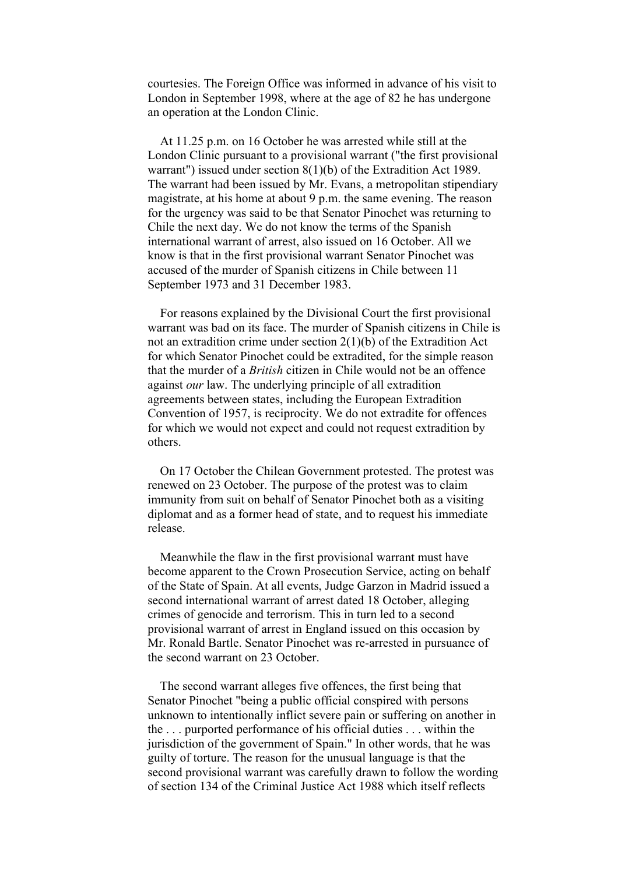courtesies. The Foreign Office was informed in advance of his visit to London in September 1998, where at the age of 82 he has undergone an operation at the London Clinic.

 At 11.25 p.m. on 16 October he was arrested while still at the London Clinic pursuant to a provisional warrant ("the first provisional warrant") issued under section 8(1)(b) of the Extradition Act 1989. The warrant had been issued by Mr. Evans, a metropolitan stipendiary magistrate, at his home at about 9 p.m. the same evening. The reason for the urgency was said to be that Senator Pinochet was returning to Chile the next day. We do not know the terms of the Spanish international warrant of arrest, also issued on 16 October. All we know is that in the first provisional warrant Senator Pinochet was accused of the murder of Spanish citizens in Chile between 11 September 1973 and 31 December 1983.

 For reasons explained by the Divisional Court the first provisional warrant was bad on its face. The murder of Spanish citizens in Chile is not an extradition crime under section 2(1)(b) of the Extradition Act for which Senator Pinochet could be extradited, for the simple reason that the murder of a *British* citizen in Chile would not be an offence against *our* law. The underlying principle of all extradition agreements between states, including the European Extradition Convention of 1957, is reciprocity. We do not extradite for offences for which we would not expect and could not request extradition by others.

 On 17 October the Chilean Government protested. The protest was renewed on 23 October. The purpose of the protest was to claim immunity from suit on behalf of Senator Pinochet both as a visiting diplomat and as a former head of state, and to request his immediate release.

 Meanwhile the flaw in the first provisional warrant must have become apparent to the Crown Prosecution Service, acting on behalf of the State of Spain. At all events, Judge Garzon in Madrid issued a second international warrant of arrest dated 18 October, alleging crimes of genocide and terrorism. This in turn led to a second provisional warrant of arrest in England issued on this occasion by Mr. Ronald Bartle. Senator Pinochet was re-arrested in pursuance of the second warrant on 23 October.

 The second warrant alleges five offences, the first being that Senator Pinochet "being a public official conspired with persons unknown to intentionally inflict severe pain or suffering on another in the . . . purported performance of his official duties . . . within the jurisdiction of the government of Spain." In other words, that he was guilty of torture. The reason for the unusual language is that the second provisional warrant was carefully drawn to follow the wording of section 134 of the Criminal Justice Act 1988 which itself reflects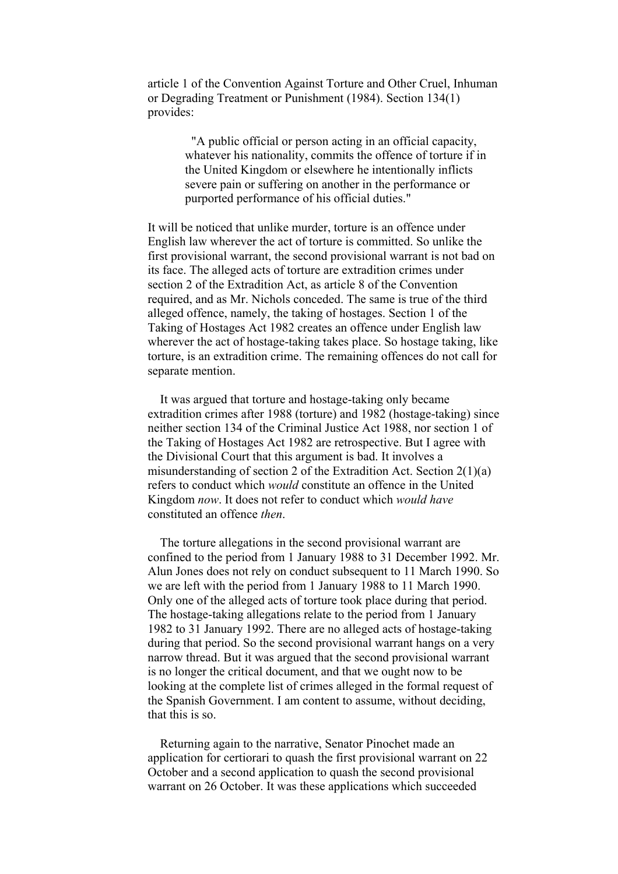article 1 of the Convention Against Torture and Other Cruel, Inhuman or Degrading Treatment or Punishment (1984). Section 134(1) provides:

> "A public official or person acting in an official capacity, whatever his nationality, commits the offence of torture if in the United Kingdom or elsewhere he intentionally inflicts severe pain or suffering on another in the performance or purported performance of his official duties."

It will be noticed that unlike murder, torture is an offence under English law wherever the act of torture is committed. So unlike the first provisional warrant, the second provisional warrant is not bad on its face. The alleged acts of torture are extradition crimes under section 2 of the Extradition Act, as article 8 of the Convention required, and as Mr. Nichols conceded. The same is true of the third alleged offence, namely, the taking of hostages. Section 1 of the Taking of Hostages Act 1982 creates an offence under English law wherever the act of hostage-taking takes place. So hostage taking, like torture, is an extradition crime. The remaining offences do not call for separate mention.

 It was argued that torture and hostage-taking only became extradition crimes after 1988 (torture) and 1982 (hostage-taking) since neither section 134 of the Criminal Justice Act 1988, nor section 1 of the Taking of Hostages Act 1982 are retrospective. But I agree with the Divisional Court that this argument is bad. It involves a misunderstanding of section 2 of the Extradition Act. Section 2(1)(a) refers to conduct which *would* constitute an offence in the United Kingdom *now*. It does not refer to conduct which *would have* constituted an offence *then*.

 The torture allegations in the second provisional warrant are confined to the period from 1 January 1988 to 31 December 1992. Mr. Alun Jones does not rely on conduct subsequent to 11 March 1990. So we are left with the period from 1 January 1988 to 11 March 1990. Only one of the alleged acts of torture took place during that period. The hostage-taking allegations relate to the period from 1 January 1982 to 31 January 1992. There are no alleged acts of hostage-taking during that period. So the second provisional warrant hangs on a very narrow thread. But it was argued that the second provisional warrant is no longer the critical document, and that we ought now to be looking at the complete list of crimes alleged in the formal request of the Spanish Government. I am content to assume, without deciding, that this is so.

 Returning again to the narrative, Senator Pinochet made an application for certiorari to quash the first provisional warrant on 22 October and a second application to quash the second provisional warrant on 26 October. It was these applications which succeeded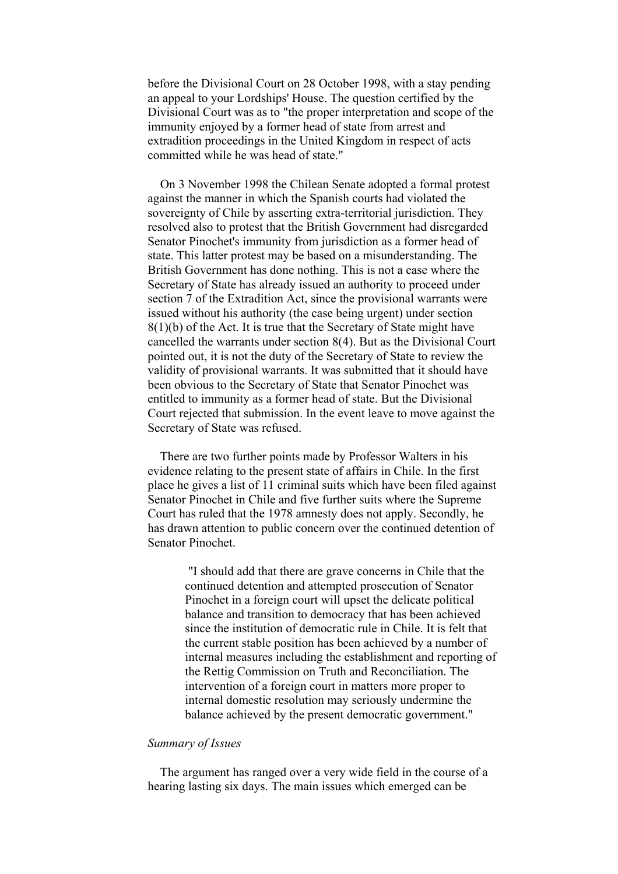before the Divisional Court on 28 October 1998, with a stay pending an appeal to your Lordships' House. The question certified by the Divisional Court was as to "the proper interpretation and scope of the immunity enjoyed by a former head of state from arrest and extradition proceedings in the United Kingdom in respect of acts committed while he was head of state."

 On 3 November 1998 the Chilean Senate adopted a formal protest against the manner in which the Spanish courts had violated the sovereignty of Chile by asserting extra-territorial jurisdiction. They resolved also to protest that the British Government had disregarded Senator Pinochet's immunity from jurisdiction as a former head of state. This latter protest may be based on a misunderstanding. The British Government has done nothing. This is not a case where the Secretary of State has already issued an authority to proceed under section 7 of the Extradition Act, since the provisional warrants were issued without his authority (the case being urgent) under section 8(1)(b) of the Act. It is true that the Secretary of State might have cancelled the warrants under section 8(4). But as the Divisional Court pointed out, it is not the duty of the Secretary of State to review the validity of provisional warrants. It was submitted that it should have been obvious to the Secretary of State that Senator Pinochet was entitled to immunity as a former head of state. But the Divisional Court rejected that submission. In the event leave to move against the Secretary of State was refused.

 There are two further points made by Professor Walters in his evidence relating to the present state of affairs in Chile. In the first place he gives a list of 11 criminal suits which have been filed against Senator Pinochet in Chile and five further suits where the Supreme Court has ruled that the 1978 amnesty does not apply. Secondly, he has drawn attention to public concern over the continued detention of Senator Pinochet.

> "I should add that there are grave concerns in Chile that the continued detention and attempted prosecution of Senator Pinochet in a foreign court will upset the delicate political balance and transition to democracy that has been achieved since the institution of democratic rule in Chile. It is felt that the current stable position has been achieved by a number of internal measures including the establishment and reporting of the Rettig Commission on Truth and Reconciliation. The intervention of a foreign court in matters more proper to internal domestic resolution may seriously undermine the balance achieved by the present democratic government."

# *Summary of Issues*

 The argument has ranged over a very wide field in the course of a hearing lasting six days. The main issues which emerged can be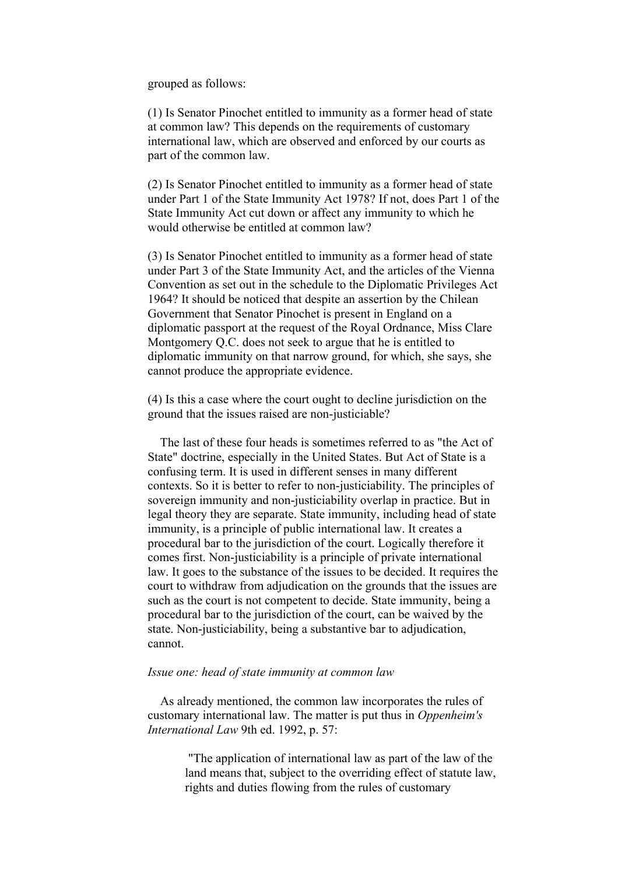grouped as follows:

(1) Is Senator Pinochet entitled to immunity as a former head of state at common law? This depends on the requirements of customary international law, which are observed and enforced by our courts as part of the common law.

(2) Is Senator Pinochet entitled to immunity as a former head of state under Part 1 of the State Immunity Act 1978? If not, does Part 1 of the State Immunity Act cut down or affect any immunity to which he would otherwise be entitled at common law?

(3) Is Senator Pinochet entitled to immunity as a former head of state under Part 3 of the State Immunity Act, and the articles of the Vienna Convention as set out in the schedule to the Diplomatic Privileges Act 1964? It should be noticed that despite an assertion by the Chilean Government that Senator Pinochet is present in England on a diplomatic passport at the request of the Royal Ordnance, Miss Clare Montgomery Q.C. does not seek to argue that he is entitled to diplomatic immunity on that narrow ground, for which, she says, she cannot produce the appropriate evidence.

(4) Is this a case where the court ought to decline jurisdiction on the ground that the issues raised are non-justiciable?

 The last of these four heads is sometimes referred to as "the Act of State" doctrine, especially in the United States. But Act of State is a confusing term. It is used in different senses in many different contexts. So it is better to refer to non-justiciability. The principles of sovereign immunity and non-justiciability overlap in practice. But in legal theory they are separate. State immunity, including head of state immunity, is a principle of public international law. It creates a procedural bar to the jurisdiction of the court. Logically therefore it comes first. Non-justiciability is a principle of private international law. It goes to the substance of the issues to be decided. It requires the court to withdraw from adjudication on the grounds that the issues are such as the court is not competent to decide. State immunity, being a procedural bar to the jurisdiction of the court, can be waived by the state. Non-justiciability, being a substantive bar to adjudication, cannot.

#### *Issue one: head of state immunity at common law*

 As already mentioned, the common law incorporates the rules of customary international law. The matter is put thus in *Oppenheim's International Law* 9th ed. 1992, p. 57:

> "The application of international law as part of the law of the land means that, subject to the overriding effect of statute law, rights and duties flowing from the rules of customary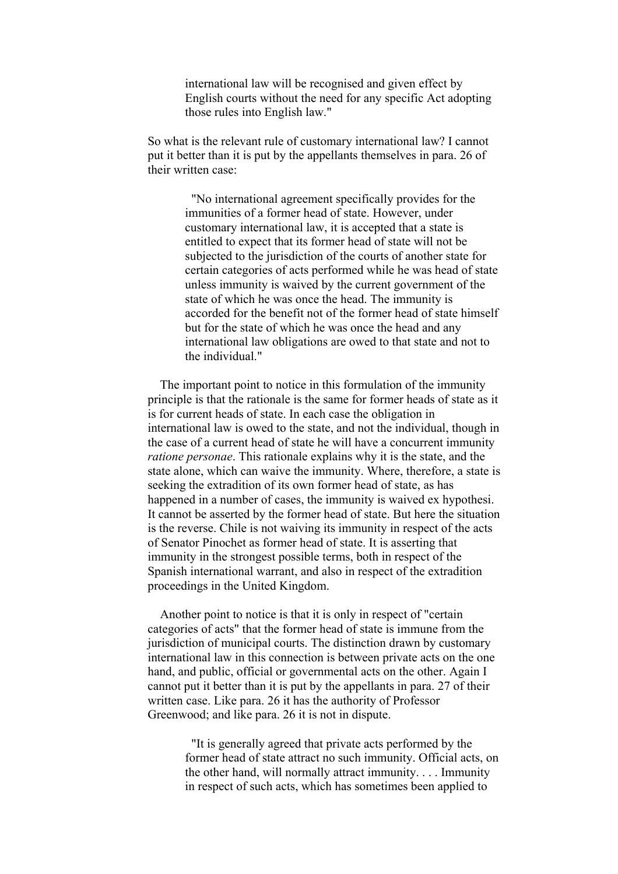international law will be recognised and given effect by English courts without the need for any specific Act adopting those rules into English law."

So what is the relevant rule of customary international law? I cannot put it better than it is put by the appellants themselves in para. 26 of their written case:

> "No international agreement specifically provides for the immunities of a former head of state. However, under customary international law, it is accepted that a state is entitled to expect that its former head of state will not be subjected to the jurisdiction of the courts of another state for certain categories of acts performed while he was head of state unless immunity is waived by the current government of the state of which he was once the head. The immunity is accorded for the benefit not of the former head of state himself but for the state of which he was once the head and any international law obligations are owed to that state and not to the individual."

 The important point to notice in this formulation of the immunity principle is that the rationale is the same for former heads of state as it is for current heads of state. In each case the obligation in international law is owed to the state, and not the individual, though in the case of a current head of state he will have a concurrent immunity *ratione personae*. This rationale explains why it is the state, and the state alone, which can waive the immunity. Where, therefore, a state is seeking the extradition of its own former head of state, as has happened in a number of cases, the immunity is waived ex hypothesi. It cannot be asserted by the former head of state. But here the situation is the reverse. Chile is not waiving its immunity in respect of the acts of Senator Pinochet as former head of state. It is asserting that immunity in the strongest possible terms, both in respect of the Spanish international warrant, and also in respect of the extradition proceedings in the United Kingdom.

 Another point to notice is that it is only in respect of "certain categories of acts" that the former head of state is immune from the jurisdiction of municipal courts. The distinction drawn by customary international law in this connection is between private acts on the one hand, and public, official or governmental acts on the other. Again I cannot put it better than it is put by the appellants in para. 27 of their written case. Like para. 26 it has the authority of Professor Greenwood; and like para. 26 it is not in dispute.

> "It is generally agreed that private acts performed by the former head of state attract no such immunity. Official acts, on the other hand, will normally attract immunity. . . . Immunity in respect of such acts, which has sometimes been applied to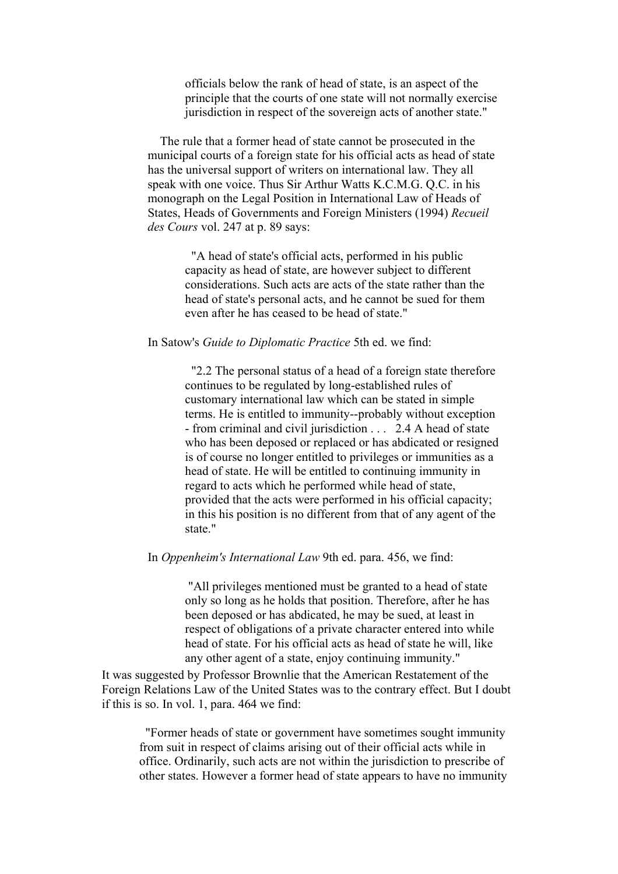officials below the rank of head of state, is an aspect of the principle that the courts of one state will not normally exercise jurisdiction in respect of the sovereign acts of another state."

 The rule that a former head of state cannot be prosecuted in the municipal courts of a foreign state for his official acts as head of state has the universal support of writers on international law. They all speak with one voice. Thus Sir Arthur Watts K.C.M.G. Q.C. in his monograph on the Legal Position in International Law of Heads of States, Heads of Governments and Foreign Ministers (1994) *Recueil des Cours* vol. 247 at p. 89 says:

> "A head of state's official acts, performed in his public capacity as head of state, are however subject to different considerations. Such acts are acts of the state rather than the head of state's personal acts, and he cannot be sued for them even after he has ceased to be head of state."

### In Satow's *Guide to Diplomatic Practice* 5th ed. we find:

 "2.2 The personal status of a head of a foreign state therefore continues to be regulated by long-established rules of customary international law which can be stated in simple terms. He is entitled to immunity--probably without exception - from criminal and civil jurisdiction . . . 2.4 A head of state who has been deposed or replaced or has abdicated or resigned is of course no longer entitled to privileges or immunities as a head of state. He will be entitled to continuing immunity in regard to acts which he performed while head of state, provided that the acts were performed in his official capacity; in this his position is no different from that of any agent of the state."

### In *Oppenheim's International Law* 9th ed. para. 456, we find:

 "All privileges mentioned must be granted to a head of state only so long as he holds that position. Therefore, after he has been deposed or has abdicated, he may be sued, at least in respect of obligations of a private character entered into while head of state. For his official acts as head of state he will, like any other agent of a state, enjoy continuing immunity."

It was suggested by Professor Brownlie that the American Restatement of the Foreign Relations Law of the United States was to the contrary effect. But I doubt if this is so. In vol. 1, para. 464 we find:

 "Former heads of state or government have sometimes sought immunity from suit in respect of claims arising out of their official acts while in office. Ordinarily, such acts are not within the jurisdiction to prescribe of other states. However a former head of state appears to have no immunity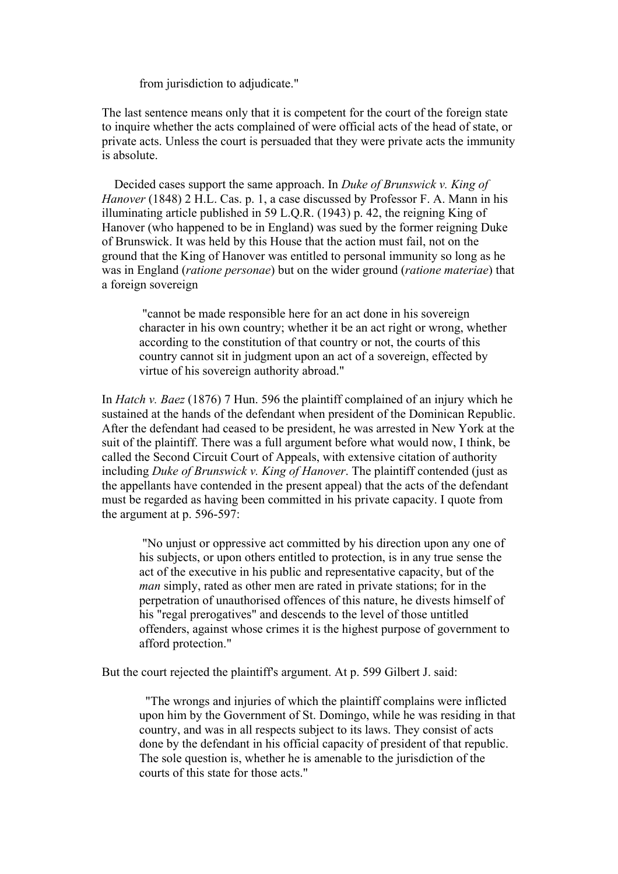from jurisdiction to adjudicate."

The last sentence means only that it is competent for the court of the foreign state to inquire whether the acts complained of were official acts of the head of state, or private acts. Unless the court is persuaded that they were private acts the immunity is absolute.

 Decided cases support the same approach. In *Duke of Brunswick v. King of Hanover* (1848) 2 H.L. Cas. p. 1, a case discussed by Professor F. A. Mann in his illuminating article published in 59 L.Q.R. (1943) p. 42, the reigning King of Hanover (who happened to be in England) was sued by the former reigning Duke of Brunswick. It was held by this House that the action must fail, not on the ground that the King of Hanover was entitled to personal immunity so long as he was in England (*ratione personae*) but on the wider ground (*ratione materiae*) that a foreign sovereign

 "cannot be made responsible here for an act done in his sovereign character in his own country; whether it be an act right or wrong, whether according to the constitution of that country or not, the courts of this country cannot sit in judgment upon an act of a sovereign, effected by virtue of his sovereign authority abroad."

In *Hatch v. Baez* (1876) 7 Hun. 596 the plaintiff complained of an injury which he sustained at the hands of the defendant when president of the Dominican Republic. After the defendant had ceased to be president, he was arrested in New York at the suit of the plaintiff. There was a full argument before what would now, I think, be called the Second Circuit Court of Appeals, with extensive citation of authority including *Duke of Brunswick v. King of Hanover*. The plaintiff contended (just as the appellants have contended in the present appeal) that the acts of the defendant must be regarded as having been committed in his private capacity. I quote from the argument at p. 596-597:

 "No unjust or oppressive act committed by his direction upon any one of his subjects, or upon others entitled to protection, is in any true sense the act of the executive in his public and representative capacity, but of the *man* simply, rated as other men are rated in private stations; for in the perpetration of unauthorised offences of this nature, he divests himself of his "regal prerogatives" and descends to the level of those untitled offenders, against whose crimes it is the highest purpose of government to afford protection."

But the court rejected the plaintiff's argument. At p. 599 Gilbert J. said:

 "The wrongs and injuries of which the plaintiff complains were inflicted upon him by the Government of St. Domingo, while he was residing in that country, and was in all respects subject to its laws. They consist of acts done by the defendant in his official capacity of president of that republic. The sole question is, whether he is amenable to the jurisdiction of the courts of this state for those acts."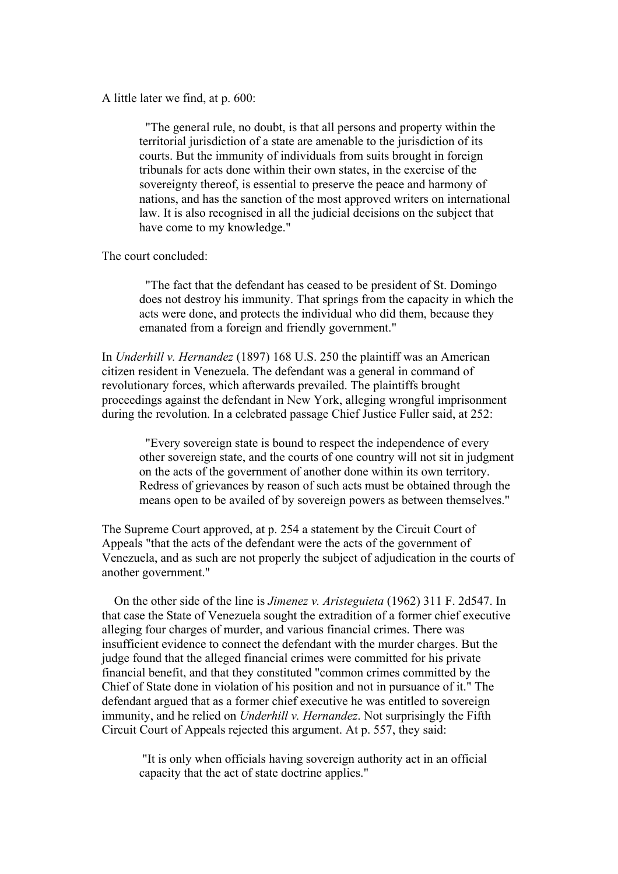A little later we find, at p. 600:

 "The general rule, no doubt, is that all persons and property within the territorial jurisdiction of a state are amenable to the jurisdiction of its courts. But the immunity of individuals from suits brought in foreign tribunals for acts done within their own states, in the exercise of the sovereignty thereof, is essential to preserve the peace and harmony of nations, and has the sanction of the most approved writers on international law. It is also recognised in all the judicial decisions on the subject that have come to my knowledge."

The court concluded:

 "The fact that the defendant has ceased to be president of St. Domingo does not destroy his immunity. That springs from the capacity in which the acts were done, and protects the individual who did them, because they emanated from a foreign and friendly government."

In *Underhill v. Hernandez* (1897) 168 U.S. 250 the plaintiff was an American citizen resident in Venezuela. The defendant was a general in command of revolutionary forces, which afterwards prevailed. The plaintiffs brought proceedings against the defendant in New York, alleging wrongful imprisonment during the revolution. In a celebrated passage Chief Justice Fuller said, at 252:

 "Every sovereign state is bound to respect the independence of every other sovereign state, and the courts of one country will not sit in judgment on the acts of the government of another done within its own territory. Redress of grievances by reason of such acts must be obtained through the means open to be availed of by sovereign powers as between themselves."

The Supreme Court approved, at p. 254 a statement by the Circuit Court of Appeals "that the acts of the defendant were the acts of the government of Venezuela, and as such are not properly the subject of adjudication in the courts of another government."

 On the other side of the line is *Jimenez v. Aristeguieta* (1962) 311 F. 2d547. In that case the State of Venezuela sought the extradition of a former chief executive alleging four charges of murder, and various financial crimes. There was insufficient evidence to connect the defendant with the murder charges. But the judge found that the alleged financial crimes were committed for his private financial benefit, and that they constituted "common crimes committed by the Chief of State done in violation of his position and not in pursuance of it." The defendant argued that as a former chief executive he was entitled to sovereign immunity, and he relied on *Underhill v. Hernandez*. Not surprisingly the Fifth Circuit Court of Appeals rejected this argument. At p. 557, they said:

 "It is only when officials having sovereign authority act in an official capacity that the act of state doctrine applies."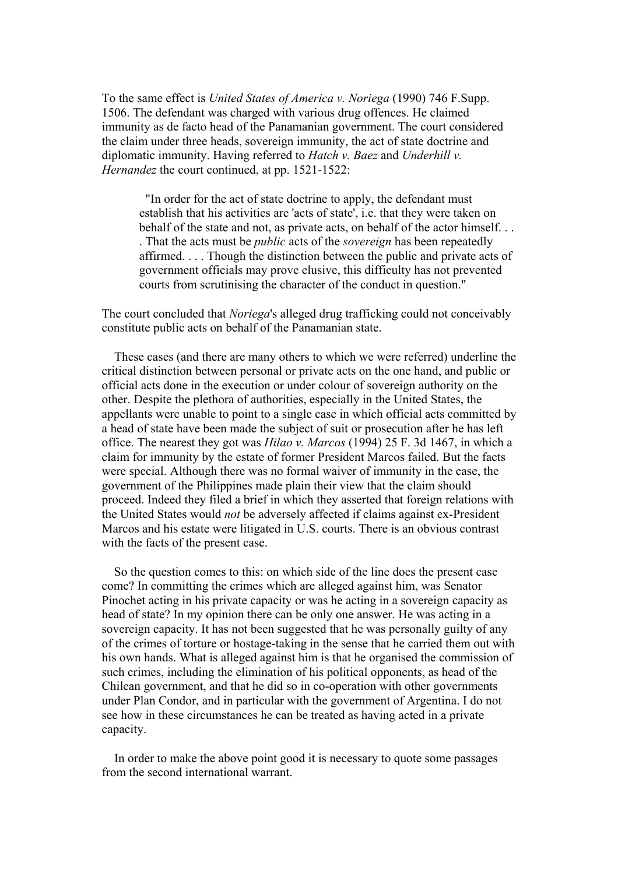To the same effect is *United States of America v. Noriega* (1990) 746 F.Supp. 1506. The defendant was charged with various drug offences. He claimed immunity as de facto head of the Panamanian government. The court considered the claim under three heads, sovereign immunity, the act of state doctrine and diplomatic immunity. Having referred to *Hatch v. Baez* and *Underhill v. Hernandez* the court continued, at pp. 1521-1522:

 "In order for the act of state doctrine to apply, the defendant must establish that his activities are 'acts of state', i.e. that they were taken on behalf of the state and not, as private acts, on behalf of the actor himself... . That the acts must be *public* acts of the *sovereign* has been repeatedly affirmed. . . . Though the distinction between the public and private acts of government officials may prove elusive, this difficulty has not prevented courts from scrutinising the character of the conduct in question."

The court concluded that *Noriega*'s alleged drug trafficking could not conceivably constitute public acts on behalf of the Panamanian state.

 These cases (and there are many others to which we were referred) underline the critical distinction between personal or private acts on the one hand, and public or official acts done in the execution or under colour of sovereign authority on the other. Despite the plethora of authorities, especially in the United States, the appellants were unable to point to a single case in which official acts committed by a head of state have been made the subject of suit or prosecution after he has left office. The nearest they got was *Hilao v. Marcos* (1994) 25 F. 3d 1467, in which a claim for immunity by the estate of former President Marcos failed. But the facts were special. Although there was no formal waiver of immunity in the case, the government of the Philippines made plain their view that the claim should proceed. Indeed they filed a brief in which they asserted that foreign relations with the United States would *not* be adversely affected if claims against ex-President Marcos and his estate were litigated in U.S. courts. There is an obvious contrast with the facts of the present case.

 So the question comes to this: on which side of the line does the present case come? In committing the crimes which are alleged against him, was Senator Pinochet acting in his private capacity or was he acting in a sovereign capacity as head of state? In my opinion there can be only one answer. He was acting in a sovereign capacity. It has not been suggested that he was personally guilty of any of the crimes of torture or hostage-taking in the sense that he carried them out with his own hands. What is alleged against him is that he organised the commission of such crimes, including the elimination of his political opponents, as head of the Chilean government, and that he did so in co-operation with other governments under Plan Condor, and in particular with the government of Argentina. I do not see how in these circumstances he can be treated as having acted in a private capacity.

 In order to make the above point good it is necessary to quote some passages from the second international warrant.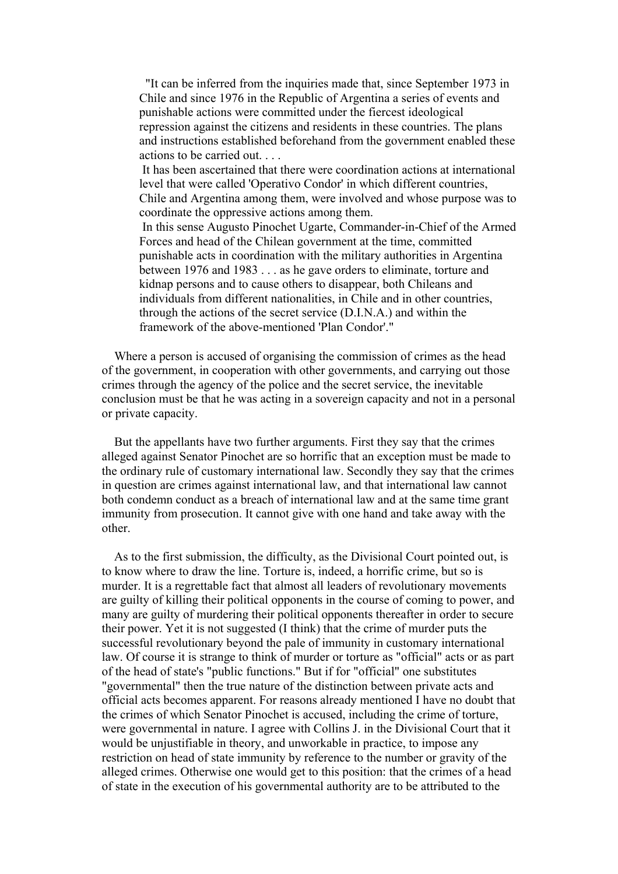"It can be inferred from the inquiries made that, since September 1973 in Chile and since 1976 in the Republic of Argentina a series of events and punishable actions were committed under the fiercest ideological repression against the citizens and residents in these countries. The plans and instructions established beforehand from the government enabled these actions to be carried out. . . .

 It has been ascertained that there were coordination actions at international level that were called 'Operativo Condor' in which different countries, Chile and Argentina among them, were involved and whose purpose was to coordinate the oppressive actions among them.

 In this sense Augusto Pinochet Ugarte, Commander-in-Chief of the Armed Forces and head of the Chilean government at the time, committed punishable acts in coordination with the military authorities in Argentina between 1976 and 1983 . . . as he gave orders to eliminate, torture and kidnap persons and to cause others to disappear, both Chileans and individuals from different nationalities, in Chile and in other countries, through the actions of the secret service (D.I.N.A.) and within the framework of the above-mentioned 'Plan Condor'."

 Where a person is accused of organising the commission of crimes as the head of the government, in cooperation with other governments, and carrying out those crimes through the agency of the police and the secret service, the inevitable conclusion must be that he was acting in a sovereign capacity and not in a personal or private capacity.

 But the appellants have two further arguments. First they say that the crimes alleged against Senator Pinochet are so horrific that an exception must be made to the ordinary rule of customary international law. Secondly they say that the crimes in question are crimes against international law, and that international law cannot both condemn conduct as a breach of international law and at the same time grant immunity from prosecution. It cannot give with one hand and take away with the other.

 As to the first submission, the difficulty, as the Divisional Court pointed out, is to know where to draw the line. Torture is, indeed, a horrific crime, but so is murder. It is a regrettable fact that almost all leaders of revolutionary movements are guilty of killing their political opponents in the course of coming to power, and many are guilty of murdering their political opponents thereafter in order to secure their power. Yet it is not suggested (I think) that the crime of murder puts the successful revolutionary beyond the pale of immunity in customary international law. Of course it is strange to think of murder or torture as "official" acts or as part of the head of state's "public functions." But if for "official" one substitutes "governmental" then the true nature of the distinction between private acts and official acts becomes apparent. For reasons already mentioned I have no doubt that the crimes of which Senator Pinochet is accused, including the crime of torture, were governmental in nature. I agree with Collins J. in the Divisional Court that it would be unjustifiable in theory, and unworkable in practice, to impose any restriction on head of state immunity by reference to the number or gravity of the alleged crimes. Otherwise one would get to this position: that the crimes of a head of state in the execution of his governmental authority are to be attributed to the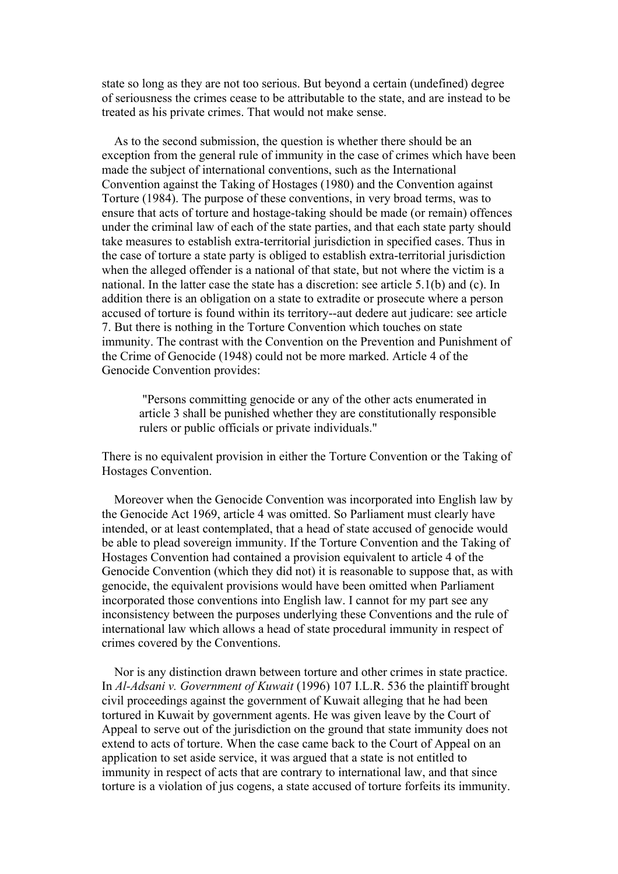state so long as they are not too serious. But beyond a certain (undefined) degree of seriousness the crimes cease to be attributable to the state, and are instead to be treated as his private crimes. That would not make sense.

 As to the second submission, the question is whether there should be an exception from the general rule of immunity in the case of crimes which have been made the subject of international conventions, such as the International Convention against the Taking of Hostages (1980) and the Convention against Torture (1984). The purpose of these conventions, in very broad terms, was to ensure that acts of torture and hostage-taking should be made (or remain) offences under the criminal law of each of the state parties, and that each state party should take measures to establish extra-territorial jurisdiction in specified cases. Thus in the case of torture a state party is obliged to establish extra-territorial jurisdiction when the alleged offender is a national of that state, but not where the victim is a national. In the latter case the state has a discretion: see article 5.1(b) and (c). In addition there is an obligation on a state to extradite or prosecute where a person accused of torture is found within its territory--aut dedere aut judicare: see article 7. But there is nothing in the Torture Convention which touches on state immunity. The contrast with the Convention on the Prevention and Punishment of the Crime of Genocide (1948) could not be more marked. Article 4 of the Genocide Convention provides:

 "Persons committing genocide or any of the other acts enumerated in article 3 shall be punished whether they are constitutionally responsible rulers or public officials or private individuals."

There is no equivalent provision in either the Torture Convention or the Taking of Hostages Convention.

 Moreover when the Genocide Convention was incorporated into English law by the Genocide Act 1969, article 4 was omitted. So Parliament must clearly have intended, or at least contemplated, that a head of state accused of genocide would be able to plead sovereign immunity. If the Torture Convention and the Taking of Hostages Convention had contained a provision equivalent to article 4 of the Genocide Convention (which they did not) it is reasonable to suppose that, as with genocide, the equivalent provisions would have been omitted when Parliament incorporated those conventions into English law. I cannot for my part see any inconsistency between the purposes underlying these Conventions and the rule of international law which allows a head of state procedural immunity in respect of crimes covered by the Conventions.

 Nor is any distinction drawn between torture and other crimes in state practice. In *Al-Adsani v. Government of Kuwait* (1996) 107 I.L.R. 536 the plaintiff brought civil proceedings against the government of Kuwait alleging that he had been tortured in Kuwait by government agents. He was given leave by the Court of Appeal to serve out of the jurisdiction on the ground that state immunity does not extend to acts of torture. When the case came back to the Court of Appeal on an application to set aside service, it was argued that a state is not entitled to immunity in respect of acts that are contrary to international law, and that since torture is a violation of jus cogens, a state accused of torture forfeits its immunity.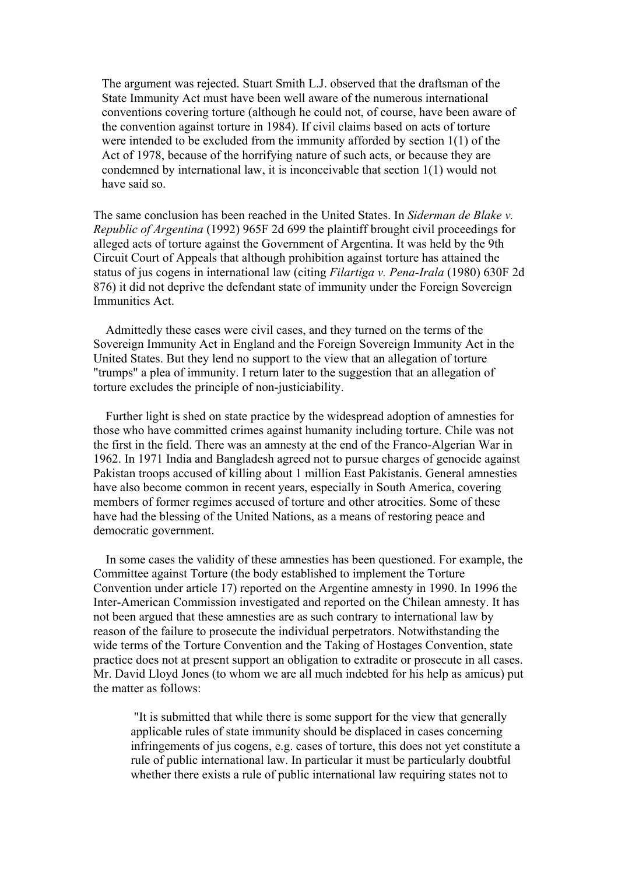The argument was rejected. Stuart Smith L.J. observed that the draftsman of the State Immunity Act must have been well aware of the numerous international conventions covering torture (although he could not, of course, have been aware of the convention against torture in 1984). If civil claims based on acts of torture were intended to be excluded from the immunity afforded by section 1(1) of the Act of 1978, because of the horrifying nature of such acts, or because they are condemned by international law, it is inconceivable that section 1(1) would not have said so.

The same conclusion has been reached in the United States. In *Siderman de Blake v. Republic of Argentina* (1992) 965F 2d 699 the plaintiff brought civil proceedings for alleged acts of torture against the Government of Argentina. It was held by the 9th Circuit Court of Appeals that although prohibition against torture has attained the status of jus cogens in international law (citing *Filartiga v. Pena-Irala* (1980) 630F 2d 876) it did not deprive the defendant state of immunity under the Foreign Sovereign Immunities Act.

 Admittedly these cases were civil cases, and they turned on the terms of the Sovereign Immunity Act in England and the Foreign Sovereign Immunity Act in the United States. But they lend no support to the view that an allegation of torture "trumps" a plea of immunity. I return later to the suggestion that an allegation of torture excludes the principle of non-justiciability.

 Further light is shed on state practice by the widespread adoption of amnesties for those who have committed crimes against humanity including torture. Chile was not the first in the field. There was an amnesty at the end of the Franco-Algerian War in 1962. In 1971 India and Bangladesh agreed not to pursue charges of genocide against Pakistan troops accused of killing about 1 million East Pakistanis. General amnesties have also become common in recent years, especially in South America, covering members of former regimes accused of torture and other atrocities. Some of these have had the blessing of the United Nations, as a means of restoring peace and democratic government.

 In some cases the validity of these amnesties has been questioned. For example, the Committee against Torture (the body established to implement the Torture Convention under article 17) reported on the Argentine amnesty in 1990. In 1996 the Inter-American Commission investigated and reported on the Chilean amnesty. It has not been argued that these amnesties are as such contrary to international law by reason of the failure to prosecute the individual perpetrators. Notwithstanding the wide terms of the Torture Convention and the Taking of Hostages Convention, state practice does not at present support an obligation to extradite or prosecute in all cases. Mr. David Lloyd Jones (to whom we are all much indebted for his help as amicus) put the matter as follows:

 "It is submitted that while there is some support for the view that generally applicable rules of state immunity should be displaced in cases concerning infringements of jus cogens, e.g. cases of torture, this does not yet constitute a rule of public international law. In particular it must be particularly doubtful whether there exists a rule of public international law requiring states not to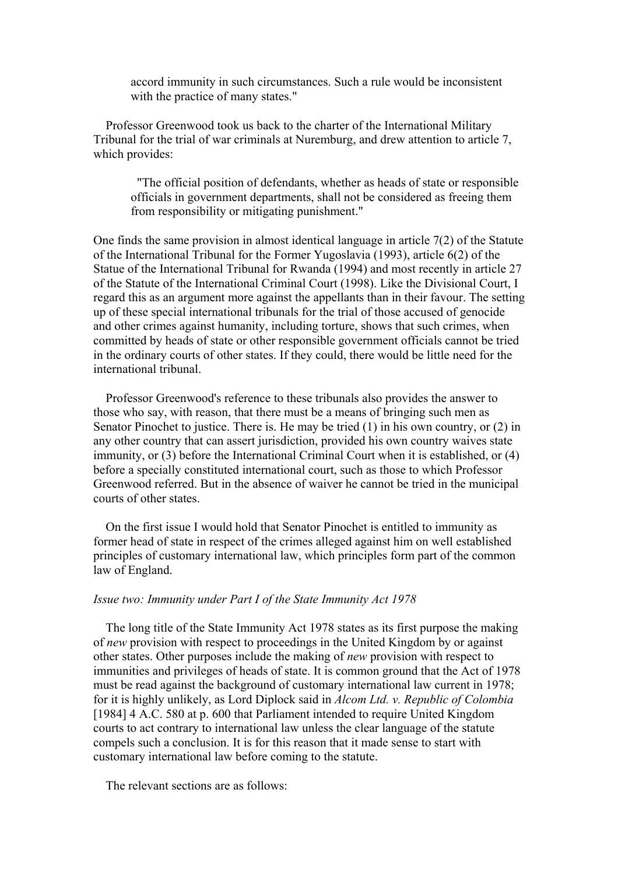accord immunity in such circumstances. Such a rule would be inconsistent with the practice of many states."

 Professor Greenwood took us back to the charter of the International Military Tribunal for the trial of war criminals at Nuremburg, and drew attention to article 7, which provides:

 "The official position of defendants, whether as heads of state or responsible officials in government departments, shall not be considered as freeing them from responsibility or mitigating punishment."

One finds the same provision in almost identical language in article 7(2) of the Statute of the International Tribunal for the Former Yugoslavia (1993), article 6(2) of the Statue of the International Tribunal for Rwanda (1994) and most recently in article 27 of the Statute of the International Criminal Court (1998). Like the Divisional Court, I regard this as an argument more against the appellants than in their favour. The setting up of these special international tribunals for the trial of those accused of genocide and other crimes against humanity, including torture, shows that such crimes, when committed by heads of state or other responsible government officials cannot be tried in the ordinary courts of other states. If they could, there would be little need for the international tribunal.

 Professor Greenwood's reference to these tribunals also provides the answer to those who say, with reason, that there must be a means of bringing such men as Senator Pinochet to justice. There is. He may be tried (1) in his own country, or (2) in any other country that can assert jurisdiction, provided his own country waives state immunity, or (3) before the International Criminal Court when it is established, or (4) before a specially constituted international court, such as those to which Professor Greenwood referred. But in the absence of waiver he cannot be tried in the municipal courts of other states.

 On the first issue I would hold that Senator Pinochet is entitled to immunity as former head of state in respect of the crimes alleged against him on well established principles of customary international law, which principles form part of the common law of England.

# *Issue two: Immunity under Part I of the State Immunity Act 1978*

 The long title of the State Immunity Act 1978 states as its first purpose the making of *new* provision with respect to proceedings in the United Kingdom by or against other states. Other purposes include the making of *new* provision with respect to immunities and privileges of heads of state. It is common ground that the Act of 1978 must be read against the background of customary international law current in 1978; for it is highly unlikely, as Lord Diplock said in *Alcom Ltd. v. Republic of Colombia* [1984] 4 A.C. 580 at p. 600 that Parliament intended to require United Kingdom courts to act contrary to international law unless the clear language of the statute compels such a conclusion. It is for this reason that it made sense to start with customary international law before coming to the statute.

The relevant sections are as follows: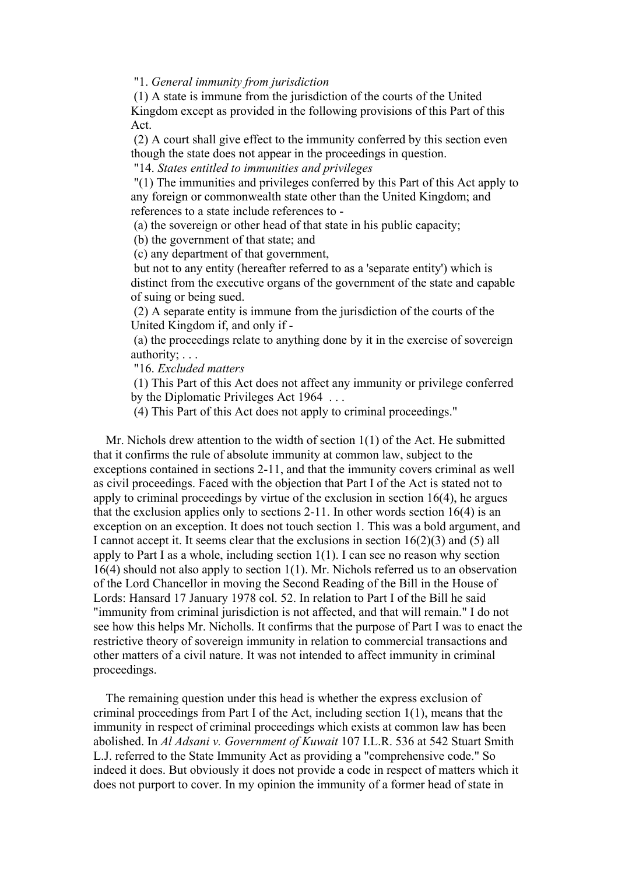"1. *General immunity from jurisdiction*

 (1) A state is immune from the jurisdiction of the courts of the United Kingdom except as provided in the following provisions of this Part of this Act.

 (2) A court shall give effect to the immunity conferred by this section even though the state does not appear in the proceedings in question.

"14. *States entitled to immunities and privileges*

 "(1) The immunities and privileges conferred by this Part of this Act apply to any foreign or commonwealth state other than the United Kingdom; and references to a state include references to -

(a) the sovereign or other head of that state in his public capacity;

(b) the government of that state; and

(c) any department of that government,

 but not to any entity (hereafter referred to as a 'separate entity') which is distinct from the executive organs of the government of the state and capable of suing or being sued.

 (2) A separate entity is immune from the jurisdiction of the courts of the United Kingdom if, and only if -

 (a) the proceedings relate to anything done by it in the exercise of sovereign authority; . . .

"16. *Excluded matters*

 (1) This Part of this Act does not affect any immunity or privilege conferred by the Diplomatic Privileges Act 1964 . . .

(4) This Part of this Act does not apply to criminal proceedings."

 Mr. Nichols drew attention to the width of section 1(1) of the Act. He submitted that it confirms the rule of absolute immunity at common law, subject to the exceptions contained in sections 2-11, and that the immunity covers criminal as well as civil proceedings. Faced with the objection that Part I of the Act is stated not to apply to criminal proceedings by virtue of the exclusion in section 16(4), he argues that the exclusion applies only to sections 2-11. In other words section 16(4) is an exception on an exception. It does not touch section 1. This was a bold argument, and I cannot accept it. It seems clear that the exclusions in section  $16(2)(3)$  and  $(5)$  all apply to Part I as a whole, including section 1(1). I can see no reason why section 16(4) should not also apply to section 1(1). Mr. Nichols referred us to an observation of the Lord Chancellor in moving the Second Reading of the Bill in the House of Lords: Hansard 17 January 1978 col. 52. In relation to Part I of the Bill he said "immunity from criminal jurisdiction is not affected, and that will remain." I do not see how this helps Mr. Nicholls. It confirms that the purpose of Part I was to enact the restrictive theory of sovereign immunity in relation to commercial transactions and other matters of a civil nature. It was not intended to affect immunity in criminal proceedings.

 The remaining question under this head is whether the express exclusion of criminal proceedings from Part I of the Act, including section 1(1), means that the immunity in respect of criminal proceedings which exists at common law has been abolished. In *Al Adsani v. Government of Kuwait* 107 I.L.R. 536 at 542 Stuart Smith L.J. referred to the State Immunity Act as providing a "comprehensive code." So indeed it does. But obviously it does not provide a code in respect of matters which it does not purport to cover. In my opinion the immunity of a former head of state in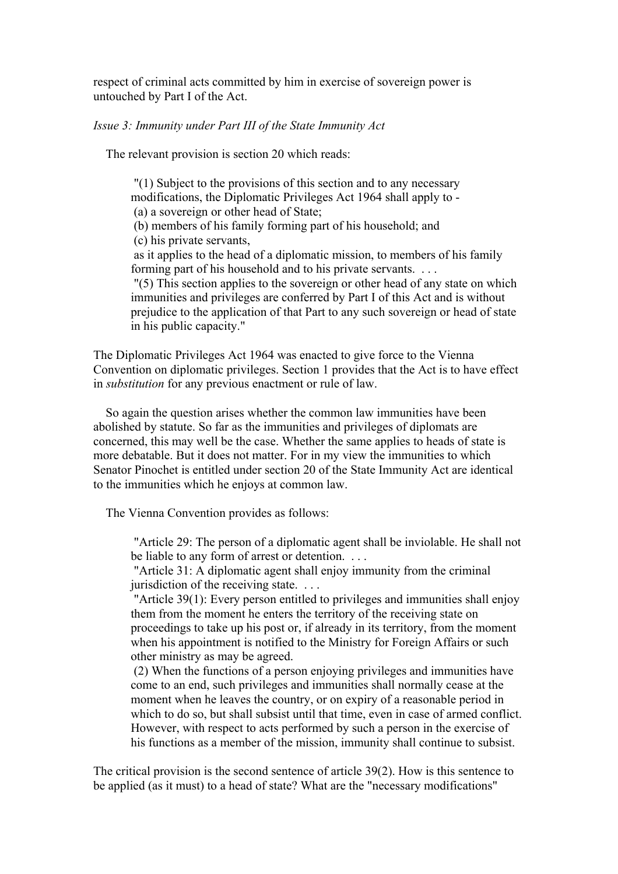respect of criminal acts committed by him in exercise of sovereign power is untouched by Part I of the Act.

*Issue 3: Immunity under Part III of the State Immunity Act*

The relevant provision is section 20 which reads:

 "(1) Subject to the provisions of this section and to any necessary modifications, the Diplomatic Privileges Act 1964 shall apply to - (a) a sovereign or other head of State;

 (b) members of his family forming part of his household; and (c) his private servants,

 as it applies to the head of a diplomatic mission, to members of his family forming part of his household and to his private servants. . . .

 "(5) This section applies to the sovereign or other head of any state on which immunities and privileges are conferred by Part I of this Act and is without prejudice to the application of that Part to any such sovereign or head of state in his public capacity."

The Diplomatic Privileges Act 1964 was enacted to give force to the Vienna Convention on diplomatic privileges. Section 1 provides that the Act is to have effect in *substitution* for any previous enactment or rule of law.

 So again the question arises whether the common law immunities have been abolished by statute. So far as the immunities and privileges of diplomats are concerned, this may well be the case. Whether the same applies to heads of state is more debatable. But it does not matter. For in my view the immunities to which Senator Pinochet is entitled under section 20 of the State Immunity Act are identical to the immunities which he enjoys at common law.

The Vienna Convention provides as follows:

 "Article 29: The person of a diplomatic agent shall be inviolable. He shall not be liable to any form of arrest or detention. . . .

 "Article 31: A diplomatic agent shall enjoy immunity from the criminal jurisdiction of the receiving state. ...

 "Article 39(1): Every person entitled to privileges and immunities shall enjoy them from the moment he enters the territory of the receiving state on proceedings to take up his post or, if already in its territory, from the moment when his appointment is notified to the Ministry for Foreign Affairs or such other ministry as may be agreed.

 (2) When the functions of a person enjoying privileges and immunities have come to an end, such privileges and immunities shall normally cease at the moment when he leaves the country, or on expiry of a reasonable period in which to do so, but shall subsist until that time, even in case of armed conflict. However, with respect to acts performed by such a person in the exercise of his functions as a member of the mission, immunity shall continue to subsist.

The critical provision is the second sentence of article 39(2). How is this sentence to be applied (as it must) to a head of state? What are the "necessary modifications"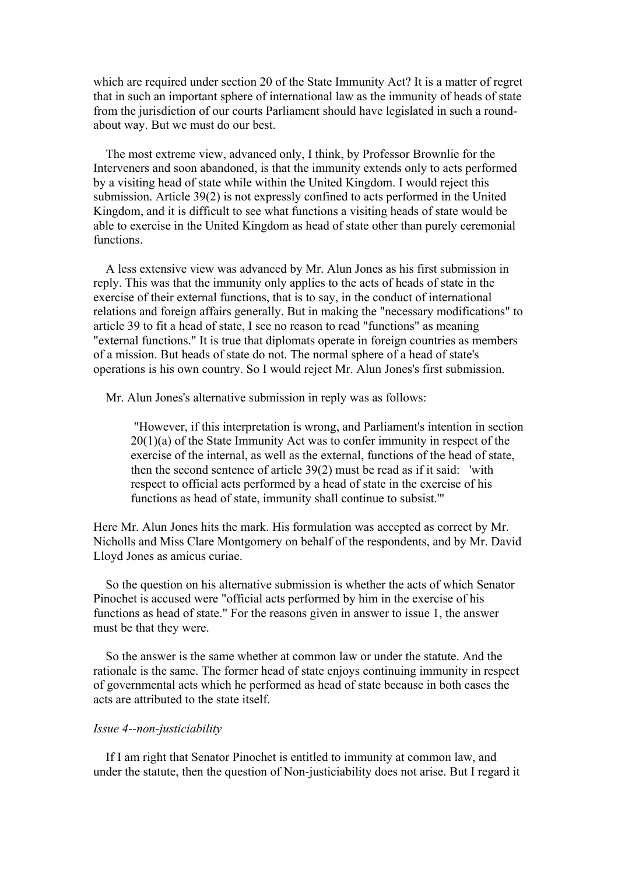which are required under section 20 of the State Immunity Act? It is a matter of regret that in such an important sphere of international law as the immunity of heads of state from the jurisdiction of our courts Parliament should have legislated in such a roundabout way. But we must do our best.

 The most extreme view, advanced only, I think, by Professor Brownlie for the Interveners and soon abandoned, is that the immunity extends only to acts performed by a visiting head of state while within the United Kingdom. I would reject this submission. Article 39(2) is not expressly confined to acts performed in the United Kingdom, and it is difficult to see what functions a visiting heads of state would be able to exercise in the United Kingdom as head of state other than purely ceremonial functions.

 A less extensive view was advanced by Mr. Alun Jones as his first submission in reply. This was that the immunity only applies to the acts of heads of state in the exercise of their external functions, that is to say, in the conduct of international relations and foreign affairs generally. But in making the "necessary modifications" to article 39 to fit a head of state, I see no reason to read "functions" as meaning "external functions." It is true that diplomats operate in foreign countries as members of a mission. But heads of state do not. The normal sphere of a head of state's operations is his own country. So I would reject Mr. Alun Jones's first submission.

Mr. Alun Jones's alternative submission in reply was as follows:

 "However, if this interpretation is wrong, and Parliament's intention in section 20(1)(a) of the State Immunity Act was to confer immunity in respect of the exercise of the internal, as well as the external, functions of the head of state, then the second sentence of article 39(2) must be read as if it said: 'with respect to official acts performed by a head of state in the exercise of his functions as head of state, immunity shall continue to subsist.'"

Here Mr. Alun Jones hits the mark. His formulation was accepted as correct by Mr. Nicholls and Miss Clare Montgomery on behalf of the respondents, and by Mr. David Lloyd Jones as amicus curiae.

 So the question on his alternative submission is whether the acts of which Senator Pinochet is accused were "official acts performed by him in the exercise of his functions as head of state." For the reasons given in answer to issue 1, the answer must be that they were.

 So the answer is the same whether at common law or under the statute. And the rationale is the same. The former head of state enjoys continuing immunity in respect of governmental acts which he performed as head of state because in both cases the acts are attributed to the state itself.

### *Issue 4--non-justiciability*

 If I am right that Senator Pinochet is entitled to immunity at common law, and under the statute, then the question of Non-justiciability does not arise. But I regard it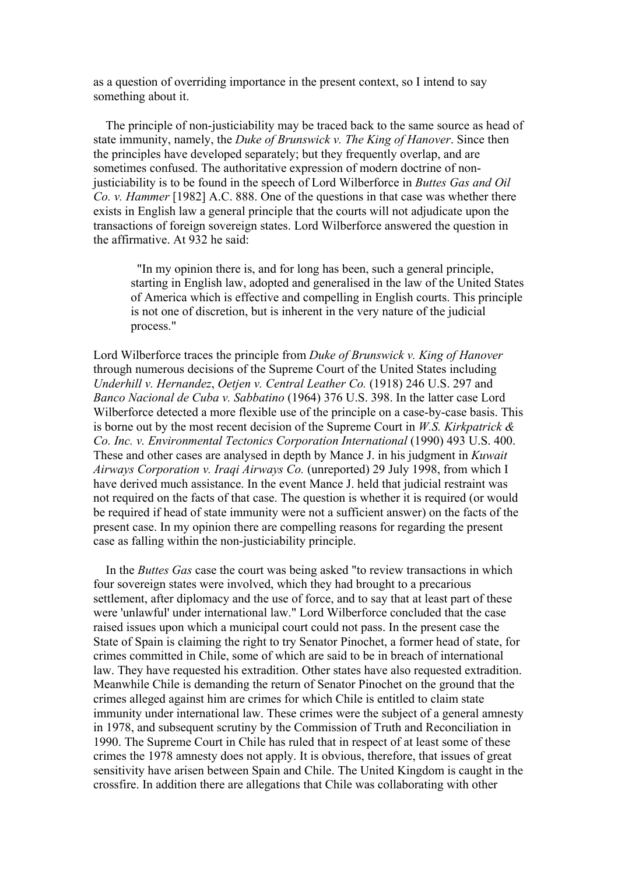as a question of overriding importance in the present context, so I intend to say something about it.

 The principle of non-justiciability may be traced back to the same source as head of state immunity, namely, the *Duke of Brunswick v. The King of Hanover*. Since then the principles have developed separately; but they frequently overlap, and are sometimes confused. The authoritative expression of modern doctrine of nonjusticiability is to be found in the speech of Lord Wilberforce in *Buttes Gas and Oil Co. v. Hammer* [1982] A.C. 888. One of the questions in that case was whether there exists in English law a general principle that the courts will not adjudicate upon the transactions of foreign sovereign states. Lord Wilberforce answered the question in the affirmative. At 932 he said:

 "In my opinion there is, and for long has been, such a general principle, starting in English law, adopted and generalised in the law of the United States of America which is effective and compelling in English courts. This principle is not one of discretion, but is inherent in the very nature of the judicial process."

Lord Wilberforce traces the principle from *Duke of Brunswick v. King of Hanover* through numerous decisions of the Supreme Court of the United States including *Underhill v. Hernandez*, *Oetjen v. Central Leather Co.* (1918) 246 U.S. 297 and *Banco Nacional de Cuba v. Sabbatino* (1964) 376 U.S. 398. In the latter case Lord Wilberforce detected a more flexible use of the principle on a case-by-case basis. This is borne out by the most recent decision of the Supreme Court in *W.S. Kirkpatrick & Co. Inc. v. Environmental Tectonics Corporation International* (1990) 493 U.S. 400. These and other cases are analysed in depth by Mance J. in his judgment in *Kuwait Airways Corporation v. Iraqi Airways Co.* (unreported) 29 July 1998, from which I have derived much assistance. In the event Mance J. held that judicial restraint was not required on the facts of that case. The question is whether it is required (or would be required if head of state immunity were not a sufficient answer) on the facts of the present case. In my opinion there are compelling reasons for regarding the present case as falling within the non-justiciability principle.

 In the *Buttes Gas* case the court was being asked "to review transactions in which four sovereign states were involved, which they had brought to a precarious settlement, after diplomacy and the use of force, and to say that at least part of these were 'unlawful' under international law." Lord Wilberforce concluded that the case raised issues upon which a municipal court could not pass. In the present case the State of Spain is claiming the right to try Senator Pinochet, a former head of state, for crimes committed in Chile, some of which are said to be in breach of international law. They have requested his extradition. Other states have also requested extradition. Meanwhile Chile is demanding the return of Senator Pinochet on the ground that the crimes alleged against him are crimes for which Chile is entitled to claim state immunity under international law. These crimes were the subject of a general amnesty in 1978, and subsequent scrutiny by the Commission of Truth and Reconciliation in 1990. The Supreme Court in Chile has ruled that in respect of at least some of these crimes the 1978 amnesty does not apply. It is obvious, therefore, that issues of great sensitivity have arisen between Spain and Chile. The United Kingdom is caught in the crossfire. In addition there are allegations that Chile was collaborating with other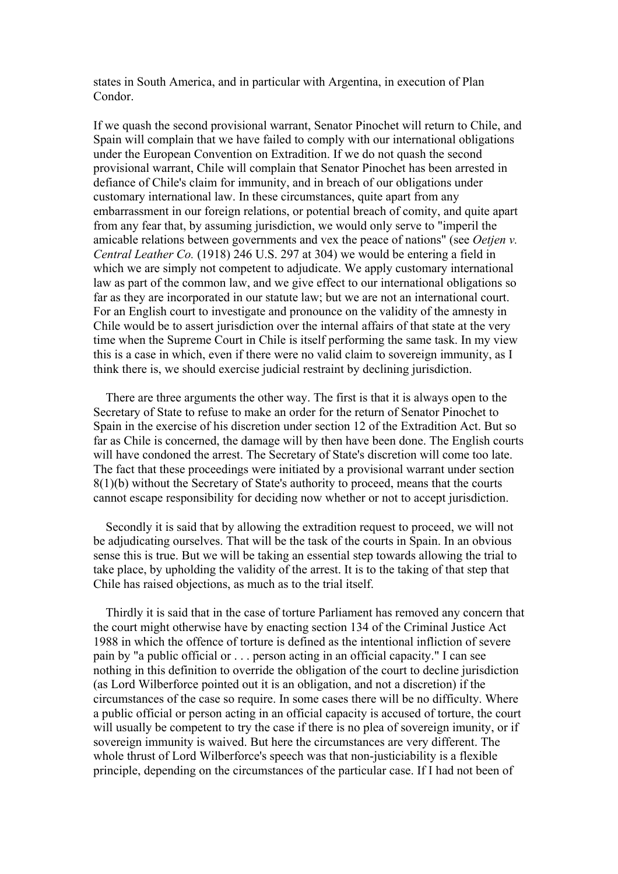states in South America, and in particular with Argentina, in execution of Plan Condor.

If we quash the second provisional warrant, Senator Pinochet will return to Chile, and Spain will complain that we have failed to comply with our international obligations under the European Convention on Extradition. If we do not quash the second provisional warrant, Chile will complain that Senator Pinochet has been arrested in defiance of Chile's claim for immunity, and in breach of our obligations under customary international law. In these circumstances, quite apart from any embarrassment in our foreign relations, or potential breach of comity, and quite apart from any fear that, by assuming jurisdiction, we would only serve to "imperil the amicable relations between governments and vex the peace of nations" (see *Oetjen v. Central Leather Co.* (1918) 246 U.S. 297 at 304) we would be entering a field in which we are simply not competent to adjudicate. We apply customary international law as part of the common law, and we give effect to our international obligations so far as they are incorporated in our statute law; but we are not an international court. For an English court to investigate and pronounce on the validity of the amnesty in Chile would be to assert jurisdiction over the internal affairs of that state at the very time when the Supreme Court in Chile is itself performing the same task. In my view this is a case in which, even if there were no valid claim to sovereign immunity, as I think there is, we should exercise judicial restraint by declining jurisdiction.

 There are three arguments the other way. The first is that it is always open to the Secretary of State to refuse to make an order for the return of Senator Pinochet to Spain in the exercise of his discretion under section 12 of the Extradition Act. But so far as Chile is concerned, the damage will by then have been done. The English courts will have condoned the arrest. The Secretary of State's discretion will come too late. The fact that these proceedings were initiated by a provisional warrant under section 8(1)(b) without the Secretary of State's authority to proceed, means that the courts cannot escape responsibility for deciding now whether or not to accept jurisdiction.

 Secondly it is said that by allowing the extradition request to proceed, we will not be adjudicating ourselves. That will be the task of the courts in Spain. In an obvious sense this is true. But we will be taking an essential step towards allowing the trial to take place, by upholding the validity of the arrest. It is to the taking of that step that Chile has raised objections, as much as to the trial itself.

 Thirdly it is said that in the case of torture Parliament has removed any concern that the court might otherwise have by enacting section 134 of the Criminal Justice Act 1988 in which the offence of torture is defined as the intentional infliction of severe pain by "a public official or . . . person acting in an official capacity." I can see nothing in this definition to override the obligation of the court to decline jurisdiction (as Lord Wilberforce pointed out it is an obligation, and not a discretion) if the circumstances of the case so require. In some cases there will be no difficulty. Where a public official or person acting in an official capacity is accused of torture, the court will usually be competent to try the case if there is no plea of sovereign imunity, or if sovereign immunity is waived. But here the circumstances are very different. The whole thrust of Lord Wilberforce's speech was that non-justiciability is a flexible principle, depending on the circumstances of the particular case. If I had not been of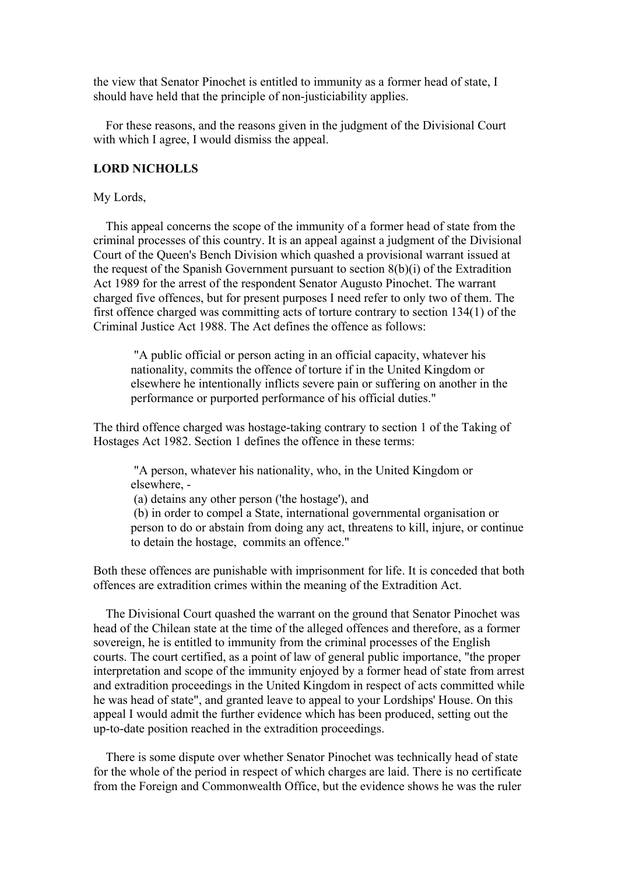the view that Senator Pinochet is entitled to immunity as a former head of state, I should have held that the principle of non-justiciability applies.

 For these reasons, and the reasons given in the judgment of the Divisional Court with which I agree, I would dismiss the appeal.

### **LORD NICHOLLS**

My Lords,

 This appeal concerns the scope of the immunity of a former head of state from the criminal processes of this country. It is an appeal against a judgment of the Divisional Court of the Queen's Bench Division which quashed a provisional warrant issued at the request of the Spanish Government pursuant to section 8(b)(i) of the Extradition Act 1989 for the arrest of the respondent Senator Augusto Pinochet. The warrant charged five offences, but for present purposes I need refer to only two of them. The first offence charged was committing acts of torture contrary to section 134(1) of the Criminal Justice Act 1988. The Act defines the offence as follows:

 "A public official or person acting in an official capacity, whatever his nationality, commits the offence of torture if in the United Kingdom or elsewhere he intentionally inflicts severe pain or suffering on another in the performance or purported performance of his official duties."

The third offence charged was hostage-taking contrary to section 1 of the Taking of Hostages Act 1982. Section 1 defines the offence in these terms:

 "A person, whatever his nationality, who, in the United Kingdom or elsewhere, -

(a) detains any other person ('the hostage'), and

 (b) in order to compel a State, international governmental organisation or person to do or abstain from doing any act, threatens to kill, injure, or continue to detain the hostage, commits an offence."

Both these offences are punishable with imprisonment for life. It is conceded that both offences are extradition crimes within the meaning of the Extradition Act.

 The Divisional Court quashed the warrant on the ground that Senator Pinochet was head of the Chilean state at the time of the alleged offences and therefore, as a former sovereign, he is entitled to immunity from the criminal processes of the English courts. The court certified, as a point of law of general public importance, "the proper interpretation and scope of the immunity enjoyed by a former head of state from arrest and extradition proceedings in the United Kingdom in respect of acts committed while he was head of state", and granted leave to appeal to your Lordships' House. On this appeal I would admit the further evidence which has been produced, setting out the up-to-date position reached in the extradition proceedings.

 There is some dispute over whether Senator Pinochet was technically head of state for the whole of the period in respect of which charges are laid. There is no certificate from the Foreign and Commonwealth Office, but the evidence shows he was the ruler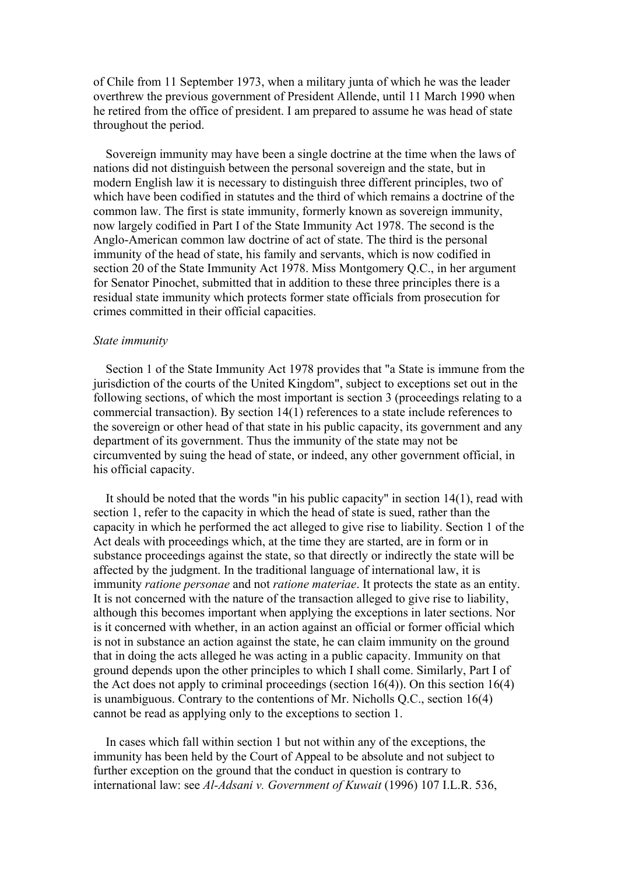of Chile from 11 September 1973, when a military junta of which he was the leader overthrew the previous government of President Allende, until 11 March 1990 when he retired from the office of president. I am prepared to assume he was head of state throughout the period.

 Sovereign immunity may have been a single doctrine at the time when the laws of nations did not distinguish between the personal sovereign and the state, but in modern English law it is necessary to distinguish three different principles, two of which have been codified in statutes and the third of which remains a doctrine of the common law. The first is state immunity, formerly known as sovereign immunity, now largely codified in Part I of the State Immunity Act 1978. The second is the Anglo-American common law doctrine of act of state. The third is the personal immunity of the head of state, his family and servants, which is now codified in section 20 of the State Immunity Act 1978. Miss Montgomery Q.C., in her argument for Senator Pinochet, submitted that in addition to these three principles there is a residual state immunity which protects former state officials from prosecution for crimes committed in their official capacities.

#### *State immunity*

 Section 1 of the State Immunity Act 1978 provides that "a State is immune from the jurisdiction of the courts of the United Kingdom", subject to exceptions set out in the following sections, of which the most important is section 3 (proceedings relating to a commercial transaction). By section 14(1) references to a state include references to the sovereign or other head of that state in his public capacity, its government and any department of its government. Thus the immunity of the state may not be circumvented by suing the head of state, or indeed, any other government official, in his official capacity.

 It should be noted that the words "in his public capacity" in section 14(1), read with section 1, refer to the capacity in which the head of state is sued, rather than the capacity in which he performed the act alleged to give rise to liability. Section 1 of the Act deals with proceedings which, at the time they are started, are in form or in substance proceedings against the state, so that directly or indirectly the state will be affected by the judgment. In the traditional language of international law, it is immunity *ratione personae* and not *ratione materiae*. It protects the state as an entity. It is not concerned with the nature of the transaction alleged to give rise to liability, although this becomes important when applying the exceptions in later sections. Nor is it concerned with whether, in an action against an official or former official which is not in substance an action against the state, he can claim immunity on the ground that in doing the acts alleged he was acting in a public capacity. Immunity on that ground depends upon the other principles to which I shall come. Similarly, Part I of the Act does not apply to criminal proceedings (section 16(4)). On this section 16(4) is unambiguous. Contrary to the contentions of Mr. Nicholls Q.C., section 16(4) cannot be read as applying only to the exceptions to section 1.

 In cases which fall within section 1 but not within any of the exceptions, the immunity has been held by the Court of Appeal to be absolute and not subject to further exception on the ground that the conduct in question is contrary to international law: see *Al-Adsani v. Government of Kuwait* (1996) 107 I.L.R. 536,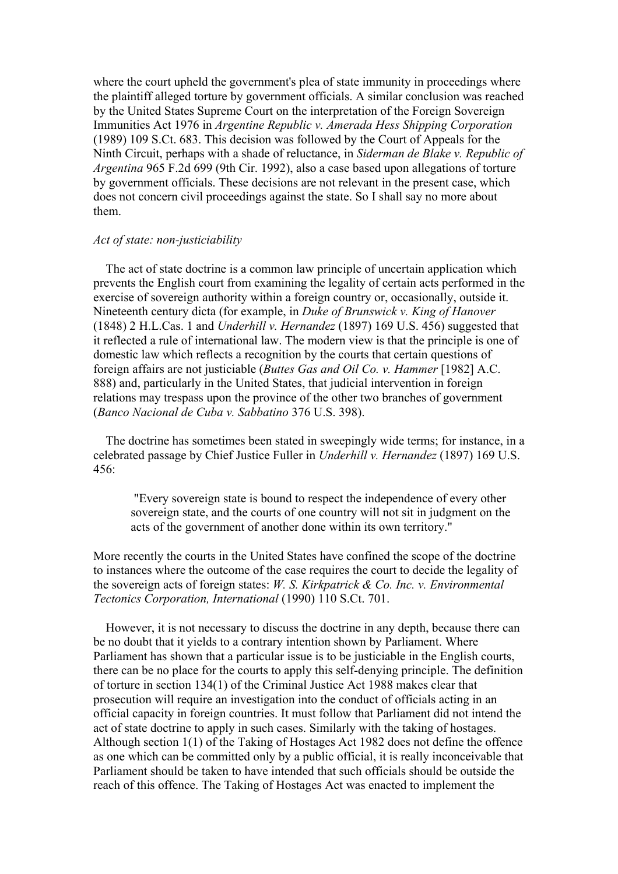where the court upheld the government's plea of state immunity in proceedings where the plaintiff alleged torture by government officials. A similar conclusion was reached by the United States Supreme Court on the interpretation of the Foreign Sovereign Immunities Act 1976 in *Argentine Republic v. Amerada Hess Shipping Corporation* (1989) 109 S.Ct. 683. This decision was followed by the Court of Appeals for the Ninth Circuit, perhaps with a shade of reluctance, in *Siderman de Blake v. Republic of Argentina* 965 F.2d 699 (9th Cir. 1992), also a case based upon allegations of torture by government officials. These decisions are not relevant in the present case, which does not concern civil proceedings against the state. So I shall say no more about them.

### *Act of state: non-justiciability*

 The act of state doctrine is a common law principle of uncertain application which prevents the English court from examining the legality of certain acts performed in the exercise of sovereign authority within a foreign country or, occasionally, outside it. Nineteenth century dicta (for example, in *Duke of Brunswick v. King of Hanover* (1848) 2 H.L.Cas. 1 and *Underhill v. Hernandez* (1897) 169 U.S. 456) suggested that it reflected a rule of international law. The modern view is that the principle is one of domestic law which reflects a recognition by the courts that certain questions of foreign affairs are not justiciable (*Buttes Gas and Oil Co. v. Hammer* [1982] A.C. 888) and, particularly in the United States, that judicial intervention in foreign relations may trespass upon the province of the other two branches of government (*Banco Nacional de Cuba v. Sabbatino* 376 U.S. 398).

 The doctrine has sometimes been stated in sweepingly wide terms; for instance, in a celebrated passage by Chief Justice Fuller in *Underhill v. Hernandez* (1897) 169 U.S. 456:

 "Every sovereign state is bound to respect the independence of every other sovereign state, and the courts of one country will not sit in judgment on the acts of the government of another done within its own territory."

More recently the courts in the United States have confined the scope of the doctrine to instances where the outcome of the case requires the court to decide the legality of the sovereign acts of foreign states: *W. S. Kirkpatrick & Co. Inc. v. Environmental Tectonics Corporation, International* (1990) 110 S.Ct. 701.

 However, it is not necessary to discuss the doctrine in any depth, because there can be no doubt that it yields to a contrary intention shown by Parliament. Where Parliament has shown that a particular issue is to be justiciable in the English courts, there can be no place for the courts to apply this self-denying principle. The definition of torture in section 134(1) of the Criminal Justice Act 1988 makes clear that prosecution will require an investigation into the conduct of officials acting in an official capacity in foreign countries. It must follow that Parliament did not intend the act of state doctrine to apply in such cases. Similarly with the taking of hostages. Although section 1(1) of the Taking of Hostages Act 1982 does not define the offence as one which can be committed only by a public official, it is really inconceivable that Parliament should be taken to have intended that such officials should be outside the reach of this offence. The Taking of Hostages Act was enacted to implement the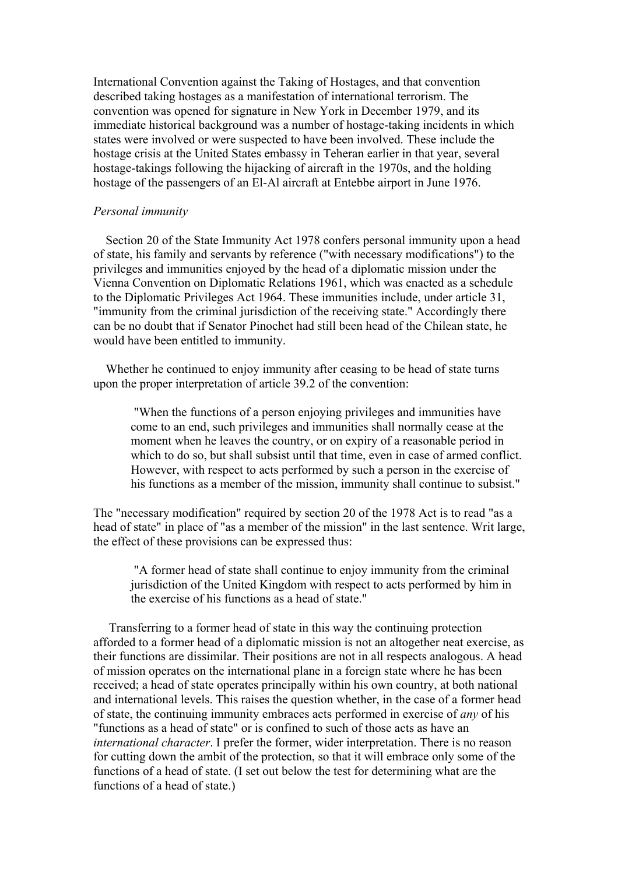International Convention against the Taking of Hostages, and that convention described taking hostages as a manifestation of international terrorism. The convention was opened for signature in New York in December 1979, and its immediate historical background was a number of hostage-taking incidents in which states were involved or were suspected to have been involved. These include the hostage crisis at the United States embassy in Teheran earlier in that year, several hostage-takings following the hijacking of aircraft in the 1970s, and the holding hostage of the passengers of an El-Al aircraft at Entebbe airport in June 1976.

### *Personal immunity*

 Section 20 of the State Immunity Act 1978 confers personal immunity upon a head of state, his family and servants by reference ("with necessary modifications") to the privileges and immunities enjoyed by the head of a diplomatic mission under the Vienna Convention on Diplomatic Relations 1961, which was enacted as a schedule to the Diplomatic Privileges Act 1964. These immunities include, under article 31, "immunity from the criminal jurisdiction of the receiving state." Accordingly there can be no doubt that if Senator Pinochet had still been head of the Chilean state, he would have been entitled to immunity.

 Whether he continued to enjoy immunity after ceasing to be head of state turns upon the proper interpretation of article 39.2 of the convention:

 "When the functions of a person enjoying privileges and immunities have come to an end, such privileges and immunities shall normally cease at the moment when he leaves the country, or on expiry of a reasonable period in which to do so, but shall subsist until that time, even in case of armed conflict. However, with respect to acts performed by such a person in the exercise of his functions as a member of the mission, immunity shall continue to subsist."

The "necessary modification" required by section 20 of the 1978 Act is to read "as a head of state" in place of "as a member of the mission" in the last sentence. Writ large, the effect of these provisions can be expressed thus:

 "A former head of state shall continue to enjoy immunity from the criminal jurisdiction of the United Kingdom with respect to acts performed by him in the exercise of his functions as a head of state."

 Transferring to a former head of state in this way the continuing protection afforded to a former head of a diplomatic mission is not an altogether neat exercise, as their functions are dissimilar. Their positions are not in all respects analogous. A head of mission operates on the international plane in a foreign state where he has been received; a head of state operates principally within his own country, at both national and international levels. This raises the question whether, in the case of a former head of state, the continuing immunity embraces acts performed in exercise of *any* of his "functions as a head of state" or is confined to such of those acts as have an *international character*. I prefer the former, wider interpretation. There is no reason for cutting down the ambit of the protection, so that it will embrace only some of the functions of a head of state. (I set out below the test for determining what are the functions of a head of state.)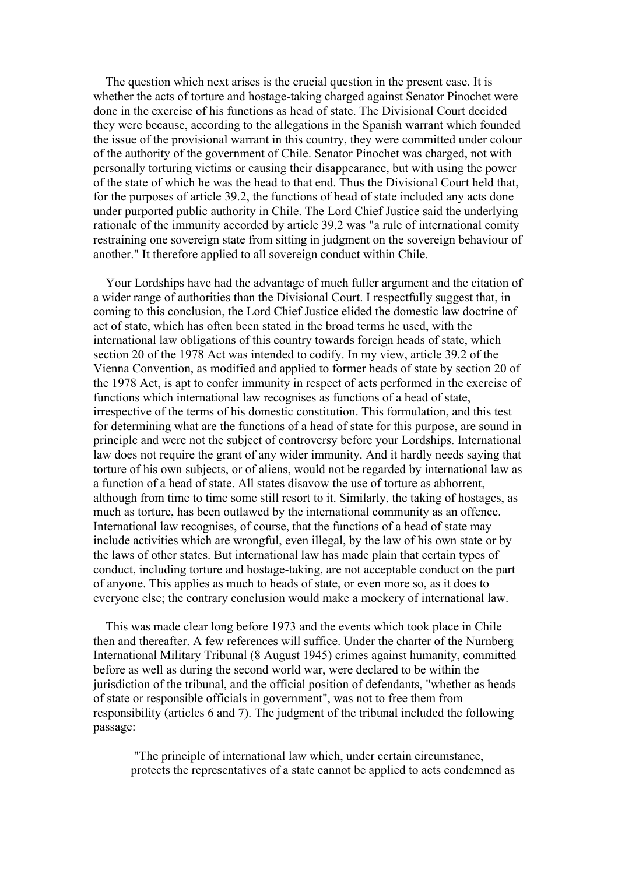The question which next arises is the crucial question in the present case. It is whether the acts of torture and hostage-taking charged against Senator Pinochet were done in the exercise of his functions as head of state. The Divisional Court decided they were because, according to the allegations in the Spanish warrant which founded the issue of the provisional warrant in this country, they were committed under colour of the authority of the government of Chile. Senator Pinochet was charged, not with personally torturing victims or causing their disappearance, but with using the power of the state of which he was the head to that end. Thus the Divisional Court held that, for the purposes of article 39.2, the functions of head of state included any acts done under purported public authority in Chile. The Lord Chief Justice said the underlying rationale of the immunity accorded by article 39.2 was "a rule of international comity restraining one sovereign state from sitting in judgment on the sovereign behaviour of another." It therefore applied to all sovereign conduct within Chile.

 Your Lordships have had the advantage of much fuller argument and the citation of a wider range of authorities than the Divisional Court. I respectfully suggest that, in coming to this conclusion, the Lord Chief Justice elided the domestic law doctrine of act of state, which has often been stated in the broad terms he used, with the international law obligations of this country towards foreign heads of state, which section 20 of the 1978 Act was intended to codify. In my view, article 39.2 of the Vienna Convention, as modified and applied to former heads of state by section 20 of the 1978 Act, is apt to confer immunity in respect of acts performed in the exercise of functions which international law recognises as functions of a head of state, irrespective of the terms of his domestic constitution. This formulation, and this test for determining what are the functions of a head of state for this purpose, are sound in principle and were not the subject of controversy before your Lordships. International law does not require the grant of any wider immunity. And it hardly needs saying that torture of his own subjects, or of aliens, would not be regarded by international law as a function of a head of state. All states disavow the use of torture as abhorrent, although from time to time some still resort to it. Similarly, the taking of hostages, as much as torture, has been outlawed by the international community as an offence. International law recognises, of course, that the functions of a head of state may include activities which are wrongful, even illegal, by the law of his own state or by the laws of other states. But international law has made plain that certain types of conduct, including torture and hostage-taking, are not acceptable conduct on the part of anyone. This applies as much to heads of state, or even more so, as it does to everyone else; the contrary conclusion would make a mockery of international law.

 This was made clear long before 1973 and the events which took place in Chile then and thereafter. A few references will suffice. Under the charter of the Nurnberg International Military Tribunal (8 August 1945) crimes against humanity, committed before as well as during the second world war, were declared to be within the jurisdiction of the tribunal, and the official position of defendants, "whether as heads of state or responsible officials in government", was not to free them from responsibility (articles 6 and 7). The judgment of the tribunal included the following passage:

 "The principle of international law which, under certain circumstance, protects the representatives of a state cannot be applied to acts condemned as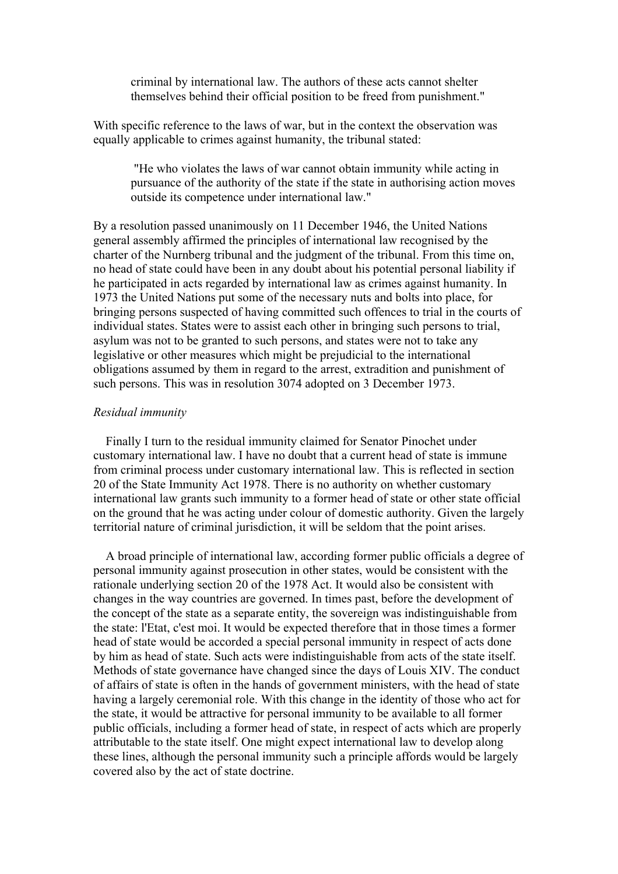criminal by international law. The authors of these acts cannot shelter themselves behind their official position to be freed from punishment."

With specific reference to the laws of war, but in the context the observation was equally applicable to crimes against humanity, the tribunal stated:

 "He who violates the laws of war cannot obtain immunity while acting in pursuance of the authority of the state if the state in authorising action moves outside its competence under international law."

By a resolution passed unanimously on 11 December 1946, the United Nations general assembly affirmed the principles of international law recognised by the charter of the Nurnberg tribunal and the judgment of the tribunal. From this time on, no head of state could have been in any doubt about his potential personal liability if he participated in acts regarded by international law as crimes against humanity. In 1973 the United Nations put some of the necessary nuts and bolts into place, for bringing persons suspected of having committed such offences to trial in the courts of individual states. States were to assist each other in bringing such persons to trial, asylum was not to be granted to such persons, and states were not to take any legislative or other measures which might be prejudicial to the international obligations assumed by them in regard to the arrest, extradition and punishment of such persons. This was in resolution 3074 adopted on 3 December 1973.

### *Residual immunity*

 Finally I turn to the residual immunity claimed for Senator Pinochet under customary international law. I have no doubt that a current head of state is immune from criminal process under customary international law. This is reflected in section 20 of the State Immunity Act 1978. There is no authority on whether customary international law grants such immunity to a former head of state or other state official on the ground that he was acting under colour of domestic authority. Given the largely territorial nature of criminal jurisdiction, it will be seldom that the point arises.

 A broad principle of international law, according former public officials a degree of personal immunity against prosecution in other states, would be consistent with the rationale underlying section 20 of the 1978 Act. It would also be consistent with changes in the way countries are governed. In times past, before the development of the concept of the state as a separate entity, the sovereign was indistinguishable from the state: l'Etat, c'est moi. It would be expected therefore that in those times a former head of state would be accorded a special personal immunity in respect of acts done by him as head of state. Such acts were indistinguishable from acts of the state itself. Methods of state governance have changed since the days of Louis XIV. The conduct of affairs of state is often in the hands of government ministers, with the head of state having a largely ceremonial role. With this change in the identity of those who act for the state, it would be attractive for personal immunity to be available to all former public officials, including a former head of state, in respect of acts which are properly attributable to the state itself. One might expect international law to develop along these lines, although the personal immunity such a principle affords would be largely covered also by the act of state doctrine.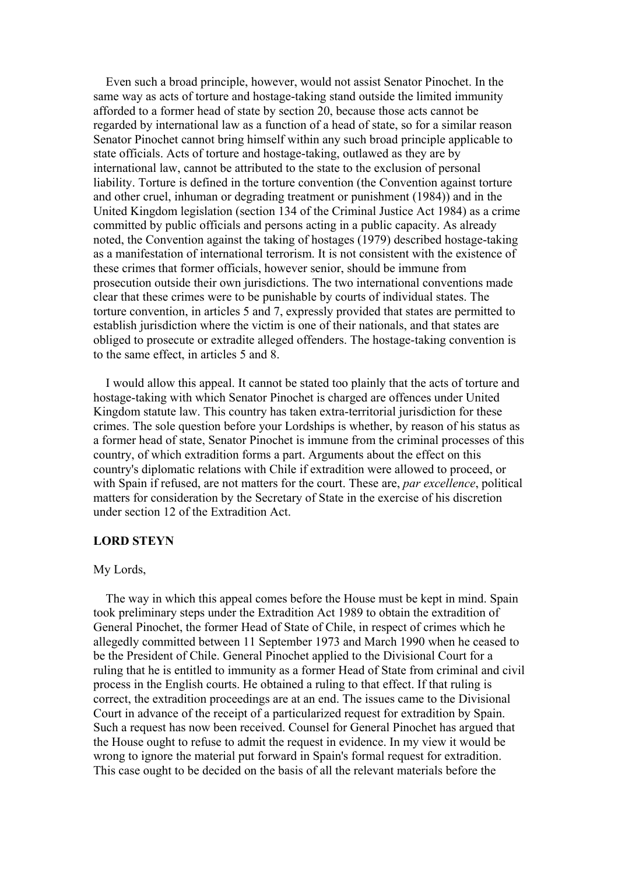Even such a broad principle, however, would not assist Senator Pinochet. In the same way as acts of torture and hostage-taking stand outside the limited immunity afforded to a former head of state by section 20, because those acts cannot be regarded by international law as a function of a head of state, so for a similar reason Senator Pinochet cannot bring himself within any such broad principle applicable to state officials. Acts of torture and hostage-taking, outlawed as they are by international law, cannot be attributed to the state to the exclusion of personal liability. Torture is defined in the torture convention (the Convention against torture and other cruel, inhuman or degrading treatment or punishment (1984)) and in the United Kingdom legislation (section 134 of the Criminal Justice Act 1984) as a crime committed by public officials and persons acting in a public capacity. As already noted, the Convention against the taking of hostages (1979) described hostage-taking as a manifestation of international terrorism. It is not consistent with the existence of these crimes that former officials, however senior, should be immune from prosecution outside their own jurisdictions. The two international conventions made clear that these crimes were to be punishable by courts of individual states. The torture convention, in articles 5 and 7, expressly provided that states are permitted to establish jurisdiction where the victim is one of their nationals, and that states are obliged to prosecute or extradite alleged offenders. The hostage-taking convention is to the same effect, in articles 5 and 8.

 I would allow this appeal. It cannot be stated too plainly that the acts of torture and hostage-taking with which Senator Pinochet is charged are offences under United Kingdom statute law. This country has taken extra-territorial jurisdiction for these crimes. The sole question before your Lordships is whether, by reason of his status as a former head of state, Senator Pinochet is immune from the criminal processes of this country, of which extradition forms a part. Arguments about the effect on this country's diplomatic relations with Chile if extradition were allowed to proceed, or with Spain if refused, are not matters for the court. These are, *par excellence*, political matters for consideration by the Secretary of State in the exercise of his discretion under section 12 of the Extradition Act.

# **LORD STEYN**

### My Lords,

 The way in which this appeal comes before the House must be kept in mind. Spain took preliminary steps under the Extradition Act 1989 to obtain the extradition of General Pinochet, the former Head of State of Chile, in respect of crimes which he allegedly committed between 11 September 1973 and March 1990 when he ceased to be the President of Chile. General Pinochet applied to the Divisional Court for a ruling that he is entitled to immunity as a former Head of State from criminal and civil process in the English courts. He obtained a ruling to that effect. If that ruling is correct, the extradition proceedings are at an end. The issues came to the Divisional Court in advance of the receipt of a particularized request for extradition by Spain. Such a request has now been received. Counsel for General Pinochet has argued that the House ought to refuse to admit the request in evidence. In my view it would be wrong to ignore the material put forward in Spain's formal request for extradition. This case ought to be decided on the basis of all the relevant materials before the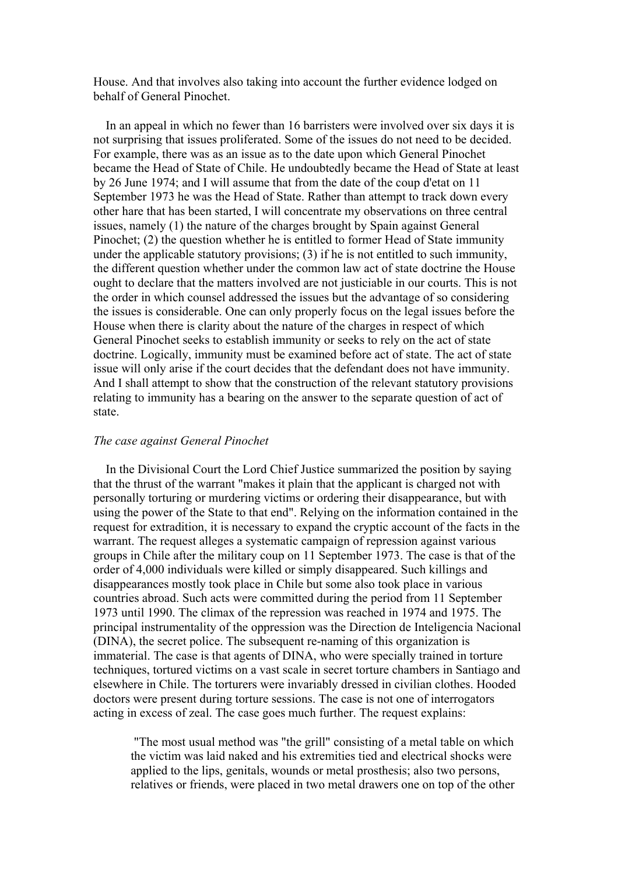House. And that involves also taking into account the further evidence lodged on behalf of General Pinochet.

 In an appeal in which no fewer than 16 barristers were involved over six days it is not surprising that issues proliferated. Some of the issues do not need to be decided. For example, there was as an issue as to the date upon which General Pinochet became the Head of State of Chile. He undoubtedly became the Head of State at least by 26 June 1974; and I will assume that from the date of the coup d'etat on 11 September 1973 he was the Head of State. Rather than attempt to track down every other hare that has been started, I will concentrate my observations on three central issues, namely (1) the nature of the charges brought by Spain against General Pinochet; (2) the question whether he is entitled to former Head of State immunity under the applicable statutory provisions; (3) if he is not entitled to such immunity, the different question whether under the common law act of state doctrine the House ought to declare that the matters involved are not justiciable in our courts. This is not the order in which counsel addressed the issues but the advantage of so considering the issues is considerable. One can only properly focus on the legal issues before the House when there is clarity about the nature of the charges in respect of which General Pinochet seeks to establish immunity or seeks to rely on the act of state doctrine. Logically, immunity must be examined before act of state. The act of state issue will only arise if the court decides that the defendant does not have immunity. And I shall attempt to show that the construction of the relevant statutory provisions relating to immunity has a bearing on the answer to the separate question of act of state.

# *The case against General Pinochet*

 In the Divisional Court the Lord Chief Justice summarized the position by saying that the thrust of the warrant "makes it plain that the applicant is charged not with personally torturing or murdering victims or ordering their disappearance, but with using the power of the State to that end". Relying on the information contained in the request for extradition, it is necessary to expand the cryptic account of the facts in the warrant. The request alleges a systematic campaign of repression against various groups in Chile after the military coup on 11 September 1973. The case is that of the order of 4,000 individuals were killed or simply disappeared. Such killings and disappearances mostly took place in Chile but some also took place in various countries abroad. Such acts were committed during the period from 11 September 1973 until 1990. The climax of the repression was reached in 1974 and 1975. The principal instrumentality of the oppression was the Direction de Inteligencia Nacional (DINA), the secret police. The subsequent re-naming of this organization is immaterial. The case is that agents of DINA, who were specially trained in torture techniques, tortured victims on a vast scale in secret torture chambers in Santiago and elsewhere in Chile. The torturers were invariably dressed in civilian clothes. Hooded doctors were present during torture sessions. The case is not one of interrogators acting in excess of zeal. The case goes much further. The request explains:

 "The most usual method was "the grill" consisting of a metal table on which the victim was laid naked and his extremities tied and electrical shocks were applied to the lips, genitals, wounds or metal prosthesis; also two persons, relatives or friends, were placed in two metal drawers one on top of the other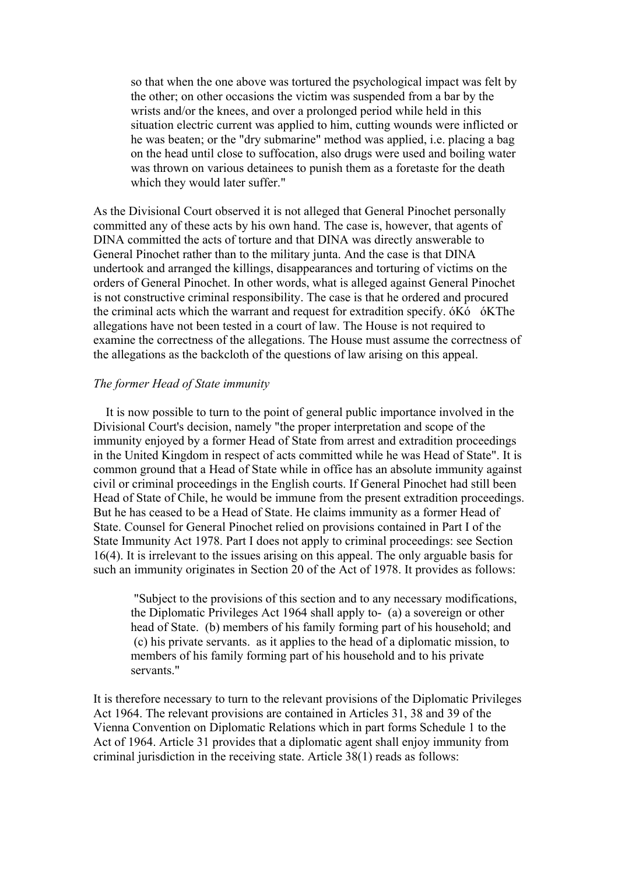so that when the one above was tortured the psychological impact was felt by the other; on other occasions the victim was suspended from a bar by the wrists and/or the knees, and over a prolonged period while held in this situation electric current was applied to him, cutting wounds were inflicted or he was beaten; or the "dry submarine" method was applied, i.e. placing a bag on the head until close to suffocation, also drugs were used and boiling water was thrown on various detainees to punish them as a foretaste for the death which they would later suffer."

As the Divisional Court observed it is not alleged that General Pinochet personally committed any of these acts by his own hand. The case is, however, that agents of DINA committed the acts of torture and that DINA was directly answerable to General Pinochet rather than to the military junta. And the case is that DINA undertook and arranged the killings, disappearances and torturing of victims on the orders of General Pinochet. In other words, what is alleged against General Pinochet is not constructive criminal responsibility. The case is that he ordered and procured the criminal acts which the warrant and request for extradition specify.  $\delta$ K $\delta$  6KThe allegations have not been tested in a court of law. The House is not required to examine the correctness of the allegations. The House must assume the correctness of the allegations as the backcloth of the questions of law arising on this appeal.

# *The former Head of State immunity*

 It is now possible to turn to the point of general public importance involved in the Divisional Court's decision, namely "the proper interpretation and scope of the immunity enjoyed by a former Head of State from arrest and extradition proceedings in the United Kingdom in respect of acts committed while he was Head of State". It is common ground that a Head of State while in office has an absolute immunity against civil or criminal proceedings in the English courts. If General Pinochet had still been Head of State of Chile, he would be immune from the present extradition proceedings. But he has ceased to be a Head of State. He claims immunity as a former Head of State. Counsel for General Pinochet relied on provisions contained in Part I of the State Immunity Act 1978. Part I does not apply to criminal proceedings: see Section 16(4). It is irrelevant to the issues arising on this appeal. The only arguable basis for such an immunity originates in Section 20 of the Act of 1978. It provides as follows:

 "Subject to the provisions of this section and to any necessary modifications, the Diplomatic Privileges Act 1964 shall apply to- (a) a sovereign or other head of State. (b) members of his family forming part of his household; and (c) his private servants. as it applies to the head of a diplomatic mission, to members of his family forming part of his household and to his private servants."

It is therefore necessary to turn to the relevant provisions of the Diplomatic Privileges Act 1964. The relevant provisions are contained in Articles 31, 38 and 39 of the Vienna Convention on Diplomatic Relations which in part forms Schedule 1 to the Act of 1964. Article 31 provides that a diplomatic agent shall enjoy immunity from criminal jurisdiction in the receiving state. Article 38(1) reads as follows: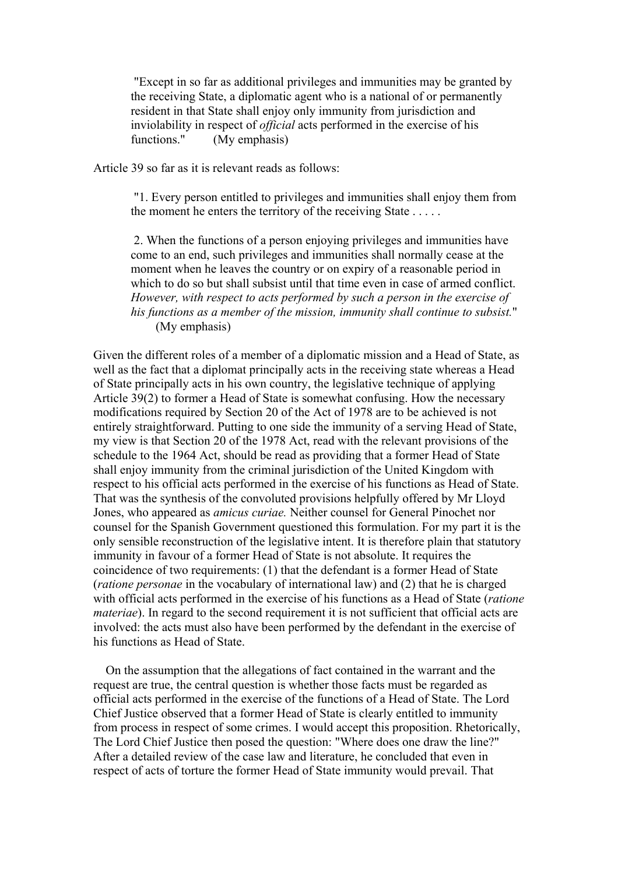"Except in so far as additional privileges and immunities may be granted by the receiving State, a diplomatic agent who is a national of or permanently resident in that State shall enjoy only immunity from jurisdiction and inviolability in respect of *official* acts performed in the exercise of his functions." (My emphasis)

Article 39 so far as it is relevant reads as follows:

 "1. Every person entitled to privileges and immunities shall enjoy them from the moment he enters the territory of the receiving State . . . . .

 2. When the functions of a person enjoying privileges and immunities have come to an end, such privileges and immunities shall normally cease at the moment when he leaves the country or on expiry of a reasonable period in which to do so but shall subsist until that time even in case of armed conflict. *However, with respect to acts performed by such a person in the exercise of his functions as a member of the mission, immunity shall continue to subsist.*" (My emphasis)

Given the different roles of a member of a diplomatic mission and a Head of State, as well as the fact that a diplomat principally acts in the receiving state whereas a Head of State principally acts in his own country, the legislative technique of applying Article 39(2) to former a Head of State is somewhat confusing. How the necessary modifications required by Section 20 of the Act of 1978 are to be achieved is not entirely straightforward. Putting to one side the immunity of a serving Head of State, my view is that Section 20 of the 1978 Act, read with the relevant provisions of the schedule to the 1964 Act, should be read as providing that a former Head of State shall enjoy immunity from the criminal jurisdiction of the United Kingdom with respect to his official acts performed in the exercise of his functions as Head of State. That was the synthesis of the convoluted provisions helpfully offered by Mr Lloyd Jones, who appeared as *amicus curiae.* Neither counsel for General Pinochet nor counsel for the Spanish Government questioned this formulation. For my part it is the only sensible reconstruction of the legislative intent. It is therefore plain that statutory immunity in favour of a former Head of State is not absolute. It requires the coincidence of two requirements: (1) that the defendant is a former Head of State (*ratione personae* in the vocabulary of international law) and (2) that he is charged with official acts performed in the exercise of his functions as a Head of State (*ratione materiae*). In regard to the second requirement it is not sufficient that official acts are involved: the acts must also have been performed by the defendant in the exercise of his functions as Head of State.

 On the assumption that the allegations of fact contained in the warrant and the request are true, the central question is whether those facts must be regarded as official acts performed in the exercise of the functions of a Head of State. The Lord Chief Justice observed that a former Head of State is clearly entitled to immunity from process in respect of some crimes. I would accept this proposition. Rhetorically, The Lord Chief Justice then posed the question: "Where does one draw the line?" After a detailed review of the case law and literature, he concluded that even in respect of acts of torture the former Head of State immunity would prevail. That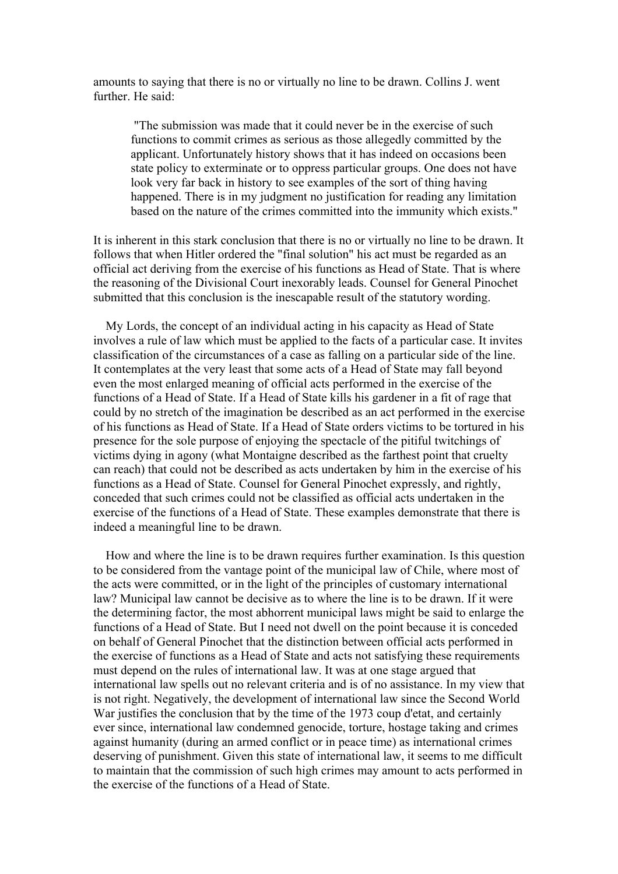amounts to saying that there is no or virtually no line to be drawn. Collins J. went further. He said:

 "The submission was made that it could never be in the exercise of such functions to commit crimes as serious as those allegedly committed by the applicant. Unfortunately history shows that it has indeed on occasions been state policy to exterminate or to oppress particular groups. One does not have look very far back in history to see examples of the sort of thing having happened. There is in my judgment no justification for reading any limitation based on the nature of the crimes committed into the immunity which exists."

It is inherent in this stark conclusion that there is no or virtually no line to be drawn. It follows that when Hitler ordered the "final solution" his act must be regarded as an official act deriving from the exercise of his functions as Head of State. That is where the reasoning of the Divisional Court inexorably leads. Counsel for General Pinochet submitted that this conclusion is the inescapable result of the statutory wording.

 My Lords, the concept of an individual acting in his capacity as Head of State involves a rule of law which must be applied to the facts of a particular case. It invites classification of the circumstances of a case as falling on a particular side of the line. It contemplates at the very least that some acts of a Head of State may fall beyond even the most enlarged meaning of official acts performed in the exercise of the functions of a Head of State. If a Head of State kills his gardener in a fit of rage that could by no stretch of the imagination be described as an act performed in the exercise of his functions as Head of State. If a Head of State orders victims to be tortured in his presence for the sole purpose of enjoying the spectacle of the pitiful twitchings of victims dying in agony (what Montaigne described as the farthest point that cruelty can reach) that could not be described as acts undertaken by him in the exercise of his functions as a Head of State. Counsel for General Pinochet expressly, and rightly, conceded that such crimes could not be classified as official acts undertaken in the exercise of the functions of a Head of State. These examples demonstrate that there is indeed a meaningful line to be drawn.

 How and where the line is to be drawn requires further examination. Is this question to be considered from the vantage point of the municipal law of Chile, where most of the acts were committed, or in the light of the principles of customary international law? Municipal law cannot be decisive as to where the line is to be drawn. If it were the determining factor, the most abhorrent municipal laws might be said to enlarge the functions of a Head of State. But I need not dwell on the point because it is conceded on behalf of General Pinochet that the distinction between official acts performed in the exercise of functions as a Head of State and acts not satisfying these requirements must depend on the rules of international law. It was at one stage argued that international law spells out no relevant criteria and is of no assistance. In my view that is not right. Negatively, the development of international law since the Second World War justifies the conclusion that by the time of the 1973 coup d'etat, and certainly ever since, international law condemned genocide, torture, hostage taking and crimes against humanity (during an armed conflict or in peace time) as international crimes deserving of punishment. Given this state of international law, it seems to me difficult to maintain that the commission of such high crimes may amount to acts performed in the exercise of the functions of a Head of State.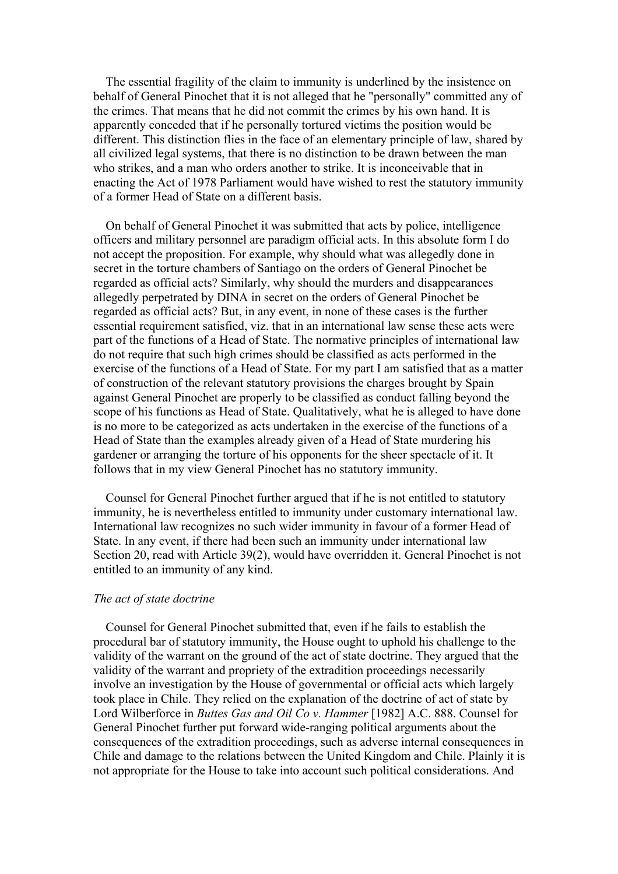The essential fragility of the claim to immunity is underlined by the insistence on behalf of General Pinochet that it is not alleged that he "personally" committed any of the crimes. That means that he did not commit the crimes by his own hand. It is apparently conceded that if he personally tortured victims the position would be different. This distinction flies in the face of an elementary principle of law, shared by all civilized legal systems, that there is no distinction to be drawn between the man who strikes, and a man who orders another to strike. It is inconceivable that in enacting the Act of 1978 Parliament would have wished to rest the statutory immunity of a former Head of State on a different basis.

 On behalf of General Pinochet it was submitted that acts by police, intelligence officers and military personnel are paradigm official acts. In this absolute form I do not accept the proposition. For example, why should what was allegedly done in secret in the torture chambers of Santiago on the orders of General Pinochet be regarded as official acts? Similarly, why should the murders and disappearances allegedly perpetrated by DINA in secret on the orders of General Pinochet be regarded as official acts? But, in any event, in none of these cases is the further essential requirement satisfied, viz. that in an international law sense these acts were part of the functions of a Head of State. The normative principles of international law do not require that such high crimes should be classified as acts performed in the exercise of the functions of a Head of State. For my part I am satisfied that as a matter of construction of the relevant statutory provisions the charges brought by Spain against General Pinochet are properly to be classified as conduct falling beyond the scope of his functions as Head of State. Qualitatively, what he is alleged to have done is no more to be categorized as acts undertaken in the exercise of the functions of a Head of State than the examples already given of a Head of State murdering his gardener or arranging the torture of his opponents for the sheer spectacle of it. It follows that in my view General Pinochet has no statutory immunity.

 Counsel for General Pinochet further argued that if he is not entitled to statutory immunity, he is nevertheless entitled to immunity under customary international law. International law recognizes no such wider immunity in favour of a former Head of State. In any event, if there had been such an immunity under international law Section 20, read with Article 39(2), would have overridden it. General Pinochet is not entitled to an immunity of any kind.

### *The act of state doctrine*

 Counsel for General Pinochet submitted that, even if he fails to establish the procedural bar of statutory immunity, the House ought to uphold his challenge to the validity of the warrant on the ground of the act of state doctrine. They argued that the validity of the warrant and propriety of the extradition proceedings necessarily involve an investigation by the House of governmental or official acts which largely took place in Chile. They relied on the explanation of the doctrine of act of state by Lord Wilberforce in *Buttes Gas and Oil Co v. Hammer* [1982] A.C. 888. Counsel for General Pinochet further put forward wide-ranging political arguments about the consequences of the extradition proceedings, such as adverse internal consequences in Chile and damage to the relations between the United Kingdom and Chile. Plainly it is not appropriate for the House to take into account such political considerations. And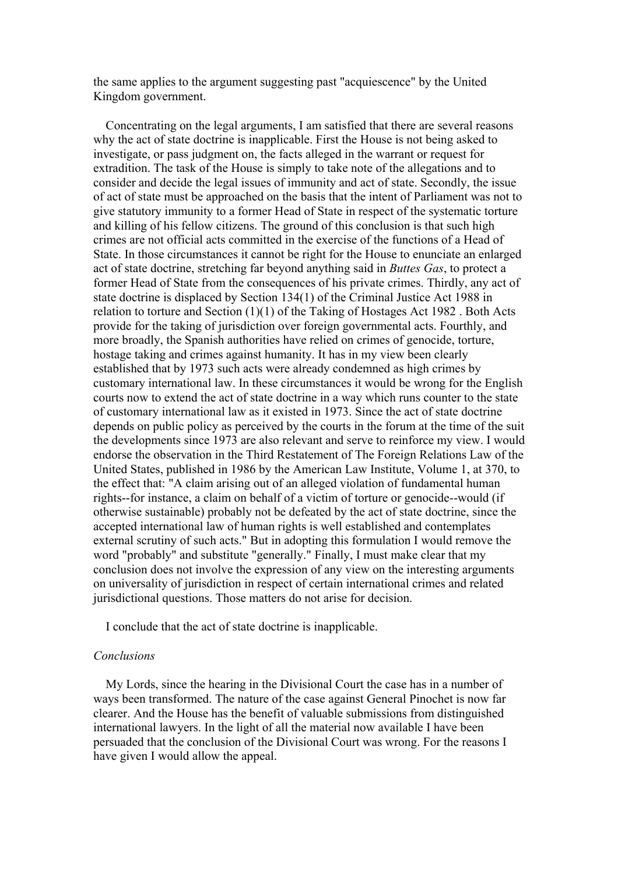the same applies to the argument suggesting past "acquiescence" by the United Kingdom government.

 Concentrating on the legal arguments, I am satisfied that there are several reasons why the act of state doctrine is inapplicable. First the House is not being asked to investigate, or pass judgment on, the facts alleged in the warrant or request for extradition. The task of the House is simply to take note of the allegations and to consider and decide the legal issues of immunity and act of state. Secondly, the issue of act of state must be approached on the basis that the intent of Parliament was not to give statutory immunity to a former Head of State in respect of the systematic torture and killing of his fellow citizens. The ground of this conclusion is that such high crimes are not official acts committed in the exercise of the functions of a Head of State. In those circumstances it cannot be right for the House to enunciate an enlarged act of state doctrine, stretching far beyond anything said in *Buttes Gas*, to protect a former Head of State from the consequences of his private crimes. Thirdly, any act of state doctrine is displaced by Section 134(1) of the Criminal Justice Act 1988 in relation to torture and Section (1)(1) of the Taking of Hostages Act 1982 . Both Acts provide for the taking of jurisdiction over foreign governmental acts. Fourthly, and more broadly, the Spanish authorities have relied on crimes of genocide, torture, hostage taking and crimes against humanity. It has in my view been clearly established that by 1973 such acts were already condemned as high crimes by customary international law. In these circumstances it would be wrong for the English courts now to extend the act of state doctrine in a way which runs counter to the state of customary international law as it existed in 1973. Since the act of state doctrine depends on public policy as perceived by the courts in the forum at the time of the suit the developments since 1973 are also relevant and serve to reinforce my view. I would endorse the observation in the Third Restatement of The Foreign Relations Law of the United States, published in 1986 by the American Law Institute, Volume 1, at 370, to the effect that: "A claim arising out of an alleged violation of fundamental human rights--for instance, a claim on behalf of a victim of torture or genocide--would (if otherwise sustainable) probably not be defeated by the act of state doctrine, since the accepted international law of human rights is well established and contemplates external scrutiny of such acts." But in adopting this formulation I would remove the word "probably" and substitute "generally." Finally, I must make clear that my conclusion does not involve the expression of any view on the interesting arguments on universality of jurisdiction in respect of certain international crimes and related jurisdictional questions. Those matters do not arise for decision.

I conclude that the act of state doctrine is inapplicable.

### *Conclusions*

 My Lords, since the hearing in the Divisional Court the case has in a number of ways been transformed. The nature of the case against General Pinochet is now far clearer. And the House has the benefit of valuable submissions from distinguished international lawyers. In the light of all the material now available I have been persuaded that the conclusion of the Divisional Court was wrong. For the reasons I have given I would allow the appeal.